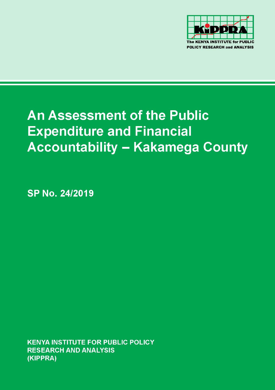

# **An Assessment of the Public Expenditure and Financial Accountability - Kakamega County**

SP No. 24/2019

**KENYA INSTITUTE FOR PUBLIC POLICY RESEARCH AND ANALYSIS** (KIPPRA)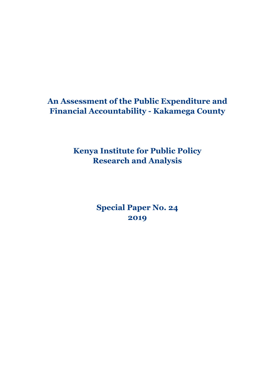# **An Assessment of the Public Expenditure and Financial Accountability - Kakamega County**

**Kenya Institute for Public Policy Research and Analysis**

> **Special Paper No. 24 2019**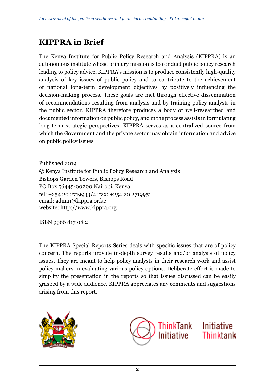# **KIPPRA in Brief**

The Kenya Institute for Public Policy Research and Analysis (KIPPRA) is an autonomous institute whose primary mission is to conduct public policy research leading to policy advice. KIPPRA's mission is to produce consistently high-quality analysis of key issues of public policy and to contribute to the achievement of national long-term development objectives by positively influencing the decision-making process. These goals are met through effective dissemination of recommendations resulting from analysis and by training policy analysts in the public sector. KIPPRA therefore produces a body of well-researched and documented information on public policy, and in the process assists in formulating long-term strategic perspectives. KIPPRA serves as a centralized source from which the Government and the private sector may obtain information and advice on public policy issues.

Published 2019 © Kenya Institute for Public Policy Research and Analysis Bishops Garden Towers, Bishops Road PO Box 56445-00200 Nairobi, Kenya tel: +254 20 2719933/4; fax: +254 20 2719951 email: admin@kippra.or.ke website: http://www.kippra.org

ISBN 9966 817 08 2

The KIPPRA Special Reports Series deals with specific issues that are of policy concern. The reports provide in-depth survey results and/or analysis of policy issues. They are meant to help policy analysts in their research work and assist policy makers in evaluating various policy options. Deliberate effort is made to simplify the presentation in the reports so that issues discussed can be easily grasped by a wide audience. KIPPRA appreciates any comments and suggestions arising from this report.



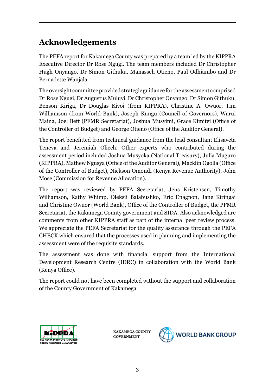# **Acknowledgements**

The PEFA report for Kakamega County was prepared by a team led by the KIPPRA Executive Director Dr Rose Ngugi. The team members included Dr Christopher Hugh Onyango, Dr Simon Githuku, Manasseh Otieno, Paul Odhiambo and Dr Bernadette Wanjala.

The oversight committee provided strategic guidance for the assessment comprised Dr Rose Ngugi, Dr Augustus Muluvi, Dr Christopher Onyango, Dr Simon Githuku, Benson Kiriga, Dr Douglas Kivoi (from KIPPRA), Christine A. Owuor, Tim Williamson (from World Bank), Joseph Kungu (Council of Governors), Warui Maina, Joel Bett (PFMR Secretariat), Joshua Musyimi, Grace Kimitei (Office of the Controller of Budget) and George Otieno (Office of the Auditor General).

The report benefitted from technical guidance from the lead consultant Elisaveta Teneva and Jeremiah Oliech. Other experts who contributed during the assessment period included Joshua Musyoka (National Treasury), Julia Muguro (KIPPRA), Mathew Ngusya (Office of the Auditor General), Macklin Ogolla (Office of the Controller of Budget), Nickson Omondi (Kenya Revenue Authority), John Mose (Commission for Revenue Allocation).

The report was reviewed by PEFA Secretariat, Jens Kristensen, Timothy Williamson, Kathy Whimp, Oleksii Balabushko, Eric Enagnon, Jane Kiringai and Christine Owuor (World Bank), Office of the Controller of Budget, the PFMR Secretariat, the Kakamega County government and SIDA. Also acknowledged are comments from other KIPPRA staff as part of the internal peer review process. We appreciate the PEFA Secretariat for the quality assurance through the PEFA CHECK which ensured that the processes used in planning and implementing the assessment were of the requisite standards.

The assessment was done with financial support from the International Development Research Centre (IDRC) in collaboration with the World Bank (Kenya Office).

The report could not have been completed without the support and collaboration of the County Government of Kakamega.



**KAKAMEGA COUNTY GOVERNMENT**

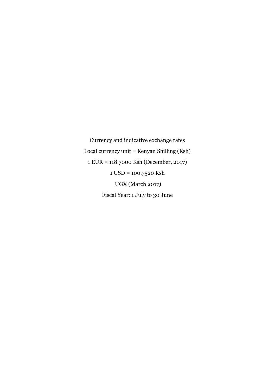Currency and indicative exchange rates Local currency unit = Kenyan Shilling (Ksh) 1 EUR = 118.7000 Ksh (December, 2017) 1 USD = 100.7520 Ksh UGX (March 2017) Fiscal Year: 1 July to 30 June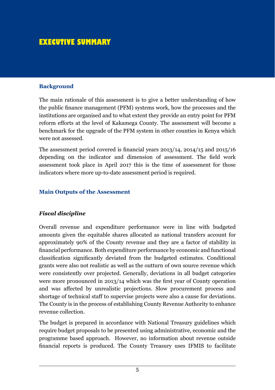# **EXECUTIVE SUMMARY**

#### **Background**

The main rationale of this assessment is to give a better understanding of how the public finance management (PFM) systems work, how the processes and the institutions are organised and to what extent they provide an entry point for PFM reform efforts at the level of Kakamega County. The assessment will become a benchmark for the upgrade of the PFM system in other counties in Kenya which were not assessed.

The assessment period covered is financial years 2013/14, 2014/15 and 2015/16 depending on the indicator and dimension of assessment. The field work assessment took place in April 2017 this is the time of assessment for those indicators where more up-to-date assessment period is required.

#### **Main Outputs of the Assessment**

#### *Fiscal discipline*

Overall revenue and expenditure performance were in line with budgeted amounts given the equitable shares allocated as national transfers account for approximately 90% of the County revenue and they are a factor of stability in financial performance. Both expenditure performance by economic and functional classification significantly deviated from the budgeted estimates. Conditional grants were also not realistic as well as the outturn of own source revenue which were consistently over projected. Generally, deviations in all budget categories were more pronounced in 2013/14 which was the first year of County operation and was affected by unrealistic projections. Slow procurement process and shortage of technical staff to supervise projects were also a cause for deviations. The County is in the process of establishing County Revenue Authority to enhance revenue collection.

The budget is prepared in accordance with National Treasury guidelines which require budget proposals to be presented using administrative, economic and the programme based approach. However, no information about revenue outside financial reports is produced. The County Treasury uses IFMIS to facilitate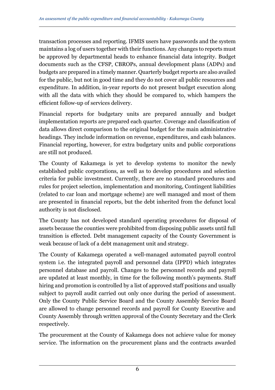transaction processes and reporting. IFMIS users have passwords and the system maintains a log of users together with their functions. Any changes to reports must be approved by departmental heads to enhance financial data integrity. Budget documents such as the CFSP, CBROPs, annual development plans (ADPs) and budgets are prepared in a timely manner. Quarterly budget reports are also availed for the public, but not in good time and they do not cover all public resources and expenditure. In addition, in-year reports do not present budget execution along with all the data with which they should be compared to, which hampers the efficient follow-up of services delivery.

Financial reports for budgetary units are prepared annually and budget implementation reports are prepared each quarter. Coverage and classification of data allows direct comparison to the original budget for the main administrative headings. They include information on revenue, expenditures, and cash balances. Financial reporting, however, for extra budgetary units and public corporations are still not produced.

The County of Kakamega is yet to develop systems to monitor the newly established public corporations, as well as to develop procedures and selection criteria for public investment. Currently, there are no standard procedures and rules for project selection, implementation and monitoring, Contingent liabilities (related to car loan and mortgage scheme) are well managed and most of them are presented in financial reports, but the debt inherited from the defunct local authority is not disclosed.

The County has not developed standard operating procedures for disposal of assets because the counties were prohibited from disposing public assets until full transition is effected. Debt management capacity of the County Government is weak because of lack of a debt management unit and strategy.

The County of Kakamega operated a well-managed automated payroll control system i.e. the integrated payroll and personnel data (IPPD) which integrates personnel database and payroll. Changes to the personnel records and payroll are updated at least monthly, in time for the following month's payments. Staff hiring and promotion is controlled by a list of approved staff positions and usually subject to payroll audit carried out only once during the period of assessment. Only the County Public Service Board and the County Assembly Service Board are allowed to change personnel records and payroll for County Executive and County Assembly through written approval of the County Secretary and the Clerk respectively.

The procurement at the County of Kakamega does not achieve value for money service. The information on the procurement plans and the contracts awarded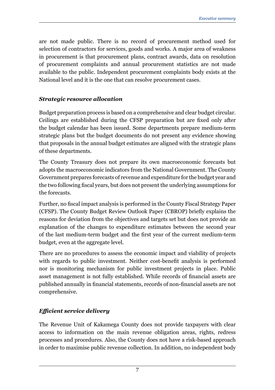are not made public. There is no record of procurement method used for selection of contractors for services, goods and works. A major area of weakness in procurement is that procurement plans, contract awards, data on resolution of procurement complaints and annual procurement statistics are not made available to the public. Independent procurement complaints body exists at the National level and it is the one that can resolve procurement cases.

#### *Strategic resource allocation*

Budget preparation process is based on a comprehensive and clear budget circular. Ceilings are established during the CFSP preparation but are fixed only after the budget calendar has been issued. Some departments prepare medium-term strategic plans but the budget documents do not present any evidence showing that proposals in the annual budget estimates are aligned with the strategic plans of these departments.

The County Treasury does not prepare its own macroeconomic forecasts but adopts the macroeconomic indicators from the National Government. The County Government prepares forecasts of revenue and expenditure for the budget year and the two following fiscal years, but does not present the underlying assumptions for the forecasts.

Further, no fiscal impact analysis is performed in the County Fiscal Strategy Paper (CFSP). The County Budget Review Outlook Paper (CBROP) briefly explains the reasons for deviation from the objectives and targets set but does not provide an explanation of the changes to expenditure estimates between the second year of the last medium-term budget and the first year of the current medium-term budget, even at the aggregate level.

There are no procedures to assess the economic impact and viability of projects with regards to public investment. Neither cost-benefit analysis is performed nor is monitoring mechanism for public investment projects in place. Public asset management is not fully established. While records of financial assets are published annually in financial statements, records of non-financial assets are not comprehensive.

### *Efficient service delivery*

The Revenue Unit of Kakamega County does not provide taxpayers with clear access to information on the main revenue obligation areas, rights, redress processes and procedures. Also, the County does not have a risk-based approach in order to maximise public revenue collection. In addition, no independent body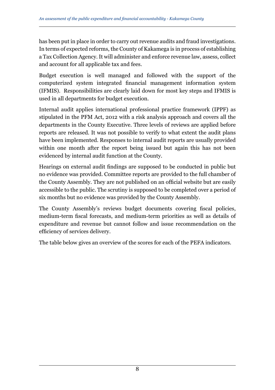has been put in place in order to carry out revenue audits and fraud investigations. In terms of expected reforms, the County of Kakamega is in process of establishing a Tax Collection Agency. It will administer and enforce revenue law, assess, collect and account for all applicable tax and fees.

Budget execution is well managed and followed with the support of the computerized system integrated financial management information system (IFMIS). Responsibilities are clearly laid down for most key steps and IFMIS is used in all departments for budget execution.

Internal audit applies international professional practice framework (IPPF) as stipulated in the PFM Act, 2012 with a risk analysis approach and covers all the departments in the County Executive. Three levels of reviews are applied before reports are released. It was not possible to verify to what extent the audit plans have been implemented. Responses to internal audit reports are usually provided within one month after the report being issued but again this has not been evidenced by internal audit function at the County.

Hearings on external audit findings are supposed to be conducted in public but no evidence was provided. Committee reports are provided to the full chamber of the County Assembly. They are not published on an official website but are easily accessible to the public. The scrutiny is supposed to be completed over a period of six months but no evidence was provided by the County Assembly.

The County Assembly's reviews budget documents covering fiscal policies, medium-term fiscal forecasts, and medium-term priorities as well as details of expenditure and revenue but cannot follow and issue recommendation on the efficiency of services delivery.

The table below gives an overview of the scores for each of the PEFA indicators.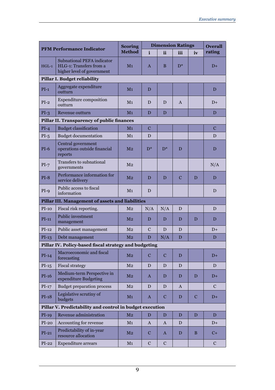| <b>PFM Performance Indicator</b> |                                                                                            | <b>Scoring</b><br><b>Method</b> |             | <b>Dimension Ratings</b> |             |             | <b>Overall</b> |
|----------------------------------|--------------------------------------------------------------------------------------------|---------------------------------|-------------|--------------------------|-------------|-------------|----------------|
|                                  |                                                                                            |                                 | i           | ii                       | iii         | iv          | rating         |
| $HGL-1$                          | <b>Subnational PEFA indicator</b><br>HLG-1: Transfers from a<br>higher level of government | M <sub>1</sub>                  | A           | B                        | $D^*$       |             | $D+$           |
| Pillar I. Budget reliability     |                                                                                            |                                 |             |                          |             |             |                |
| $PI-1$                           | Aggregate expenditure<br>outturn                                                           | M <sub>1</sub>                  | D           |                          |             |             | D              |
| $PI-2$                           | Expenditure composition<br>outturn                                                         | M <sub>1</sub>                  | D           | D                        | A           |             | $D+$           |
| $PI-3$                           | Revenue outturn                                                                            | M <sub>1</sub>                  | D           | D                        |             |             | D              |
|                                  | Pillar II. Transparency of public finances                                                 |                                 |             |                          |             |             |                |
| $PI-4$                           | <b>Budget classification</b>                                                               | M <sub>1</sub>                  | $\mathbf C$ |                          |             |             | С              |
| $PI-5$                           | <b>Budget documentation</b>                                                                | M <sub>1</sub>                  | D           |                          |             |             | D              |
| $PI-6$                           | Central government<br>operations outside financial<br>reports                              | M <sub>2</sub>                  | $D^*$       | $D^*$                    | D           |             | D              |
| $PI-7$                           | Transfers to subnational<br>governments                                                    | M <sub>2</sub>                  |             |                          |             |             | N/A            |
| $PI-8$                           | Performance information for<br>service delivery                                            | M <sub>2</sub>                  | D           | D                        | $\mathbf C$ | D           | D              |
| $PI-9$                           | Public access to fiscal<br>information                                                     | M <sub>1</sub>                  | D           |                          |             |             | D              |
|                                  | Pillar III. Management of assets and liabilities                                           |                                 |             |                          |             |             |                |
| $PI-10$                          | Fiscal risk reporting.                                                                     | M <sub>2</sub>                  | N/A         | N/A                      | D           |             | D              |
| $PI-11$                          | Public investment<br>management                                                            | M <sub>2</sub>                  | D           | D                        | D           | D           | D              |
| $PI-12$                          | Public asset management                                                                    | M <sub>2</sub>                  | C           | D                        | D           |             | $D+$           |
| $PI-13$                          | Debt management                                                                            | M <sub>2</sub>                  | D           | N/A                      | D           |             | D              |
|                                  | Pillar IV. Policy-based fiscal strategy and budgeting                                      |                                 |             |                          |             |             |                |
| $PI-14$                          | Macroeconomic and fiscal<br>forecasting                                                    | M <sub>2</sub>                  | С           | $\mathbf C$              | D           |             | $D+$           |
| $PI-15$                          | <b>Fiscal strategy</b>                                                                     | M <sub>2</sub>                  | D           | D                        | D           |             | D              |
| $PI-16$                          | Medium-term Perspective in<br>expenditure Budgeting                                        | M <sub>2</sub>                  | A           | D                        | D           | D           | D+             |
| $PI-17$                          | <b>Budget preparation process</b>                                                          | M <sub>2</sub>                  | D           | D                        | A           |             | C              |
| $PI-18$                          | Legislative scrutiny of<br>budgets                                                         | M <sub>1</sub>                  | A           | $\mathbf C$              | D           | $\mathbf C$ | $D+$           |
|                                  | Pillar V. Predictability and control in budget execution                                   |                                 |             |                          |             |             |                |
| $PI-19$                          | Revenue administration                                                                     | M <sub>2</sub>                  | D           | D                        | D           | D           | D              |
| $PI-20$                          | Accounting for revenue                                                                     | M <sub>1</sub>                  | A           | A                        | D           |             | $D+$           |
| $PI-21$                          | Predictability of in-year<br>resource allocation                                           | M <sub>2</sub>                  | C           | A                        | D           | B           | C+             |
| $PI-22$                          | <b>Expenditure arrears</b>                                                                 | M <sub>1</sub>                  | C           | $\mathbf C$              |             |             | C              |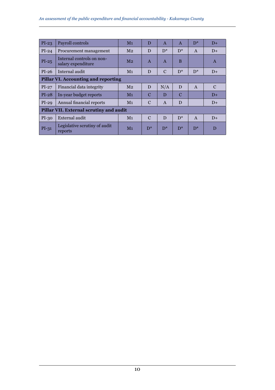| $PI-23$                                    | Payroll controls                                | M <sub>1</sub> | D             | $\mathbf{A}$  | $\mathsf{A}$ | $D^*$        | $D+$          |
|--------------------------------------------|-------------------------------------------------|----------------|---------------|---------------|--------------|--------------|---------------|
| $PI-24$                                    | Procurement management                          | M <sub>2</sub> | D             | $D^*$         | $D^*$        | $\mathsf{A}$ | $D+$          |
| $PI-25$                                    | Internal controls on non-<br>salary expenditure | M <sub>2</sub> | $\mathbf{A}$  | $\mathbf{A}$  | B            |              | $\mathbf{A}$  |
| $PI-26$                                    | Internal audit                                  | M <sub>1</sub> | D             | $\mathcal{C}$ | $D^*$        | $D^*$        | $D+$          |
| <b>Pillar VI. Accounting and reporting</b> |                                                 |                |               |               |              |              |               |
| $PI-27$                                    | Financial data integrity                        | M <sub>2</sub> | D             | N/A           | D            | $\mathbf{A}$ | $\mathcal{C}$ |
| $PI-28$                                    | In-year budget reports                          | M <sub>1</sub> | $\mathcal{C}$ | D             | C            |              | $D+$          |
| $PI-29$                                    | Annual financial reports                        | M <sub>1</sub> | C             | $\mathbf{A}$  | D            |              | $D+$          |
| Pillar VII. External scrutiny and audit    |                                                 |                |               |               |              |              |               |
| $PI-30$                                    | External audit                                  | M <sub>1</sub> | $\mathcal{C}$ | D             | $D^*$        | $\mathsf{A}$ | $D+$          |
| $PI-31$                                    | Legislative scrutiny of audit<br>reports        | M <sub>1</sub> | $D^*$         | $D^*$         | $D^*$        | $D^*$        | D             |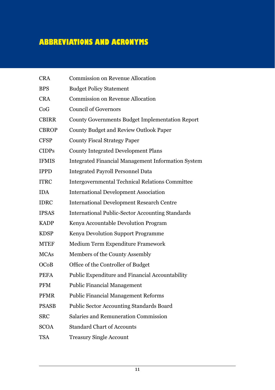# **ABBREVIATIONS AND ACRONYMS**

| <b>CRA</b>   | <b>Commission on Revenue Allocation</b>                   |
|--------------|-----------------------------------------------------------|
| <b>BPS</b>   | <b>Budget Policy Statement</b>                            |
| <b>CRA</b>   | <b>Commission on Revenue Allocation</b>                   |
| CoG          | <b>Council of Governors</b>                               |
| <b>CBIRR</b> | <b>County Governments Budget Implementation Report</b>    |
| <b>CBROP</b> | <b>County Budget and Review Outlook Paper</b>             |
| <b>CFSP</b>  | <b>County Fiscal Strategy Paper</b>                       |
| <b>CIDPs</b> | <b>County Integrated Development Plans</b>                |
| <b>IFMIS</b> | <b>Integrated Financial Management Information System</b> |
| <b>IPPD</b>  | <b>Integrated Payroll Personnel Data</b>                  |
| <b>ITRC</b>  | <b>Intergovernmental Technical Relations Committee</b>    |
| <b>IDA</b>   | <b>International Development Association</b>              |
| <b>IDRC</b>  | <b>International Development Research Centre</b>          |
| <b>IPSAS</b> | <b>International Public-Sector Accounting Standards</b>   |
| <b>KADP</b>  | Kenya Accountable Devolution Program                      |
| <b>KDSP</b>  | Kenya Devolution Support Programme                        |
| <b>MTEF</b>  | Medium Term Expenditure Framework                         |
| <b>MCAs</b>  | Members of the County Assembly                            |
| OCoB         | Office of the Controller of Budget                        |
| <b>PEFA</b>  | Public Expenditure and Financial Accountability           |
| <b>PFM</b>   | <b>Public Financial Management</b>                        |
| <b>PFMR</b>  | <b>Public Financial Management Reforms</b>                |
| <b>PSASB</b> | Public Sector Accounting Standards Board                  |
| <b>SRC</b>   | Salaries and Remuneration Commission                      |
| <b>SCOA</b>  | <b>Standard Chart of Accounts</b>                         |
| TSA          | <b>Treasury Single Account</b>                            |
|              |                                                           |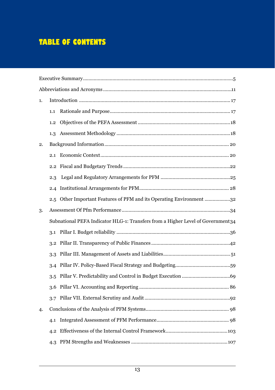# **TABLE OF CONTENTS**

| 1. |     |                                                                                  |
|----|-----|----------------------------------------------------------------------------------|
|    | 1.1 |                                                                                  |
|    | 1.2 |                                                                                  |
|    | 1.3 |                                                                                  |
| 2. |     |                                                                                  |
|    | 2.1 |                                                                                  |
|    | 2.2 |                                                                                  |
|    | 2.3 |                                                                                  |
|    | 2.4 |                                                                                  |
|    | 2.5 | Other Important Features of PFM and its Operating Environment 32                 |
| 3. |     |                                                                                  |
|    |     | Subnational PEFA Indicator HLG-1: Transfers from a Higher Level of Government 34 |
|    | 3.1 |                                                                                  |
|    | 3.2 |                                                                                  |
|    | 3.3 |                                                                                  |
|    | 3.4 |                                                                                  |
|    | 3.5 |                                                                                  |
|    | 3.6 |                                                                                  |
|    | 3.7 |                                                                                  |
| 4. |     |                                                                                  |
|    | 4.1 |                                                                                  |
|    | 4.2 |                                                                                  |
|    |     |                                                                                  |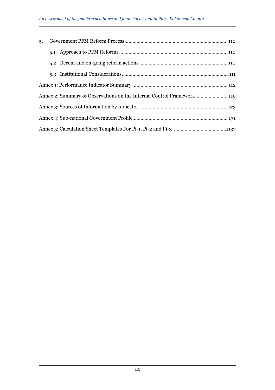| 5. |  |
|----|--|
|    |  |
|    |  |
|    |  |
|    |  |
|    |  |
|    |  |
|    |  |
|    |  |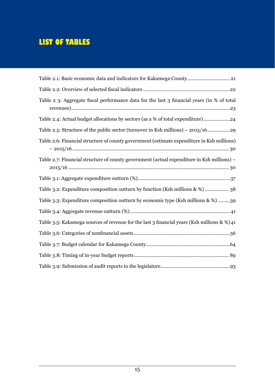# **LIST OF TABLES**

| Table 2.1: Basic economic data and indicators for Kakamega County 21                       |
|--------------------------------------------------------------------------------------------|
|                                                                                            |
| Table 2 3: Aggregate fiscal performance data for the last 3 financial years (in % of total |
| Table 2.4: Actual budget allocations by sectors (as a % of total expenditure)24            |
| Table 2.5: Structure of the public sector (turnover in Ksh millions) - 2015/1629           |
| Table 2.6: Financial structure of county government (estimate expenditure in Ksh millions) |
| Table 2.7: Financial structure of county government (actual expenditure in Ksh millions) - |
|                                                                                            |
|                                                                                            |
| Table 3.2: Expenditure composition outturn by function (Ksh millions & %) 38               |
| Table 3.3: Expenditure composition outturn by economic type (Ksh millions & %) 39          |
|                                                                                            |
| Table 3.5: Kakamega sources of revenue for the last 3 financial years (Ksh millions & %)41 |
|                                                                                            |
|                                                                                            |
|                                                                                            |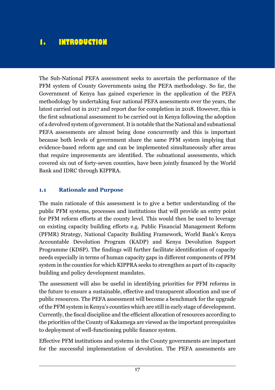# **1. INTRODUCTION**

The Sub-National PEFA assessment seeks to ascertain the performance of the PFM system of County Governments using the PEFA methodology. So far, the Government of Kenya has gained experience in the application of the PEFA methodology by undertaking four national PEFA assessments over the years, the latest carried out in 2017 and report due for completion in 2018. However, this is the first subnational assessment to be carried out in Kenya following the adoption of a devolved system of government. It is notable that the National and subnational PEFA assessments are almost being done concurrently and this is important because both levels of government share the same PFM system implying that evidence-based reform age and can be implemented simultaneously after areas that require improvements are identified. The subnational assessments, which covered six out of forty-seven counties, have been jointly financed by the World Bank and IDRC through KIPPRA.

#### **1.1 Rationale and Purpose**

The main rationale of this assessment is to give a better understanding of the public PFM systems, processes and institutions that will provide an entry point for PFM reform efforts at the county level. This would then be used to leverage on existing capacity building efforts e.g. Public Financial Management Reform (PFMR) Strategy, National Capacity Building Framework, World Bank's Kenya Accountable Devolution Program (KADP) and Kenya Devolution Support Programme (KDSP). The findings will further facilitate identification of capacity needs especially in terms of human capacity gaps in different components of PFM system in the counties for which KIPPRA seeks to strengthen as part of its capacity building and policy development mandates.

The assessment will also be useful in identifying priorities for PFM reforms in the future to ensure a sustainable, effective and transparent allocation and use of public resources. The PEFA assessment will become a benchmark for the upgrade of the PFM system in Kenya's counties which are still in early stage of development. Currently, the fiscal discipline and the efficient allocation of resources according to the priorities of the County of Kakamega are viewed as the important prerequisites to deployment of well-functioning public finance system.

Effective PFM institutions and systems in the County governments are important for the successful implementation of devolution. The PEFA assessments are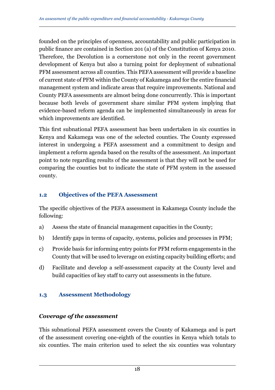founded on the principles of openness, accountability and public participation in public finance are contained in Section 201 (a) of the Constitution of Kenya 2010. Therefore, the Devolution is a cornerstone not only in the recent government development of Kenya but also a turning point for deployment of subnational PFM assessment across all counties. This PEFA assessment will provide a baseline of current state of PFM within the County of Kakamega and for the entire financial management system and indicate areas that require improvements. National and County PEFA assessments are almost being done concurrently. This is important because both levels of government share similar PFM system implying that evidence-based reform agenda can be implemented simultaneously in areas for which improvements are identified.

This first subnational PEFA assessment has been undertaken in six counties in Kenya and Kakamega was one of the selected counties. The County expressed interest in undergoing a PEFA assessment and a commitment to design and implement a reform agenda based on the results of the assessment. An important point to note regarding results of the assessment is that they will not be used for comparing the counties but to indicate the state of PFM system in the assessed county.

### **1.2 Objectives of the PEFA Assessment**

The specific objectives of the PEFA assessment in Kakamega County include the following:

- a) Assess the state of financial management capacities in the County;
- b) Identify gaps in terms of capacity, systems, policies and processes in PFM;
- c) Provide basis for informing entry points for PFM reform engagements in the County that will be used to leverage on existing capacity building efforts; and
- d) Facilitate and develop a self-assessment capacity at the County level and build capacities of key staff to carry out assessments in the future.

### **1.3 Assessment Methodology**

#### *Coverage of the assessment*

This subnational PEFA assessment covers the County of Kakamega and is part of the assessment covering one-eighth of the counties in Kenya which totals to six counties. The main criterion used to select the six counties was voluntary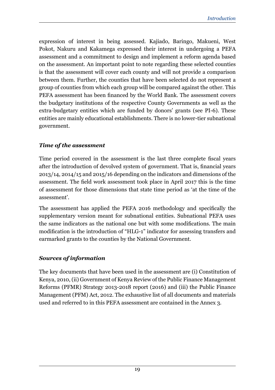expression of interest in being assessed. Kajiado, Baringo, Makueni, West Pokot, Nakuru and Kakamega expressed their interest in undergoing a PEFA assessment and a commitment to design and implement a reform agenda based on the assessment. An important point to note regarding these selected counties is that the assessment will cover each county and will not provide a comparison between them. Further, the counties that have been selected do not represent a group of counties from which each group will be compared against the other. This PEFA assessment has been financed by the World Bank. The assessment covers the budgetary institutions of the respective County Governments as well as the extra-budgetary entities which are funded by donors' grants (see PI-6). These entities are mainly educational establishments. There is no lower-tier subnational government.

#### *Time of the assessment*

Time period covered in the assessment is the last three complete fiscal years after the introduction of devolved system of government. That is, financial years 2013/14, 2014/15 and 2015/16 depending on the indicators and dimensions of the assessment. The field work assessment took place in April 2017 this is the time of assessment for those dimensions that state time period as 'at the time of the assessment'.

The assessment has applied the PEFA 2016 methodology and specifically the supplementary version meant for subnational entities. Subnational PEFA uses the same indicators as the national one but with some modifications. The main modification is the introduction of "HLG-1" indicator for assessing transfers and earmarked grants to the counties by the National Government.

#### *Sources of information*

The key documents that have been used in the assessment are (i) Constitution of Kenya, 2010, (ii) Government of Kenya Review of the Public Finance Management Reforms (PFMR) Strategy 2013-2018 report (2016) and (iii) the Public Finance Management (PFM) Act, 2012. The exhaustive list of all documents and materials used and referred to in this PEFA assessment are contained in the Annex 3.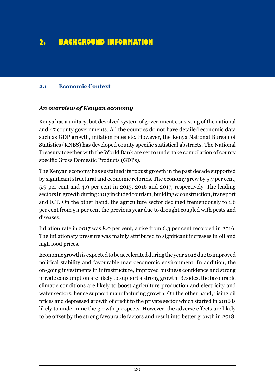# **2. BACKGROUND INFORMATION**

#### **2.1 Economic Context**

#### *An overview of Kenyan economy*

Kenya has a unitary, but devolved system of government consisting of the national and 47 county governments. All the counties do not have detailed economic data such as GDP growth, inflation rates etc. However, the Kenya National Bureau of Statistics (KNBS) has developed county specific statistical abstracts. The National Treasury together with the World Bank are set to undertake compilation of county specific Gross Domestic Products (GDPs).

The Kenyan economy has sustained its robust growth in the past decade supported by significant structural and economic reforms. The economy grew by 5.7 per cent, 5.9 per cent and 4.9 per cent in 2015, 2016 and 2017, respectively. The leading sectors in growth during 2017 included tourism, building & construction, transport and ICT. On the other hand, the agriculture sector declined tremendously to 1.6 per cent from 5.1 per cent the previous year due to drought coupled with pests and diseases.

Inflation rate in 2017 was 8.0 per cent, a rise from 6.3 per cent recorded in 2016. The inflationary pressure was mainly attributed to significant increases in oil and high food prices.

Economic growth is expected to be accelerated during the year 2018 due to improved political stability and favourable macroeconomic environment. In addition, the on-going investments in infrastructure, improved business confidence and strong private consumption are likely to support a strong growth. Besides, the favourable climatic conditions are likely to boost agriculture production and electricity and water sectors, hence support manufacturing growth. On the other hand, rising oil prices and depressed growth of credit to the private sector which started in 2016 is likely to undermine the growth prospects. However, the adverse effects are likely to be offset by the strong favourable factors and result into better growth in 2018.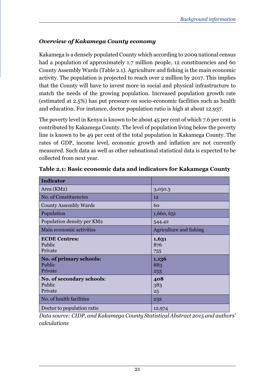# *Overview of Kakamega County economy*

Kakamega is a densely populated County which according to 2009 national census had a population of approximately 1.7 million people, 12 constituencies and 60 County Assembly Wards (Table 2.1). Agriculture and fishing is the main economic activity. The population is projected to reach over 2 million by 2017. This implies that the County will have to invest more in social and physical infrastructure to match the needs of the growing population. Increased population growth rate (estimated at 2.5%) has put pressure on socio-economic facilities such as health and education. For instance, doctor population ratio is high at about 12,937.

The poverty level in Kenya is known to be about 45 per cent of which 7.6 per cent is contributed by Kakamega County. The level of population living below the poverty line is known to be 49 per cent of the total population in Kakamega County. The rates of GDP, income level, economic growth and inflation are not currently measured. Such data as well as other subnational statistical data is expected to be collected from next year.

| <b>Indicator</b>                                                     |                              |
|----------------------------------------------------------------------|------------------------------|
| Area (KM2)                                                           | 3,050.3                      |
| No. of Constituencies                                                | 12                           |
| County Assembly Wards                                                | 60                           |
| Population                                                           | 1,660, 651                   |
| Population density per KM2                                           | 544.42                       |
| Main economic activities                                             | Agriculture and fishing      |
| <b>ECDE Centres:</b><br>Public<br>Private<br>No. of primary schools: | 1,631<br>876<br>755<br>1,136 |
| Public<br>Private                                                    | 883<br>253                   |
| No. of secondary schools:<br>Public<br>Private                       | 408<br>383<br>25             |
| No. of health facilities                                             | 232                          |
| Doctor to population ratio                                           | 12,974                       |

**Table 2.1: Basic economic data and indicators for Kakamega County**

*Data source: CIDP, and Kakamega County Statistical Abstract 2015 and authors' calculations*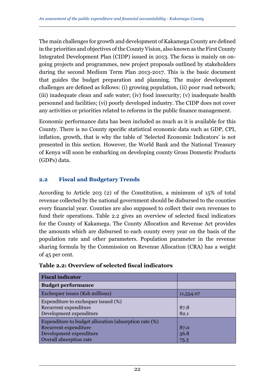The main challenges for growth and development of Kakamega County are defined in the priorities and objectives of the County Vision, also known as the First County Integrated Development Plan (CIDP) issued in 2013. The focus is mainly on ongoing projects and programmes, new project proposals outlined by stakeholders during the second Medium Term Plan 2013-2017. This is the basic document that guides the budget preparation and planning. The major development challenges are defined as follows: (i) growing population, (ii) poor road network; (iii) inadequate clean and safe water; (iv) food insecurity; (v) inadequate health personnel and facilities; (vi) poorly developed industry. The CIDP does not cover any activities or priorities related to reforms in the public finance management.

Economic performance data has been included as much as it is available for this County. There is no County specific statistical economic data such as GDP, CPI, inflation, growth, that is why the table of 'Selected Economic Indicators' is not presented in this section. However, the World Bank and the National Treasury of Kenya will soon be embarking on developing county Gross Domestic Products (GDPs) data.

#### **2.2 Fiscal and Budgetary Trends**

According to Article 203 (2) of the Constitution, a minimum of 15% of total revenue collected by the national government should be disbursed to the counties every financial year. Counties are also supposed to collect their own revenues to fund their operations. Table 2.2 gives an overview of selected fiscal indicators for the County of Kakamega. The County Allocation and Revenue Act provides the amounts which are disbursed to each county every year on the basis of the population rate and other parameters. Population parameter in the revenue sharing formula by the Commission on Revenue Allocation (CRA) has a weight of 45 per cent.

| <b>Fiscal indicator</b>                                                                                                              |                      |
|--------------------------------------------------------------------------------------------------------------------------------------|----------------------|
| <b>Budget performance</b>                                                                                                            |                      |
| Exchequer issues (Ksh millions)                                                                                                      | 11,554.07            |
| Expenditure to exchequer issued (%)<br>Recurrent expenditure<br>Development expenditure                                              | 87.8<br>82.1         |
| Expenditure to budget allocation (absorption rate (%)<br>Recurrent expenditure<br>Development expenditure<br>Overall absorption rate | 87.0<br>56.8<br>75.3 |

#### **Table 2.2: Overview of selected fiscal indicators**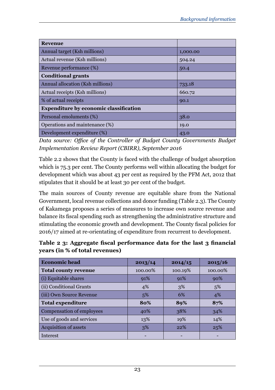| <b>Revenue</b>                                |          |  |
|-----------------------------------------------|----------|--|
| Annual target (Ksh millions)                  | 1,000.00 |  |
| Actual revenue (Ksh millions)                 | 504.24   |  |
| Revenue performance (%)                       | 50.4     |  |
| <b>Conditional grants</b>                     |          |  |
| Annual allocation (Ksh millions)              | 733.18   |  |
| Actual receipts (Ksh millions)                | 660.72   |  |
| % of actual receipts                          | 90.1     |  |
| <b>Expenditure by economic classification</b> |          |  |
| Personal emoluments (%)                       | 38.0     |  |
| Operations and maintenance (%)                | 19.0     |  |
| Development expenditure (%)                   | 43.0     |  |

*Data source: Office of the Controller of Budget County Governments Budget Implementation Review Report (CBIRR), September 2016*

Table 2.2 shows that the County is faced with the challenge of budget absorption which is 75.3 per cent. The County performs well within allocating the budget for development which was about 43 per cent as required by the PFM Act, 2012 that stipulates that it should be at least 30 per cent of the budget.

The main sources of County revenue are equitable share from the National Government, local revenue collections and donor funding (Table 2.3). The County of Kakamega proposes a series of measures to increase own source revenue and balance its fiscal spending such as strengthening the administrative structure and stimulating the economic growth and development. The County fiscal policies for 2016/17 aimed at re-orientating of expenditure from recurrent to development.

|                                | Table 2 3: Aggregate fiscal performance data for the last 3 financial |  |
|--------------------------------|-----------------------------------------------------------------------|--|
| years (in % of total revenues) |                                                                       |  |

| <b>Economic head</b>        | 2013/14  | 2014/15 | 2015/16 |  |
|-----------------------------|----------|---------|---------|--|
| <b>Total county revenue</b> | 100.00%  | 100.19% | 100.00% |  |
| (i) Equitable shares        | 91%      | 91%     | 90%     |  |
| (ii) Conditional Grants     | 4%       | 3%      | 5%      |  |
| (iii) Own Source Revenue    | 6%<br>5% |         | 4%      |  |
| <b>Total expenditure</b>    | 80%      | 89%     | 87%     |  |
| Compensation of employees   | 40%      | 38%     | 34%     |  |
| Use of goods and services   | 13%      | 19%     | 14%     |  |
| Acquisition of assets       | 3%       | 22%     | 25%     |  |
| Interest                    |          |         |         |  |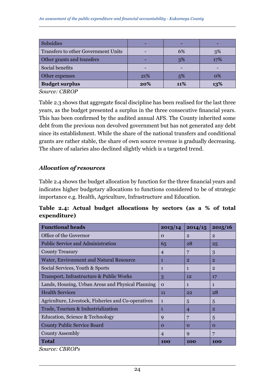| <b>Subsidies</b>                    | -   |     |     |
|-------------------------------------|-----|-----|-----|
| Transfers to other Government Units | -   | 6%  | 3%  |
| Other grants and transfers          | -   | 3%  | 17% |
| Social benefits                     | -   |     |     |
| Other expenses                      | 21% | 5%  | 0%  |
| <b>Budget surplus</b>               | 20% | 11% | 13% |

*Source: CBROP*

Table 2.3 shows that aggregate fiscal discipline has been realised for the last three years, as the budget presented a surplus in the three consecutive financial years. This has been confirmed by the audited annual AFS. The County inherited some debt from the previous non devolved government but has not generated any debt since its establishment. While the share of the national transfers and conditional grants are rather stable, the share of own source revenue is gradually decreasing. The share of salaries also declined slightly which is a targeted trend.

#### *Allocation of resources*

Table 2.4 shows the budget allocation by function for the three financial years and indicates higher budgetary allocations to functions considered to be of strategic importance e.g. Health, Agriculture, Infrastructure and Education.

#### **Table 2.4: Actual budget allocations by sectors (as a % of total expenditure)**

| <b>Functional heads</b>                             | 2013/14        | 2014/15        | 2015/16        |
|-----------------------------------------------------|----------------|----------------|----------------|
| Office of the Governor                              | $\Omega$       | $\overline{2}$ | $\overline{2}$ |
| <b>Public Service and Administration</b>            | 65             | 28             | 25             |
| <b>County Treasury</b>                              | 4              | 7              | 3              |
| Water, Environment and Natural Resource             | 1              | $\overline{2}$ | $\overline{2}$ |
| Social Services, Youth & Sports                     | 1              | $\mathbf{1}$   | $\overline{2}$ |
| Transport, Infrastructure & Public Works            | 3              | 12             | 17             |
| Lands, Housing, Urban Areas and Physical Planning   | $\Omega$       | $\mathbf{1}$   | $\mathbf{1}$   |
| <b>Health Services</b>                              | 11             | 22             | 28             |
| Agriculture, Livestock, Fisheries and Co-operatives | 1              | 5              | 5              |
| Trade, Tourism & Industrialization                  | 1              | $\overline{4}$ | $\overline{2}$ |
| Education, Science & Technology                     | 9              | 7              | 5              |
| County Public Service Board                         | $\Omega$       | $\Omega$       | $\Omega$       |
| County Assembly                                     | $\overline{4}$ | $\mathbf Q$    | 7              |
| Total                                               | 100            | 100            | 100            |

*Source: CBROPs*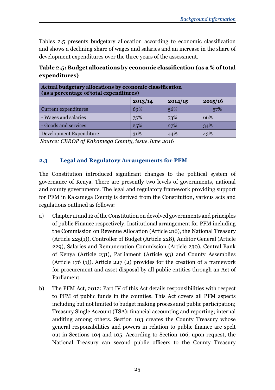Tables 2.5 presents budgetary allocation according to economic classification and shows a declining share of wages and salaries and an increase in the share of development expenditures over the three years of the assessment.

| Actual budgetary allocations by economic classification<br>(as a percentage of total expenditures) |         |         |         |  |  |  |  |
|----------------------------------------------------------------------------------------------------|---------|---------|---------|--|--|--|--|
|                                                                                                    | 2013/14 | 2014/15 | 2015/16 |  |  |  |  |
| Current expenditures                                                                               | 69%     | 56%     | 57%     |  |  |  |  |
| - Wages and salaries                                                                               | 75%     | 73%     | 66%     |  |  |  |  |
| - Goods and services                                                                               | 25%     | 27%     | 34%     |  |  |  |  |
| Development Expenditure                                                                            | 31%     | 44%     | 43%     |  |  |  |  |

**Table 2.5: Budget allocations by economic classification (as a % of total expenditures)**

 *Source: CBROP of Kakamega County, issue June 2016*

### **2.3 Legal and Regulatory Arrangements for PFM**

The Constitution introduced significant changes to the political system of governance of Kenya. There are presently two levels of governments, national and county governments. The legal and regulatory framework providing support for PFM in Kakamega County is derived from the Constitution, various acts and regulations outlined as follows:

- a) Chapter 11 and 12 of the Constitution on devolved governments and principles of public Finance respectively. Institutional arrangement for PFM including the Commission on Revenue Allocation (Article 216), the National Treasury (Article 225(1)), Controller of Budget (Article 228), Auditor General (Article 229), Salaries and Remuneration Commission (Article 230), Central Bank of Kenya (Article 231), Parliament (Article 93) and County Assemblies (Article 176 (1)). Article 227 (2) provides for the creation of a framework for procurement and asset disposal by all public entities through an Act of Parliament.
- b) The PFM Act, 2012: Part IV of this Act details responsibilities with respect to PFM of public funds in the counties. This Act covers all PFM aspects including but not limited to budget making process and public participation; Treasury Single Account (TSA); financial accounting and reporting; internal auditing among others. Section 103 creates the County Treasury whose general responsibilities and powers in relation to public finance are spelt out in Sections 104 and 105. According to Section 106, upon request, the National Treasury can second public officers to the County Treasury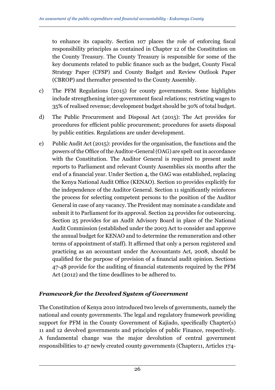to enhance its capacity. Section 107 places the role of enforcing fiscal responsibility principles as contained in Chapter 12 of the Constitution on the County Treasury. The County Treasury is responsible for some of the key documents related to public finance such as the budget, County Fiscal Strategy Paper (CFSP) and County Budget and Review Outlook Paper (CBROP) and thereafter presented to the County Assembly.

- c) The PFM Regulations (2015) for county governments. Some highlights include strengthening inter-government fiscal relations; restricting wages to 35% of realised revenue; development budget should be 30% of total budget.
- d) The Public Procurement and Disposal Act (2015): The Act provides for procedures for efficient public procurement; procedures for assets disposal by public entities. Regulations are under development.
- e) Public Audit Act (2015): provides for the organisation, the functions and the powers of the Office of the Auditor-General (OAG) are spelt out in accordance with the Constitution. The Auditor General is required to present audit reports to Parliament and relevant County Assemblies six months after the end of a financial year. Under Section 4, the OAG was established, replacing the Kenya National Audit Office (KENAO). Section 10 provides explicitly for the independence of the Auditor General. Section 11 significantly reinforces the process for selecting competent persons to the position of the Auditor General in case of any vacancy. The President may nominate a candidate and submit it to Parliament for its approval. Section 24 provides for outsourcing. Section 25 provides for an Audit Advisory Board in place of the National Audit Commission (established under the 2003 Act to consider and approve the annual budget for KENAO and to determine the remuneration and other terms of appointment of staff). It affirmed that only a person registered and practicing as an accountant under the Accountants Act, 2008, should be qualified for the purpose of provision of a financial audit opinion. Sections 47-48 provide for the auditing of financial statements required by the PFM Act (2012) and the time deadlines to be adhered to.

### *Framework for the Devolved System of Government*

The Constitution of Kenya 2010 introduced two levels of governments, namely the national and county governments. The legal and regulatory framework providing support for PFM in the County Government of Kajiado, specifically Chapter(s) 11 and 12 devolved governments and principles of public Finance, respectively. A fundamental change was the major devolution of central government responsibilities to 47 newly created county governments (Chapter11, Articles 174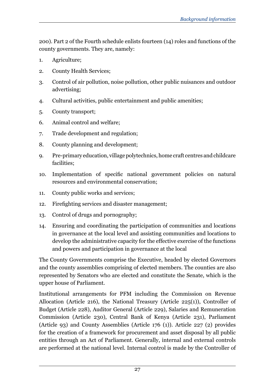200). Part 2 of the Fourth schedule enlists fourteen (14) roles and functions of the county governments. They are, namely:

- 1. Agriculture;
- 2. County Health Services;
- 3. Control of air pollution, noise pollution, other public nuisances and outdoor advertising;
- 4. Cultural activities, public entertainment and public amenities;
- 5. County transport;
- 6. Animal control and welfare;
- 7. Trade development and regulation;
- 8. County planning and development;
- 9. Pre-primary education, village polytechnics, home craft centres and childcare facilities;
- 10. Implementation of specific national government policies on natural resources and environmental conservation;
- 11. County public works and services;
- 12. Firefighting services and disaster management;
- 13. Control of drugs and pornography;
- 14. Ensuring and coordinating the participation of communities and locations in governance at the local level and assisting communities and locations to develop the administrative capacity for the effective exercise of the functions and powers and participation in governance at the local

The County Governments comprise the Executive, headed by elected Governors and the county assemblies comprising of elected members. The counties are also represented by Senators who are elected and constitute the Senate, which is the upper house of Parliament.

Institutional arrangements for PFM including the Commission on Revenue Allocation (Article 216), the National Treasury (Article  $225(1)$ ), Controller of Budget (Article 228), Auditor General (Article 229), Salaries and Remuneration Commission (Article 230), Central Bank of Kenya (Article 231), Parliament (Article 93) and County Assemblies (Article 176 (1)). Article 227 (2) provides for the creation of a framework for procurement and asset disposal by all public entities through an Act of Parliament. Generally, internal and external controls are performed at the national level. Internal control is made by the Controller of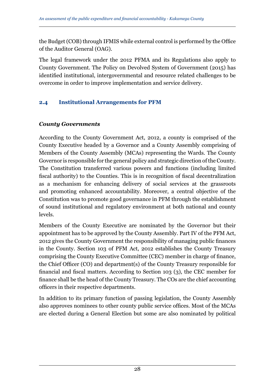the Budget (COB) through IFMIS while external control is performed by the Office of the Auditor General (OAG).

The legal framework under the 2012 PFMA and its Regulations also apply to County Government. The Policy on Devolved System of Government (2015) has identified institutional, intergovernmental and resource related challenges to be overcome in order to improve implementation and service delivery.

## **2.4 Institutional Arrangements for PFM**

### *County Governments*

According to the County Government Act, 2012, a county is comprised of the County Executive headed by a Governor and a County Assembly comprising of Members of the County Assembly (MCAs) representing the Wards. The County Governor is responsible for the general policy and strategic direction of the County. The Constitution transferred various powers and functions (including limited fiscal authority) to the Counties. This is in recognition of fiscal decentralization as a mechanism for enhancing delivery of social services at the grassroots and promoting enhanced accountability. Moreover, a central objective of the Constitution was to promote good governance in PFM through the establishment of sound institutional and regulatory environment at both national and county levels.

Members of the County Executive are nominated by the Governor but their appointment has to be approved by the County Assembly. Part IV of the PFM Act, 2012 gives the County Government the responsibility of managing public finances in the County. Section 103 of PFM Act, 2012 establishes the County Treasury comprising the County Executive Committee (CEC) member in charge of finance, the Chief Officer (CO) and department(s) of the County Treasury responsible for financial and fiscal matters. According to Section 103 (3), the CEC member for finance shall be the head of the County Treasury. The COs are the chief accounting officers in their respective departments.

In addition to its primary function of passing legislation, the County Assembly also approves nominees to other county public service offices. Most of the MCAs are elected during a General Election but some are also nominated by political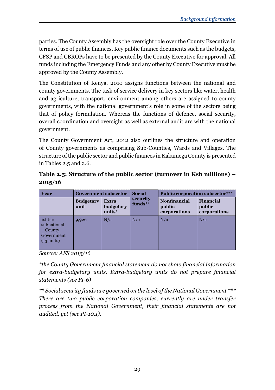parties. The County Assembly has the oversight role over the County Executive in terms of use of public finances. Key public finance documents such as the budgets, CFSP and CBROPs have to be presented by the County Executive for approval. All funds including the Emergency Funds and any other by County Executive must be approved by the County Assembly.

The Constitution of Kenya, 2010 assigns functions between the national and county governments. The task of service delivery in key sectors like water, health and agriculture, transport, environment among others are assigned to county governments, with the national government's role in some of the sectors being that of policy formulation. Whereas the functions of defence, social security, overall coordination and oversight as well as external audit are with the national government.

The County Government Act, 2012 also outlines the structure and operation of County governments as comprising Sub-Counties, Wards and Villages. The structure of the public sector and public finances in Kakamega County is presented in Tables 2.5 and 2.6.

**Table 2.5: Structure of the public sector (turnover in Ksh millions) – 2015/16**

| Year                                                                      | <b>Government subsector</b> |                                     | <b>Social</b>         |                                               | <b>Public corporation subsector***</b> |
|---------------------------------------------------------------------------|-----------------------------|-------------------------------------|-----------------------|-----------------------------------------------|----------------------------------------|
|                                                                           | <b>Budgetary</b><br>unit    | <b>Extra</b><br>budgetary<br>units* | security<br>$funds**$ | <b>Nonfinancial</b><br>public<br>corporations | Financial<br>public<br>corporations    |
| 1st tier<br>subnational<br>– County<br>Government<br>$(13 \text{ units})$ | 9,926                       | N/a                                 | N/a                   | N/a                                           | N/a                                    |

*Source: AFS 2015/16*

*\*the County Government financial statement do not show financial information for extra-budgetary units. Extra-budgetary units do not prepare financial statements (see PI-6)* 

*\*\* Social security funds are governed on the level of the National Government \*\*\* There are two public corporation companies, currently are under transfer process from the National Government, their financial statements are not audited, yet (see PI-10.1).*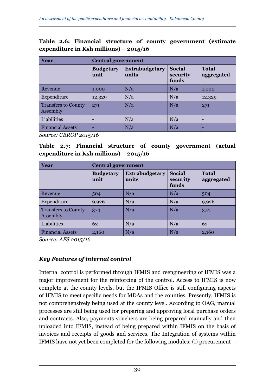|  |                                        |  | Table 2.6: Financial structure of county government (estimate |  |
|--|----------------------------------------|--|---------------------------------------------------------------|--|
|  | expenditure in Ksh millions) – 2015/16 |  |                                                               |  |

| <b>Year</b>                            |                          | <b>Central government</b>      |                             |                            |  |  |  |  |
|----------------------------------------|--------------------------|--------------------------------|-----------------------------|----------------------------|--|--|--|--|
|                                        | <b>Budgetary</b><br>unit | <b>Extrabudgetary</b><br>units | Social<br>security<br>funds | <b>Total</b><br>aggregated |  |  |  |  |
| Revenue                                | 1,000                    | N/a                            | N/a                         | 1,000                      |  |  |  |  |
| Expenditure                            | 12,329                   | N/a                            | N/a                         | 12,329                     |  |  |  |  |
| <b>Transfers to County</b><br>Assembly | 271                      | N/a                            | N/a                         | 271                        |  |  |  |  |
| Liabilities                            | -                        | N/a                            | N/a                         | $\qquad \qquad$            |  |  |  |  |
| <b>Financial Assets</b>                | -                        | N/a                            | N/a                         | ٠                          |  |  |  |  |

*Source: CBROP 2015/16*

**Table 2.7: Financial structure of county government (actual expenditure in Ksh millions) – 2015/16**

| <b>Year</b>                            |                          | <b>Central government</b>      |                                    |                            |  |  |  |  |
|----------------------------------------|--------------------------|--------------------------------|------------------------------------|----------------------------|--|--|--|--|
|                                        | <b>Budgetary</b><br>unit | <b>Extrabudgetary</b><br>units | <b>Social</b><br>security<br>funds | <b>Total</b><br>aggregated |  |  |  |  |
| Revenue                                | 504                      | N/a                            | N/a                                | 504                        |  |  |  |  |
| Expenditure                            | 9,926                    | N/a                            | N/a                                | 9,926                      |  |  |  |  |
| <b>Transfers to County</b><br>Assembly | 374                      | N/a                            | N/a                                | 374                        |  |  |  |  |
| Liabilities                            | 62                       | N/a                            | N/a                                | 62                         |  |  |  |  |
| <b>Financial Assets</b>                | 2,160                    | N/a                            | N/a                                | 2,160                      |  |  |  |  |

*Source: AFS 2015/16*

### *Key Features of internal control*

Internal control is performed through IFMIS and reengineering of IFMIS was a major improvement for the reinforcing of the control. Access to IFMIS is now complete at the county levels, but the IFMIS Office is still configuring aspects of IFMIS to meet specific needs for MDAs and the counties. Presently, IFMIS is not comprehensively being used at the county level. According to OAG, manual processes are still being used for preparing and approving local purchase orders and contracts. Also, payments vouchers are being prepared manually and then uploaded into IFMIS, instead of being prepared within IFMIS on the basis of invoices and receipts of goods and services. The Integration of systems within IFMIS have not yet been completed for the following modules: (i) procurement –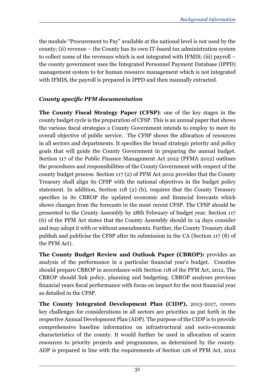the module "Procurement to Pay" available at the national level is not used by the county; (ii) revenue – the County has its own IT-based tax administration system to collect some of the revenues which is not integrated with IFMIS; (iii) payroll – the county government uses the Integrated Personnel Payment Database (IPPD) management system to for human resource management which is not integrated with IFMIS, the payroll is prepared in IPPD and then manually extracted.

### *County specific PFM documentation*

**The County Fiscal Strategy Paper (CFSP)**: one of the key stages in the county budget cycle is the preparation of CFSP. This is an annual paper that shows the various fiscal strategies a County Government intends to employ to meet its overall objective of public service. The CFSP shows the allocation of resources in all sectors and departments. It specifies the broad strategic priority and policy goals that will guide the County Government in preparing the annual budget. Section 117 of the Public Finance Management Act 2012 (PFMA 2012) outlines the procedures and responsibilities of the County Government with respect of the county budget process. Section 117 (2) of PFM Act 2012 provides that the County Treasury shall align its CFSP with the national objectives in the budget policy statement. In addition, Section 118 (2) (b), requires that the County Treasury specifies in its CBROP the updated economic and financial forecasts which shows changes from the forecasts in the most recent CFSP. The CFSP should be presented to the County Assembly by 28th February of budget year. Section 117 (6) of the PFM Act states that the County Assembly should in 14 days consider and may adopt it with or without amendments. Further, the County Treasury shall publish and publicise the CFSP after its submission in the CA (Section 117 (8) of the PFM Act).

**The County Budget Review and Outlook Paper (CBROP):** provides an analysis of the performance in a particular financial year's budget. Counties should prepare CBROP in accordance with Section 118 of the PFM Act, 2012. The CBROP should link policy, planning and budgeting. CBROP analyses previous financial years fiscal performance with focus on impact for the next financial year as detailed in the CFSP.

**The County Integrated Development Plan (CIDP),** 2013-2017, covers key challenges for considerations in all sectors are priorities as put forth in the respective Annual Development Plan (ADP). The purpose of the CIDP is to provide comprehensive baseline information on infrastructural and socio-economic characteristics of the county. It would further be used in allocation of scarce resources to priority projects and programmes, as determined by the county. ADP is prepared in line with the requirements of Section 126 of PFM Act, 2012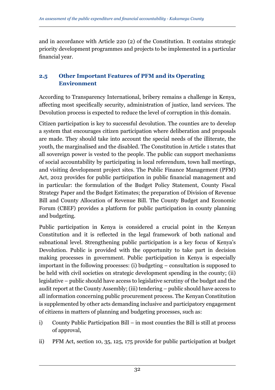and in accordance with Article 220 (2) of the Constitution. It contains strategic priority development programmes and projects to be implemented in a particular financial year.

### **2.5 Other Important Features of PFM and its Operating Environment**

According to Transparency International, bribery remains a challenge in Kenya, affecting most specifically security, administration of justice, land services. The Devolution process is expected to reduce the level of corruption in this domain.

Citizen participation is key to successful devolution. The counties are to develop a system that encourages citizen participation where deliberation and proposals are made. They should take into account the special needs of the illiterate, the youth, the marginalised and the disabled. The Constitution in Article 1 states that all sovereign power is vested to the people. The public can support mechanisms of social accountability by participating in local referendum, town hall meetings, and visiting development project sites. The Public Finance Management (PFM) Act, 2012 provides for public participation in public financial management and in particular: the formulation of the Budget Policy Statement, County Fiscal Strategy Paper and the Budget Estimates; the preparation of Division of Revenue Bill and County Allocation of Revenue Bill. The County Budget and Economic Forum (CBEF) provides a platform for public participation in county planning and budgeting.

Public participation in Kenya is considered a crucial point in the Kenyan Constitution and it is reflected in the legal framework of both national and subnational level. Strengthening public participation is a key focus of Kenya's Devolution. Public is provided with the opportunity to take part in decision making processes in government. Public participation in Kenya is especially important in the following processes: (i) budgeting – consultation is supposed to be held with civil societies on strategic development spending in the county; (ii) legislative – public should have access to legislative scrutiny of the budget and the audit report at the County Assembly; (iii) tendering – public should have access to all information concerning public procurement process. The Kenyan Constitution is supplemented by other acts demanding inclusive and participatory engagement of citizens in matters of planning and budgeting processes, such as:

- i) County Public Participation Bill in most counties the Bill is still at process of approval,
- ii) PFM Act, section 10, 35, 125, 175 provide for public participation at budget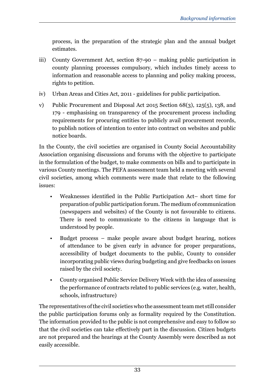process, in the preparation of the strategic plan and the annual budget estimates.

- iii) County Government Act, section 87-90 making public participation in county planning processes compulsory, which includes timely access to information and reasonable access to planning and policy making process, rights to petition.
- iv) Urban Areas and Cities Act, 2011 guidelines for public participation.
- v) Public Procurement and Disposal Act 2015 Section 68(3), 125(5), 138, and 179 - emphasising on transparency of the procurement process including requirements for procuring entities to publicly avail procurement records, to publish notices of intention to enter into contract on websites and public notice boards.

In the County, the civil societies are organised in County Social Accountability Association organising discussions and forums with the objective to participate in the formulation of the budget, to make comments on bills and to participate in various County meetings. The PEFA assessment team held a meeting with several civil societies, among which comments were made that relate to the following issues:

- Weaknesses identified in the Public Participation Act– short time for preparation of public participation forum. The medium of communication (newspapers and websites) of the County is not favourable to citizens. There is need to communicate to the citizens in language that is understood by people.
- Budget process make people aware about budget hearing, notices of attendance to be given early in advance for proper preparations, accessibility of budget documents to the public, County to consider incorporating public views during budgeting and give feedbacks on issues raised by the civil society.
- County organised Public Service Delivery Week with the idea of assessing the performance of contracts related to public services (e.g. water, health, schools, infrastructure)

The representatives of the civil societies who the assessment team met still consider the public participation forums only as formality required by the Constitution. The information provided to the public is not comprehensive and easy to follow so that the civil societies can take effectively part in the discussion. Citizen budgets are not prepared and the hearings at the County Assembly were described as not easily accessible.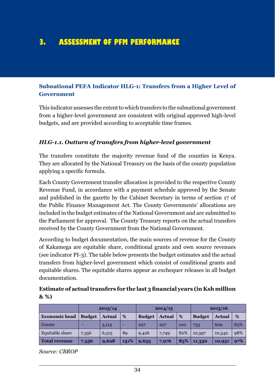# **3. ASSESSMENT OF PFM PERFORMANCE**

#### **Subnational PEFA Indicator HLG-1: Transfers from a Higher Level of Government**

This indicator assesses the extent to which transfers to the subnational government from a higher-level government are consistent with original approved high-level budgets, and are provided according to acceptable time frames.

#### *HLG-1.1. Outturn of transfers from higher-level government*

The transfers constitute the majority revenue fund of the counties in Kenya. They are allocated by the National Treasury on the basis of the county population applying a specific formula.

Each County Government transfer allocation is provided to the respective County Revenue Fund, in accordance with a payment schedule approved by the Senate and published in the gazette by the Cabinet Secretary in terms of section 17 of the Public Finance Management Act. The County Governments' allocations are included in the budget estimates of the National Government and are submitted to the Parliament for approval. The County Treasury reports on the actual transfers received by the County Government from the National Government.

According to budget documentation, the main sources of revenue for the County of Kakamega are equitable share, conditional grants and own source revenues (see indicator PI-3). The table below presents the budget estimates and the actual transfers from higher-level government which consist of conditional grants and equitable shares. The equitable shares appear as exchequer releases in all budget documentation.

| Estimate of actual transfers for the last 3 financial years (in Ksh million |  |
|-----------------------------------------------------------------------------|--|
| $\&\%$                                                                      |  |

|                      | 2013/14       |               |      |               | 2014/15       |     |               | 2015/16       |     |  |
|----------------------|---------------|---------------|------|---------------|---------------|-----|---------------|---------------|-----|--|
| <b>Economic head</b> | <b>Budget</b> | <b>Actual</b> | %    | <b>Budget</b> | <b>Actual</b> | %   | <b>Budget</b> | <b>Actual</b> | %   |  |
| Grants               |               | 3,113         | -    | 227           | 227           | 100 | 733           | 609           | 83% |  |
| Equitable share      | 7,356         | 6,515         | 89   | 9,426         | 7,749         | 82% | 10,597        | 10,342        | 98% |  |
| <b>Total revenue</b> | 7,356         | 9,628         | 131% | 9,653         | 7,976         | 83% | 11,330        | 10,951        | 97% |  |

*Source: CBROP*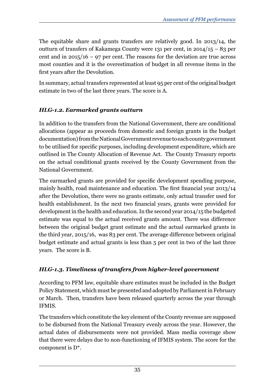The equitable share and grants transfers are relatively good. In 2013/14, the outturn of transfers of Kakamega County were 131 per cent, in 2014/15 – 83 per cent and in  $2015/16 - 97$  per cent. The reasons for the deviation are true across most counties and it is the overestimation of budget in all revenue items in the first years after the Devolution.

In summary, actual transfers represented at least 95 per cent of the original budget estimate in two of the last three years. The score is A.

## *HLG-1.2. Earmarked grants outturn*

In addition to the transfers from the National Government, there are conditional allocations (appear as proceeds from domestic and foreign grants in the budget documentation) from the National Government revenue to each county government to be utilised for specific purposes, including development expenditure, which are outlined in The County Allocation of Revenue Act. The County Treasury reports on the actual conditional grants received by the County Government from the National Government.

The earmarked grants are provided for specific development spending purpose, mainly health, road maintenance and education. The first financial year 2013/14 after the Devolution, there were no grants estimate, only actual transfer used for health establishment. In the next two financial years, grants were provided for development in the health and education. In the second year 2014/15 the budgeted estimate was equal to the actual received grants amount. There was difference between the original budget grant estimate and the actual earmarked grants in the third year, 2015/16, was 83 per cent. The average difference between original budget estimate and actual grants is less than 5 per cent in two of the last three years. The score is B.

# *HLG-1.3. Timeliness of transfers from higher-level government*

According to PFM law, equitable share estimates must be included in the Budget Policy Statement, which must be presented and adopted by Parliament in February or March. Then, transfers have been released quarterly across the year through IFMIS.

The transfers which constitute the key element of the County revenue are supposed to be disbursed from the National Treasury evenly across the year. However, the actual dates of disbursements were not provided. Mass media coverage show that there were delays due to non-functioning of IFMIS system. The score for the component is D\*.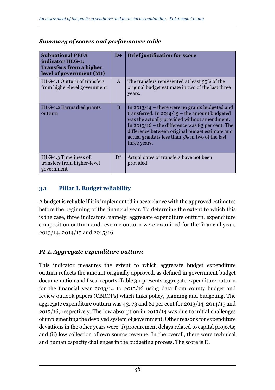| <b>Subnational PEFA</b><br>indicator HLG-1:<br><b>Transfers from a higher</b><br>level of government (M1) | $D+$         | <b>Brief justification for score</b>                                                                                                                                                                                                                                                                                             |
|-----------------------------------------------------------------------------------------------------------|--------------|----------------------------------------------------------------------------------------------------------------------------------------------------------------------------------------------------------------------------------------------------------------------------------------------------------------------------------|
| HLG-1.1 Outturn of transfers<br>from higher-level government                                              | $\mathsf{A}$ | The transfers represented at least 95% of the<br>original budget estimate in two of the last three<br>years.                                                                                                                                                                                                                     |
| HLG-1.2 Earmarked grants<br>outturn                                                                       | B            | In $2013/14$ – there were no grants budgeted and<br>transferred. In $2014/15$ – the amount budgeted<br>was the actually provided without amendment.<br>In $2015/16$ – the difference was 83 per cent. The<br>difference between original budget estimate and<br>actual grants is less than 5% in two of the last<br>three years. |
| HLG-1.3 Timeliness of<br>transfers from higher-level<br>government                                        | $D^*$        | Actual dates of transfers have not been<br>provided.                                                                                                                                                                                                                                                                             |

### *Summary of scores and performance table*

## **3.1 Pillar I. Budget reliability**

A budget is reliable if it is implemented in accordance with the approved estimates before the beginning of the financial year. To determine the extent to which this is the case, three indicators, namely: aggregate expenditure outturn, expenditure composition outturn and revenue outturn were examined for the financial years 2013/14, 2014/15 and 2015/16.

## *PI-1. Aggregate expenditure outturn*

This indicator measures the extent to which aggregate budget expenditure outturn reflects the amount originally approved, as defined in government budget documentation and fiscal reports. Table 3.1 presents aggregate expenditure outturn for the financial year 2013/14 to 2015/16 using data from county budget and review outlook papers (CBROPs) which links policy, planning and budgeting. The aggregate expenditure outturn was 43, 73 and 81 per cent for 2013/14, 2014/15 and 2015/16, respectively. The low absorption in 2013/14 was due to initial challenges of implementing the devolved system of government. Other reasons for expenditure deviations in the other years were (i) procurement delays related to capital projects; and (ii) low collection of own source revenue. In the overall, there were technical and human capacity challenges in the budgeting process. The score is D.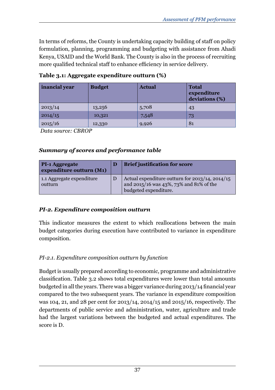In terms of reforms, the County is undertaking capacity building of staff on policy formulation, planning, programming and budgeting with assistance from Ahadi Kenya, USAID and the World Bank. The County is also in the process of recruiting more qualified technical staff to enhance efficiency in service delivery.

| inancial year | <b>Budget</b> | <b>Actual</b> | <b>Total</b><br>expenditure<br>deviations (%) |
|---------------|---------------|---------------|-----------------------------------------------|
| 2013/14       | 13,256        | 5,708         | 43                                            |
| 2014/15       | 10,321        | 7,548         | 73                                            |
| 2015/16       | 12,330        | 9,926         | 81                                            |

**Table 3.1: Aggregate expenditure outturn (%)**

 *Data source: CBROP*

## *Summary of scores and performance table*

| <b>PI-1 Aggregate</b><br>expenditure outturn (M1) | <b>Brief justification for score</b>                                                                                     |
|---------------------------------------------------|--------------------------------------------------------------------------------------------------------------------------|
| 1.1 Aggregate expenditure<br>outturn              | Actual expenditure outturn for $2013/14$ , $2014/15$<br>and 2015/16 was 43%, 73% and 81% of the<br>budgeted expenditure. |

## *PI-2. Expenditure composition outturn*

This indicator measures the extent to which reallocations between the main budget categories during execution have contributed to variance in expenditure composition.

## *PI-2.1. Expenditure composition outturn by function*

Budget is usually prepared according to economic, programme and administrative classification. Table 3.2 shows total expenditures were lower than total amounts budgeted in all the years. There was a bigger variance during 2013/14 financial year compared to the two subsequent years. The variance in expenditure composition was 104, 21, and 28 per cent for 2013/14, 2014/15 and 2015/16, respectively. The departments of public service and administration, water, agriculture and trade had the largest variations between the budgeted and actual expenditures. The score is D.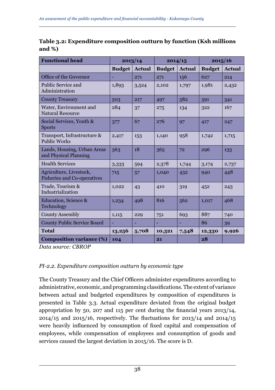| <b>Functional head</b>                                        |               | 2013/14       | 2014/15       |               |               | 2015/16       |  |
|---------------------------------------------------------------|---------------|---------------|---------------|---------------|---------------|---------------|--|
|                                                               | <b>Budget</b> | <b>Actual</b> | <b>Budget</b> | <b>Actual</b> | <b>Budget</b> | <b>Actual</b> |  |
| Office of the Governor                                        |               | 271           | 271           | 156           | 627           | 214           |  |
| Public Service and<br>Administration                          | 1,893         | 3,524         | 2,102         | 1,797         | 1,981         | 2,432         |  |
| <b>County Treasury</b>                                        | 503           | 217           | 497           | 582           | 391           | 341           |  |
| Water, Environment and<br><b>Natural Resource</b>             | 284           | 37            | 275           | 134           | 322           | 167           |  |
| Social Services, Youth &<br><b>Sports</b>                     | 377           | 67            | 276           | 97            | 417           | 247           |  |
| Transport, Infrastructure &<br><b>Public Works</b>            | 2,417         | 153           | 1,140         | 958           | 1,742         | 1,715         |  |
| Lands, Housing, Urban Areas<br>and Physical Planning          | 363           | 18            | 365           | 72            | 296           | 133           |  |
| <b>Health Services</b>                                        | 3,333         | 594           | 2,378         | 1,744         | 3,174         | 2,737         |  |
| Agriculture, Livestock,<br><b>Fisheries and Co-operatives</b> | 715           | 57            | 1,040         | 432           | 940           | 448           |  |
| Trade, Tourism &<br>Industrialization                         | 1,022         | 43            | 410           | 319           | 452           | 243           |  |
| Education, Science &<br>Technology                            | 1,234         | 498           | 816           | 562           | 1,017         | 468           |  |
| <b>County Assembly</b>                                        | 1,115         | 229           | 751           | 693           | 887           | 740           |  |
| <b>County Public Service Board</b>                            |               |               |               |               | 86            | 39            |  |
| Total                                                         | 13,256        | 5,708         | 10,321        | 7,548         | 12,330        | 9,926         |  |
| <b>Composition variance (%)</b>                               | 104           |               | 21            |               | 28            |               |  |

**Table 3.2: Expenditure composition outturn by function (Ksh millions and %)**

*Data source: CBROP*

## *PI-2.2. Expenditure composition outturn by economic type*

The County Treasury and the Chief Officers administer expenditures according to administrative, economic, and programming classifications. The extent of variance between actual and budgeted expenditures by composition of expenditures is presented in Table 3.3. Actual expenditure deviated from the original budget appropriation by 50, 207 and 115 per cent during the financial years 2013/14, 2014/15 and 2015/16, respectively. The fluctuations for 2013/14 and 2014/15 were heavily influenced by consumption of fixed capital and compensation of employees, while compensation of employees and consumption of goods and services caused the largest deviation in 2015/16. The score is D.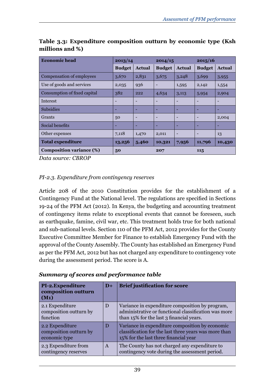| <b>Economic head</b>            | 2013/14         |               | 2014/15                  |                          | 2015/16                  |               |
|---------------------------------|-----------------|---------------|--------------------------|--------------------------|--------------------------|---------------|
|                                 | <b>Budget</b>   | <b>Actual</b> | <b>Budget</b>            | <b>Actual</b>            | <b>Budget</b>            | <b>Actual</b> |
| Compensation of employees       | 3,670           | 2,831         | 3,675                    | 3,248                    | 3,699                    | 3,955         |
| Use of goods and services       | 2,035           | 936           |                          | 1,595                    | 2,142                    | 1,554         |
| Consumption of fixed capital    | 382             | 222           | 4,634                    | 3,113                    | 5,954                    | 2,904         |
| <b>Interest</b>                 | $\qquad \qquad$ |               | $\overline{\phantom{0}}$ | $\overline{a}$           | $\overline{a}$           |               |
| <b>Subsidies</b>                | -               | -             | ۰                        | ٠                        | ۰                        | -             |
| Grants                          | 50              |               | $\overline{\phantom{0}}$ | $\overline{a}$           | $\overline{\phantom{a}}$ | 2,004         |
| Social benefits                 | -               |               | ۰                        | ٠                        | ۰                        |               |
| Other expenses                  | 7,118           | 1,470         | 2,011                    | $\overline{\phantom{0}}$ | $\overline{\phantom{a}}$ | 13            |
| <b>Total expenditure</b>        | 13,256          | 5,460         | 10,321                   | 7,956                    | 11,796                   | 10,430        |
| <b>Composition variance (%)</b> | 50              |               |                          |                          | 115                      |               |

**Table 3.3: Expenditure composition outturn by economic type (Ksh millions and %)**

*Data source: CBROP*

## *PI-2.3. Expenditure from contingency reserves*

Article 208 of the 2010 Constitution provides for the establishment of a Contingency Fund at the National level. The regulations are specified in Sections 19-24 of the PFM Act (2012). In Kenya, the budgeting and accounting treatment of contingency items relate to exceptional events that cannot be foreseen, such as earthquake, famine, civil war, etc. This treatment holds true for both national and sub-national levels. Section 110 of the PFM Act, 2012 provides for the County Executive Committee Member for Finance to establish Emergency Fund with the approval of the County Assembly. The County has established an Emergency Fund as per the PFM Act, 2012 but has not charged any expenditure to contingency vote during the assessment period. The score is A.

| PI-2. Expenditure<br>composition outturn<br>$(M_1)$        | $D+$         | <b>Brief justification for score</b>                                                                                                                |
|------------------------------------------------------------|--------------|-----------------------------------------------------------------------------------------------------------------------------------------------------|
| 2.1 Expenditure<br>composition outturn by<br>function      | D            | Variance in expenditure composition by program,<br>administrative or functional classification was more<br>than 15% for the last 3 financial years. |
| 2.2 Expenditure<br>composition outturn by<br>economic type | D            | Variance in expenditure composition by economic<br>classification for the last three years was more than<br>15% for the last three financial year   |
| 2.3 Expenditure from<br>contingency reserves               | $\mathsf{A}$ | The County has not charged any expenditure to<br>contingency vote during the assessment period.                                                     |

*Summary of scores and performance table*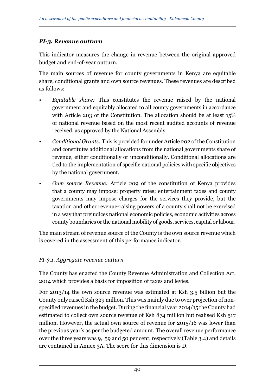## *PI-3. Revenue outturn*

This indicator measures the change in revenue between the original approved budget and end-of-year outturn.

The main sources of revenue for county governments in Kenya are equitable share, conditional grants and own source revenues. These revenues are described as follows:

- *• Equitable share:* This constitutes the revenue raised by the national government and equitably allocated to all county governments in accordance with Article 203 of the Constitution. The allocation should be at least 15% of national revenue based on the most recent audited accounts of revenue received, as approved by the National Assembly.
- *• Conditional Grants:* This is provided for under Article 202 of the Constitution and constitutes additional allocations from the national governments share of revenue, either conditionally or unconditionally. Conditional allocations are tied to the implementation of specific national policies with specific objectives by the national government.
- *• Own source Revenue:* Article 209 of the constitution of Kenya provides that a county may impose: property rates; entertainment taxes and county governments may impose charges for the services they provide, but the taxation and other revenue-raising powers of a county shall not be exercised in a way that prejudices national economic policies, economic activities across county boundaries or the national mobility of goods, services, capital or labour.

The main stream of revenue source of the County is the own source revenue which is covered in the assessment of this performance indicator.

## *PI-3.1. Aggregate revenue outturn*

The County has enacted the County Revenue Administration and Collection Act, 2014 which provides a basis for imposition of taxes and levies.

For 2013/14 the own source revenue was estimated at Ksh 3.5 billion but the County only raised Ksh 329 million. This was mainly due to over projection of nonspecified revenues in the budget. During the financial year 2014/15 the County had estimated to collect own source revenue of Ksh 874 million but realised Ksh 517 million. However, the actual own source of revenue for 2015/16 was lower than the previous year's as per the budgeted amount. The overall revenue performance over the three years was 9, 59 and 50 per cent, respectively (Table 3.4) and details are contained in Annex 3A. The score for this dimension is D.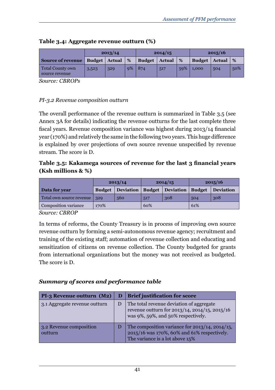|                                           |                      | 2013/14 |    |               | 2014/15       |     | 2015/16       |               |     |
|-------------------------------------------|----------------------|---------|----|---------------|---------------|-----|---------------|---------------|-----|
| <b>Source of revenue</b>                  | <b>Budget</b> Actual |         | %  | <b>Budget</b> | <b>Actual</b> | %   | <b>Budget</b> | <b>Actual</b> | %   |
| <b>Total County own</b><br>source revenue | 3,523                | 329     | 9% | 874           | 517           | 59% | 1,000         | 504           | 50% |

### **Table 3.4: Aggregate revenue outturn (%)**

*Source: CBROPs*

### *PI-3.2 Revenue composition outturn*

The overall performance of the revenue outturn is summarized in Table 3.5 (see Annex 3A for details) indicating the revenue outturns for the last complete three fiscal years. Revenue composition variance was highest during 2013/14 financial year (170%) and relatively the same in the following two years. This huge difference is explained by over projections of own source revenue unspecified by revenue stream. The score is D.

## **Table 3.5: Kakamega sources of revenue for the last 3 financial years (Ksh millions & %)**

|                              |               | 2013/14   |     | 2014/15                     | 2015/16 |                  |
|------------------------------|---------------|-----------|-----|-----------------------------|---------|------------------|
| Data for year                | <b>Budget</b> | Deviation |     | <b>Budget   Deviation  </b> |         | <b>Deviation</b> |
| Total own source revenue 329 | 560           |           | 517 | 308                         | 504     | 308              |
| Composition variance         | 170%          |           | 60% |                             | 61%     |                  |

#### *Source: CBROP*

In terms of reforms, the County Treasury is in process of improving own source revenue outturn by forming a semi-autonomous revenue agency; recruitment and training of the existing staff; automation of revenue collection and educating and sensitization of citizens on revenue collection. The County budgeted for grants from international organizations but the money was not received as budgeted. The score is D.

#### *Summary of scores and performance table*

| $PI-3$ Revenue outturn $(M2)$      | D | <b>Brief justification for score</b>                                                                                                   |
|------------------------------------|---|----------------------------------------------------------------------------------------------------------------------------------------|
| 3.1 Aggregate revenue outturn      | D | The total revenue deviation of aggregate<br>revenue outturn for 2013/14, 2014/15, 2015/16<br>was 9%, 59%, and 50% respectively.        |
| 3.2 Revenue composition<br>outturn | D | The composition variance for $2013/14$ , $2014/15$ ,<br>2015/16 was 170%, 60% and 61% respectively.<br>The variance is a lot above 15% |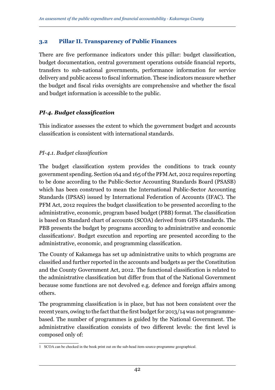### **3.2 Pillar II. Transparency of Public Finances**

There are five performance indicators under this pillar: budget classification, budget documentation, central government operations outside financial reports, transfers to sub-national governments, performance information for service delivery and public access to fiscal information. These indicators measure whether the budget and fiscal risks oversights are comprehensive and whether the fiscal and budget information is accessible to the public.

## *PI-4. Budget classification*

This indicator assesses the extent to which the government budget and accounts classification is consistent with international standards.

### *PI-4.1. Budget classification*

The budget classification system provides the conditions to track county government spending. Section 164 and 165 of the PFM Act, 2012 requires reporting to be done according to the Public-Sector Accounting Standards Board (PSASB) which has been construed to mean the International Public-Sector Accounting Standards (IPSAS) issued by International Federation of Accounts (IFAC). The PFM Act, 2012 requires the budget classification to be presented according to the administrative, economic, program based budget (PBB) format. The classification is based on Standard chart of accounts (SCOA) derived from GFS standards. The PBB presents the budget by programs according to administrative and economic classifications<sup>1</sup> . Budget execution and reporting are presented according to the administrative, economic, and programming classification.

The County of Kakamega has set up administrative units to which programs are classified and further reported in the accounts and budgets as per the Constitution and the County Government Act, 2012. The functional classification is related to the administrative classification but differ from that of the National Government because some functions are not devolved e.g. defence and foreign affairs among others.

The programming classification is in place, but has not been consistent over the recent years, owing to the fact that the first budget for 2013/14 was not programmebased. The number of programmes is guided by the National Government. The administrative classification consists of two different levels: the first level is composed only of:

<sup>1</sup> SCOA can be checked in the book print out on the sub-head item-source-programme geographical.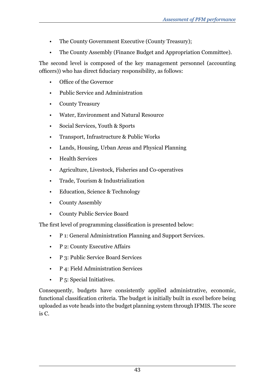- The County Government Executive (County Treasury);
- The County Assembly (Finance Budget and Appropriation Committee).

The second level is composed of the key management personnel (accounting officers)) who has direct fiduciary responsibility, as follows:

- Office of the Governor
- Public Service and Administration
- County Treasury
- Water, Environment and Natural Resource
- Social Services, Youth & Sports
- Transport, Infrastructure & Public Works
- Lands, Housing, Urban Areas and Physical Planning
- Health Services
- Agriculture, Livestock, Fisheries and Co-operatives
- Trade, Tourism & Industrialization
- Education, Science & Technology
- County Assembly
- County Public Service Board

The first level of programming classification is presented below:

- P 1: General Administration Planning and Support Services.
- P 2: County Executive Affairs
- P 3: Public Service Board Services
- P 4: Field Administration Services
- P 5: Special Initiatives.

Consequently, budgets have consistently applied administrative, economic, functional classification criteria. The budget is initially built in excel before being uploaded as vote heads into the budget planning system through IFMIS. The score is C.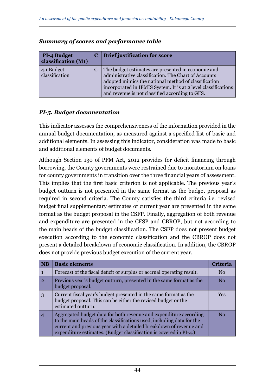| <b>PI-4 Budget</b><br>classification (M1) | C | <b>Brief justification for score</b>                                                                                                                                                                                                                                                    |
|-------------------------------------------|---|-----------------------------------------------------------------------------------------------------------------------------------------------------------------------------------------------------------------------------------------------------------------------------------------|
| 4.1 Budget<br>classification              |   | The budget estimates are presented in economic and<br>administrative classification. The Chart of Accounts<br>adopted mimics the national method of classification<br>incorporated in IFMIS System. It is at 2 level classifications<br>and revenue is not classified according to GFS. |

### *Summary of scores and performance table*

## *PI-5. Budget documentation*

This indicator assesses the comprehensiveness of the information provided in the annual budget documentation, as measured against a specified list of basic and additional elements. In assessing this indicator, consideration was made to basic and additional elements of budget documents.

Although Section 130 of PFM Act, 2012 provides for deficit financing through borrowing, the County governments were restrained due to moratorium on loans for county governments in transition over the three financial years of assessment. This implies that the first basic criterion is not applicable. The previous year's budget outturn is not presented in the same format as the budget proposal as required in second criteria. The County satisfies the third criteria i.e. revised budget final supplementary estimates of current year are presented in the same format as the budget proposal in the CSFP. Finally, aggregation of both revenue and expenditure are presented in the CFSP and CBROP, but not according to the main heads of the budget classification. The CSFP does not present budget execution according to the economic classification and the CBROP does not present a detailed breakdown of economic classification. In addition, the CBROP does not provide previous budget execution of the current year.

| <b>NB</b>      | <b>Basic elements</b>                                                                                                                                                                                                                                                                  | Criteria       |
|----------------|----------------------------------------------------------------------------------------------------------------------------------------------------------------------------------------------------------------------------------------------------------------------------------------|----------------|
|                | Forecast of the fiscal deficit or surplus or accrual operating result.                                                                                                                                                                                                                 | No             |
| $\overline{2}$ | Previous year's budget outturn, presented in the same format as the<br>budget proposal.                                                                                                                                                                                                | N <sub>0</sub> |
| 3              | Current fiscal year's budget presented in the same format as the<br>budget proposal. This can be either the revised budget or the<br>estimated outturn.                                                                                                                                | Yes            |
|                | Aggregated budget data for both revenue and expenditure according<br>to the main heads of the classifications used, including data for the<br>current and previous year with a detailed breakdown of revenue and<br>expenditure estimates. (Budget classification is covered in PI-4.) | No             |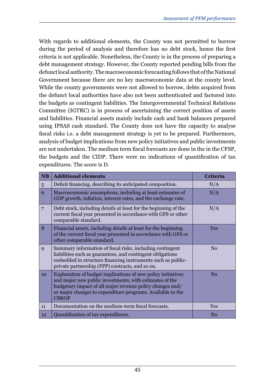With regards to additional elements, the County was not permitted to borrow during the period of analysis and therefore has no debt stock, hence the first criteria is not applicable. Nonetheless, the County is in the process of preparing a debt management strategy. However, the County reported pending bills from the defunct local authority. The macroeconomic forecasting follows that of the National Government because there are no key macroeconomic data at the county level. While the county governments were not allowed to borrow, debts acquired from the defunct local authorities have also not been authenticated and factored into the budgets as contingent liabilities. The Intergovernmental Technical Relations Committee (IGTRC) is in process of ascertaining the correct position of assets and liabilities. Financial assets mainly include cash and bank balances prepared using IPSAS cash standard. The County does not have the capacity to analyse fiscal risks i.e. a debt management strategy is yet to be prepared. Furthermore, analysis of budget implications from new policy initiatives and public investments are not undertaken. The medium term fiscal forecasts are done in the in the CFSP, the budgets and the CIDP. There were no indications of quantification of tax expenditures. The score is D.

| <b>NB</b>       | <b>Additional elements</b>                                                                                                                                                                                                                                         | <b>Criteria</b> |
|-----------------|--------------------------------------------------------------------------------------------------------------------------------------------------------------------------------------------------------------------------------------------------------------------|-----------------|
| $5\overline{)}$ | Deficit financing, describing its anticipated composition.                                                                                                                                                                                                         | N/A             |
| 6               | Macroeconomic assumptions, including at least estimates of<br>GDP growth, inflation, interest rates, and the exchange rate.                                                                                                                                        | N/A             |
| 7               | Debt stock, including details at least for the beginning of the<br>current fiscal year presented in accordance with GFS or other<br>comparable standard.                                                                                                           | N/A             |
| 8               | Financial assets, including details at least for the beginning<br>of the current fiscal year presented in accordance with GFS or<br>other comparable standard.                                                                                                     | <b>Yes</b>      |
| $\mathbf{Q}$    | Summary information of fiscal risks, including contingent<br>liabilities such as guarantees, and contingent obligations<br>embedded in structure financing instruments such as public-<br>private partnership (PPP) contracts, and so on.                          | N <sub>0</sub>  |
| 10              | Explanation of budget implications of new policy initiatives<br>and major new public investments, with estimates of the<br>budgetary impact of all major revenue policy changes and/<br>or major changes to expenditure programs. Available in the<br><b>CBROP</b> | No              |
| 11              | Documentation on the medium-term fiscal forecasts.                                                                                                                                                                                                                 | <b>Yes</b>      |
| 12              | Quantification of tax expenditures.                                                                                                                                                                                                                                | N <sub>0</sub>  |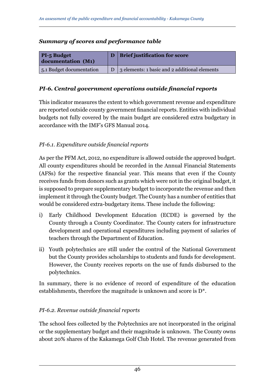#### *Summary of scores and performance table*

| <b>PI-5 Budget</b><br>documentation (M1) | <b>Brief justification for score</b>          |
|------------------------------------------|-----------------------------------------------|
| 5.1 Budget documentation                 | 3 elements: 1 basic and 2 additional elements |

### *PI-6. Central government operations outside financial reports*

This indicator measures the extent to which government revenue and expenditure are reported outside county government financial reports. Entities with individual budgets not fully covered by the main budget are considered extra budgetary in accordance with the IMF's GFS Manual 2014.

## *PI-6.1. Expenditure outside financial reports*

As per the PFM Act, 2012, no expenditure is allowed outside the approved budget. All county expenditures should be recorded in the Annual Financial Statements (AFSs) for the respective financial year. This means that even if the County receives funds from donors such as grants which were not in the original budget, it is supposed to prepare supplementary budget to incorporate the revenue and then implement it through the County budget. The County has a number of entities that would be considered extra-budgetary items. These include the following:

- i) Early Childhood Development Education (ECDE) is governed by the County through a County Coordinator. The County caters for infrastructure development and operational expenditures including payment of salaries of teachers through the Department of Education.
- ii) Youth polytechnics are still under the control of the National Government but the County provides scholarships to students and funds for development. However, the County receives reports on the use of funds disbursed to the polytechnics.

In summary, there is no evidence of record of expenditure of the education establishments, therefore the magnitude is unknown and score is D\*.

## *PI-6.2. Revenue outside financial reports*

The school fees collected by the Polytechnics are not incorporated in the original or the supplementary budget and their magnitude is unknown. The County owns about 20% shares of the Kakamega Golf Club Hotel. The revenue generated from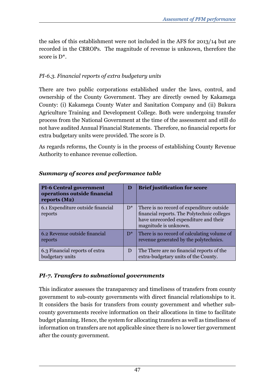the sales of this establishment were not included in the AFS for 2013/14 but are recorded in the CBROPs. The magnitude of revenue is unknown, therefore the score is D\*.

## *PI-6.3. Financial reports of extra budgetary units*

There are two public corporations established under the laws, control, and ownership of the County Government. They are directly owned by Kakamega County: (i) Kakamega County Water and Sanitation Company and (ii) Bukura Agriculture Training and Development College. Both were undergoing transfer process from the National Government at the time of the assessment and still do not have audited Annual Financial Statements. Therefore, no financial reports for extra budgetary units were provided. The score is D.

As regards reforms, the County is in the process of establishing County Revenue Authority to enhance revenue collection.

| <b>PI-6 Central government</b><br>operations outside financial<br>reports $(M2)$ | D     | <b>Brief justification for score</b>                                                                                                                       |
|----------------------------------------------------------------------------------|-------|------------------------------------------------------------------------------------------------------------------------------------------------------------|
| 6.1 Expenditure outside financial<br>reports                                     | $D^*$ | There is no record of expenditure outside<br>financial reports. The Polytechnic colleges<br>have unrecorded expenditure and their<br>magnitude is unknown. |
| 6.2 Revenue outside financial<br>reports                                         | $D^*$ | There is no record of calculating volume of<br>revenue generated by the polytechnics.                                                                      |
| 6.3 Financial reports of extra<br>budgetary units                                | D     | The There are no financial reports of the<br>extra-budgetary units of the County.                                                                          |

## *Summary of scores and performance table*

## *PI-7. Transfers to subnational governments*

This indicator assesses the transparency and timeliness of transfers from county government to sub-county governments with direct financial relationships to it. It considers the basis for transfers from county government and whether subcounty governments receive information on their allocations in time to facilitate budget planning. Hence, the system for allocating transfers as well as timeliness of information on transfers are not applicable since there is no lower tier government after the county government.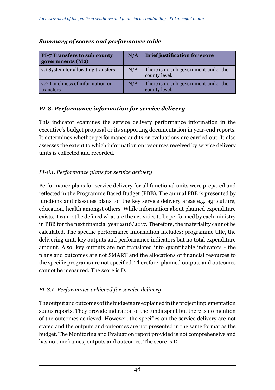| <b>PI-7 Transfers to sub county</b><br>governments (M2) | N/A | <b>Brief justification for score</b>                  |
|---------------------------------------------------------|-----|-------------------------------------------------------|
| 7.1 System for allocating transfers                     | N/A | There is no sub government under the<br>county level. |
| 7.2 Timeliness of information on<br>transfers           | N/A | There is no sub government under the<br>county level. |

## *Summary of scores and performance table*

## *PI-8. Performance information for service delivery*

This indicator examines the service delivery performance information in the executive's budget proposal or its supporting documentation in year-end reports. It determines whether performance audits or evaluations are carried out. It also assesses the extent to which information on resources received by service delivery units is collected and recorded.

## *PI-8.1. Performance plans for service delivery*

Performance plans for service delivery for all functional units were prepared and reflected in the Programme Based Budget (PBB). The annual PBB is presented by functions and classifies plans for the key service delivery areas e.g. agriculture, education, health amongst others. While information about planned expenditure exists, it cannot be defined what are the activities to be performed by each ministry in PBB for the next financial year 2016/2017. Therefore, the materiality cannot be calculated. The specific performance information includes: programme title, the delivering unit, key outputs and performance indicators but no total expenditure amount. Also, key outputs are not translated into quantifiable indicators - the plans and outcomes are not SMART and the allocations of financial resources to the specific programs are not specified. Therefore, planned outputs and outcomes cannot be measured. The score is D.

## *PI-8.2. Performance achieved for service delivery*

The output and outcomes of the budgets are explained in the project implementation status reports. They provide indication of the funds spent but there is no mention of the outcomes achieved. However, the specifics on the service delivery are not stated and the outputs and outcomes are not presented in the same format as the budget. The Monitoring and Evaluation report provided is not comprehensive and has no timeframes, outputs and outcomes. The score is D.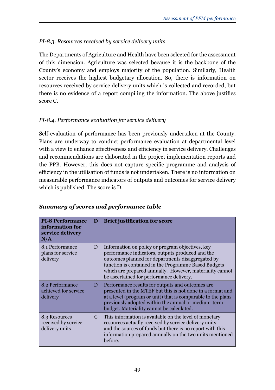## *PI-8.3. Resources received by service delivery units*

The Departments of Agriculture and Health have been selected for the assessment of this dimension. Agriculture was selected because it is the backbone of the County's economy and employs majority of the population. Similarly, Health sector receives the highest budgetary allocation. So, there is information on resources received by service delivery units which is collected and recorded, but there is no evidence of a report compiling the information. The above justifies score C.

## *PI-8.4. Performance evaluation for service delivery*

Self-evaluation of performance has been previously undertaken at the County. Plans are underway to conduct performance evaluation at departmental level with a view to enhance effectiveness and efficiency in service delivery. Challenges and recommendations are elaborated in the project implementation reports and the PPB. However, this does not capture specific programme and analysis of efficiency in the utilisation of funds is not undertaken. There is no information on measurable performance indicators of outputs and outcomes for service delivery which is published. The score is D.

| <b>PI-8 Performance</b><br>information for<br>service delivery<br>N/A | D | <b>Brief justification for score</b>                                                                                                                                                                                                                                                                                      |
|-----------------------------------------------------------------------|---|---------------------------------------------------------------------------------------------------------------------------------------------------------------------------------------------------------------------------------------------------------------------------------------------------------------------------|
| 8.1 Performance<br>plans for service<br>delivery                      | D | Information on policy or program objectives, key<br>performance indicators, outputs produced and the<br>outcomes planned for departments disaggregated by<br>function is contained in the Programme Based Budgets<br>which are prepared annually. However, materiality cannot<br>be ascertained for performance delivery. |
| 8.2 Performance<br>achieved for service<br>delivery                   | D | Performance results for outputs and outcomes are<br>presented in the MTEF but this is not done in a format and<br>at a level (program or unit) that is comparable to the plans<br>previously adopted within the annual or medium-term<br>budget. Materiality cannot be calculated.                                        |
| 8.3 Resources<br>received by service<br>delivery units                | C | This information is available on the level of monetary<br>resources actually received by service delivery units<br>and the sources of funds but there is no report with this<br>information prepared annually on the two units mentioned<br>before.                                                                       |

## *Summary of scores and performance table*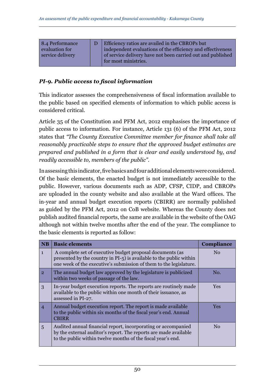| 8.4 Performance  | Efficiency ratios are availed in the CBROPs but             |
|------------------|-------------------------------------------------------------|
| evaluation for   | independent evaluations of the efficiency and effectiveness |
| service delivery | of service delivery have not been carried out and published |
|                  | for most ministries.                                        |

### *PI-9. Public access to fiscal information*

This indicator assesses the comprehensiveness of fiscal information available to the public based on specified elements of information to which public access is considered critical.

Article 35 of the Constitution and PFM Act, 2012 emphasises the importance of public access to information. For instance, Article 131 (6) of the PFM Act, 2012 states that *"The County Executive Committee member for finance shall take all reasonably practicable steps to ensure that the approved budget estimates are prepared and published in a form that is clear and easily understood by, and readily accessible to, members of the public"*.

In assessing this indicator, five basics and four additional elements were considered. Of the basic elements, the enacted budget is not immediately accessible to the public. However, various documents such as ADP, CFSP, CIDP, and CBROPs are uploaded in the county website and also available at the Ward offices. The in-year and annual budget execution reports (CBIRR) are normally published as guided by the PFM Act, 2012 on CoB website. Whereas the County does not publish audited financial reports, the same are available in the website of the OAG although not within twelve months after the end of the year. The compliance to the basic elements is reported as follow:

| <b>NB</b>      | <b>Basic elements</b>                                                                                                                                                                                  | <b>Compliance</b> |
|----------------|--------------------------------------------------------------------------------------------------------------------------------------------------------------------------------------------------------|-------------------|
| $\mathbf{1}$   | A complete set of executive budget proposal documents (as<br>presented by the country in PI-5) is available to the public within<br>one week of the executive's submission of them to the legislature. | N <sub>0</sub>    |
| 2 <sup>1</sup> | The annual budget law approved by the legislature is publicized<br>within two weeks of passage of the law.                                                                                             | No.               |
| 3              | In-year budget execution reports. The reports are routinely made<br>available to the public within one month of their issuance, as<br>assessed in PI-27.                                               | <b>Yes</b>        |
| $\overline{4}$ | Annual budget execution report. The report is made available<br>to the public within six months of the fiscal year's end. Annual<br><b>CBIRR</b>                                                       | <b>Yes</b>        |
| 5              | Audited annual financial report, incorporating or accompanied<br>by the external auditor's report. The reports are made available<br>to the public within twelve months of the fiscal year's end.      | No                |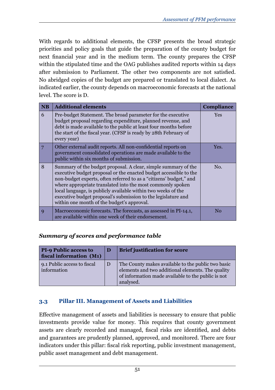With regards to additional elements, the CFSP presents the broad strategic priorities and policy goals that guide the preparation of the county budget for next financial year and in the medium term. The county prepares the CFSP within the stipulated time and the OAG publishes audited reports within 14 days after submission to Parliament. The other two components are not satisfied. No abridged copies of the budget are prepared or translated to local dialect. As indicated earlier, the county depends on macroeconomic forecasts at the national level. The score is D.

| <b>NB</b>   | <b>Additional elements</b>                                                                                                                                                                                                                                                                                                                                                                                                                              | <b>Compliance</b> |
|-------------|---------------------------------------------------------------------------------------------------------------------------------------------------------------------------------------------------------------------------------------------------------------------------------------------------------------------------------------------------------------------------------------------------------------------------------------------------------|-------------------|
| 6           | Pre-budget Statement. The broad parameter for the executive<br>budget proposal regarding expenditure, planned revenue, and<br>debt is made available to the public at least four months before<br>the start of the fiscal year. (CFSP is ready by 28th February of<br>every year)                                                                                                                                                                       | <b>Yes</b>        |
| 7           | Other external audit reports. All non-confidential reports on<br>government consolidated operations are made available to the<br>public within six months of submission.                                                                                                                                                                                                                                                                                | Yes.              |
| 8           | Summary of the budget proposal. A clear, simple summary of the<br>executive budget proposal or the enacted budget accessible to the<br>non-budget experts, often referred to as a "citizens' budget," and<br>where appropriate translated into the most commonly spoken<br>local language, is publicly available within two weeks of the<br>executive budget proposal's submission to the legislature and<br>within one month of the budget's approval. | No.               |
| $\mathbf Q$ | Macroeconomic forecasts. The forecasts, as assessed in PI-14.1,<br>are available within one week of their endorsement.                                                                                                                                                                                                                                                                                                                                  | $\rm No$          |

## *Summary of scores and performance table*

| <b>PI-9 Public access to</b><br>fiscal information (M1) | D | <b>Brief justification for score</b>                                                                                                                                       |
|---------------------------------------------------------|---|----------------------------------------------------------------------------------------------------------------------------------------------------------------------------|
| 9.1 Public access to fiscal<br>information              | D | The County makes available to the public two basic<br>elements and two additional elements. The quality<br>of information made available to the public is not<br>analysed. |

## **3.3 Pillar III. Management of Assets and Liabilities**

Effective management of assets and liabilities is necessary to ensure that public investments provide value for money. This requires that county government assets are clearly recorded and managed, fiscal risks are identified, and debts and guarantees are prudently planned, approved, and monitored. There are four indicators under this pillar: fiscal risk reporting, public investment management, public asset management and debt management.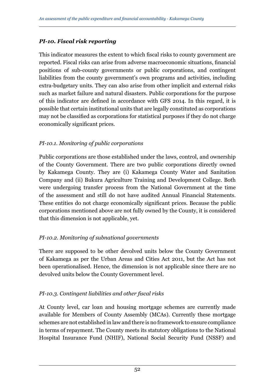## *PI-10. Fiscal risk reporting*

This indicator measures the extent to which fiscal risks to county government are reported. Fiscal risks can arise from adverse macroeconomic situations, financial positions of sub-county governments or public corporations, and contingent liabilities from the county government's own programs and activities, including extra-budgetary units. They can also arise from other implicit and external risks such as market failure and natural disasters. Public corporations for the purpose of this indicator are defined in accordance with GFS 2014. In this regard, it is possible that certain institutional units that are legally constituted as corporations may not be classified as corporations for statistical purposes if they do not charge economically significant prices.

### *PI-10.1. Monitoring of public corporations*

Public corporations are those established under the laws, control, and ownership of the County Government. There are two public corporations directly owned by Kakamega County. They are (i) Kakamega County Water and Sanitation Company and (ii) Bukura Agriculture Training and Development College. Both were undergoing transfer process from the National Government at the time of the assessment and still do not have audited Annual Financial Statements. These entities do not charge economically significant prices. Because the public corporations mentioned above are not fully owned by the County, it is considered that this dimension is not applicable, yet.

## *PI-10.2. Monitoring of subnational governments*

There are supposed to be other devolved units below the County Government of Kakamega as per the Urban Areas and Cities Act 2011, but the Act has not been operationalised. Hence, the dimension is not applicable since there are no devolved units below the County Government level.

## *PI-10.3. Contingent liabilities and other fiscal risks*

At County level, car loan and housing mortgage schemes are currently made available for Members of County Assembly (MCAs). Currently these mortgage schemes are not established in law and there is no framework to ensure compliance in terms of repayment. The County meets its statutory obligations to the National Hospital Insurance Fund (NHIF), National Social Security Fund (NSSF) and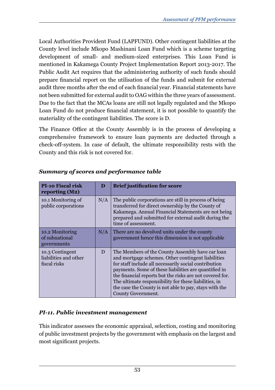Local Authorities Provident Fund (LAPFUND). Other contingent liabilities at the County level include Mkopo Mashinani Loan Fund which is a scheme targeting development of small- and medium-sized enterprises. This Loan Fund is mentioned in Kakamega County Project Implementation Report 2013-2017. The Public Audit Act requires that the administering authority of such funds should prepare financial report on the utilisation of the funds and submit for external audit three months after the end of each financial year. Financial statements have not been submitted for external audit to OAG within the three years of assessment. Due to the fact that the MCAs loans are still not legally regulated and the Mkopo Loan Fund do not produce financial statement, it is not possible to quantify the materiality of the contingent liabilities. The score is D.

The Finance Office at the County Assembly is in the process of developing a comprehensive framework to ensure loan payments are deducted through a check-off-system. In case of default, the ultimate responsibility rests with the County and this risk is not covered for.

| <b>PI-10 Fiscal risk</b><br>reporting $(M2)$             | D   | <b>Brief justification for score</b>                                                                                                                                                                                                                                                                                                                                                                                          |
|----------------------------------------------------------|-----|-------------------------------------------------------------------------------------------------------------------------------------------------------------------------------------------------------------------------------------------------------------------------------------------------------------------------------------------------------------------------------------------------------------------------------|
| 10.1 Monitoring of<br>public corporations                | N/A | The public corporations are still in process of being<br>transferred for direct ownership by the County of<br>Kakamega. Annual Financial Statements are not being<br>prepared and submitted for external audit during the<br>time of assessment.                                                                                                                                                                              |
| 10.2 Monitoring<br>of subnational<br>governments         | N/A | There are no devolved units under the county<br>government hence this dimension is not applicable                                                                                                                                                                                                                                                                                                                             |
| 10.3 Contingent<br>liabilities and other<br>fiscal risks | D   | The Members of the County Assembly have car loan<br>and mortgage schemes. Other contingent liabilities<br>for staff include all necessarily social contribution<br>payments. Some of these liabilities are quantified in<br>the financial reports but the risks are not covered for.<br>The ultimate responsibility for these liabilities, in<br>the case the County is not able to pay, stays with the<br>County Government. |

## *Summary of scores and performance table*

## *PI-11. Public investment management*

This indicator assesses the economic appraisal, selection, costing and monitoring of public investment projects by the government with emphasis on the largest and most significant projects.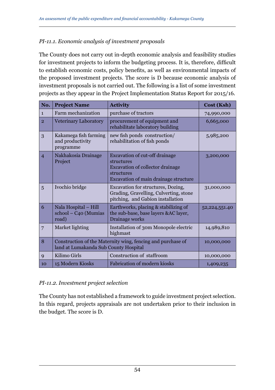### *PI-11.1. Economic analysis of investment proposals*

The County does not carry out in-depth economic analysis and feasibility studies for investment projects to inform the budgeting process. It is, therefore, difficult to establish economic costs, policy benefits, as well as environmental impacts of the proposed investment projects. The score is D because economic analysis of investment proposals is not carried out. Тhe following is a list of some investment projects as they appear in the Project Implementation Status Report for 2015/16.

| No.            | <b>Project Name</b>                                                                                  | <b>Activity</b>                                                                                                                         | Cost (Ksh)    |
|----------------|------------------------------------------------------------------------------------------------------|-----------------------------------------------------------------------------------------------------------------------------------------|---------------|
| $\mathbf{1}$   | Farm mechanization                                                                                   | purchase of tractors                                                                                                                    | 74,990,000    |
| $\overline{2}$ | Veterinary Laboratory                                                                                | procurement of equipment and<br>rehabilitate laboratory building                                                                        | 6,665,000     |
| 3              | Kakamega fish farming<br>and productivity<br>programme                                               | new fish ponds construction/<br>rehabilitation of fish ponds                                                                            | 5,985,200     |
| $\overline{4}$ | Nakhakosia Drainage<br>Project                                                                       | Excavation of cut-off drainage<br>structures<br>Excavation of collector drainage<br>structures<br>Excavation of main drainage structure | 3,200,000     |
| 5              | Ivochio bridge                                                                                       | Excavation for structures, Dozing,<br>Grading, Gravelling, Culverting, stone<br>pitching, and Gabion installation                       | 31,000,000    |
| 6              | Nala Hospital - Hill<br>school - C40 (Mumias<br>road)                                                | Earthworks, placing & stabilizing of<br>the sub-base, base layers &AC layer,<br>Drainage works                                          | 52,224,551.40 |
| 7              | Market lighting                                                                                      | Installation of 30m Monopole electric<br>highmast                                                                                       | 14,989,810    |
| 8              | Construction of the Maternity wing, fencing and purchase of<br>land at Lumakanda Sub County Hospital | 10,000,000                                                                                                                              |               |
| 9              | Kilimo Girls                                                                                         | Construction of staffroom                                                                                                               | 10,000,000    |
| 10             | 15 Modern Kiosks                                                                                     | <b>Fabrication of modern kiosks</b>                                                                                                     | 1,409,235     |

#### *PI-11.2. Investment project selection*

The County has not established a framework to guide investment project selection. In this regard, projects appraisals are not undertaken prior to their inclusion in the budget. The score is D.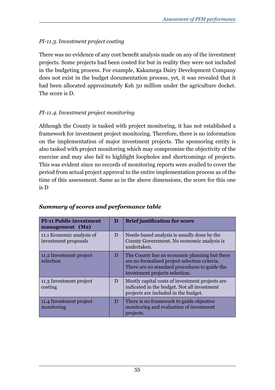## *PI-11.3. Investment project costing*

There was no evidence of any cost benefit analysis made on any of the investment projects. Some projects had been costed for but in reality they were not included in the budgeting process. For example, Kakamega Dairy Development Company does not exist in the budget documentation process, yet, it was revealed that it had been allocated approximately Ksh 50 million under the agriculture docket. The score is D.

## *PI-11.4. Investment project monitoring*

Although the County is tasked with project monitoring, it has not established a framework for investment project monitoring. Therefore, there is no information on the implementation of major investment projects. The sponsoring entity is also tasked with project monitoring which may compromise the objectivity of the exercise and may also fail to highlight loopholes and shortcomings of projects. This was evident since no records of monitoring reports were availed to cover the period from actual project approval to the entire implementation process as of the time of this assessment. Same as in the above dimensions, the score for this one is D

| <b>PI-11 Public investment</b><br>management (M2) | D | <b>Brief justification for score</b>                                                                                                                                              |
|---------------------------------------------------|---|-----------------------------------------------------------------------------------------------------------------------------------------------------------------------------------|
| 11.1 Economic analysis of<br>investment proposals | D | Needs-based analysis is usually done by the<br>County Government. No economic analysis is<br>undertaken.                                                                          |
| 11.2 Investment project<br>selection              | D | The County has an economic planning but there<br>are no formalised project selection criteria.<br>There are no standard procedures to guide the<br>investment projects selection. |
| 11.3 Investment project<br>costing                | D | Mostly capital costs of investment projects are.<br>indicated in the budget. Not all investment<br>projects are included in the budget.                                           |
| 11.4 Investment project<br>monitoring             | D | There is no framework to guide objective<br>monitoring and evaluation of investment<br>projects.                                                                                  |

## *Summary of scores and performance table*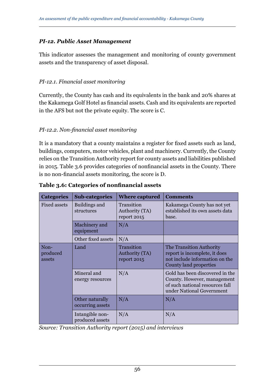### *PI-12. Public Asset Management*

This indicator assesses the management and monitoring of county government assets and the transparency of asset disposal.

### *PI-12.1. Financial asset monitoring*

Currently, the County has cash and its equivalents in the bank and 20% shares at the Kakamega Golf Hotel as financial assets. Cash and its equivalents are reported in the AFS but not the private equity. The score is C.

#### *PI-12.2. Non-financial asset monitoring*

It is a mandatory that a county maintains a register for fixed assets such as land, buildings, computers, motor vehicles, plant and machinery. Currently, the County relies on the Transition Authority report for county assets and liabilities published in 2015. Table 3.6 provides categories of nonfinancial assets in the County. There is no non-financial assets monitoring, the score is D.

| <b>Categories</b>          | <b>Sub-categories</b>               | <b>Where captured</b>                       | <b>Comments</b>                                                                                                                |
|----------------------------|-------------------------------------|---------------------------------------------|--------------------------------------------------------------------------------------------------------------------------------|
| Fixed assets               | Buildings and<br>structures         | Transition<br>Authority (TA)<br>report 2015 | Kakamega County has not yet<br>established its own assets data<br>base.                                                        |
|                            | Machinery and<br>equipment          | N/A                                         |                                                                                                                                |
|                            | Other fixed assets                  | N/A                                         |                                                                                                                                |
| Non-<br>produced<br>assets | Land                                | Transition<br>Authority (TA)<br>report 2015 | The Transition Authority<br>report is incomplete, it does<br>not include information on the<br>County land properties          |
|                            | Mineral and<br>energy resources     | N/A                                         | Gold has been discovered in the<br>County. However, management<br>of such national resources fall<br>under National Government |
|                            | Other naturally<br>occurring assets | N/A                                         | N/A                                                                                                                            |
|                            | Intangible non-<br>produced assets  | N/A                                         | N/A                                                                                                                            |

**Table 3.6: Categories of nonfinancial assets**

*Source: Transition Authority report (2015) and interviews*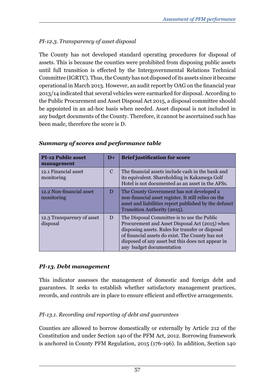# *PI-12.3. Transparency of asset disposal*

The County has not developed standard operating procedures for disposal of assets. This is because the counties were prohibited from disposing public assets until full transition is effected by the Intergovernmental Relations Technical Committee (IGRTC). Thus, the County has not disposed of its assets since it became operational in March 2013. However, an audit report by OAG on the financial year 2013/14 indicated that several vehicles were earmarked for disposal. According to the Public Procurement and Asset Disposal Act 2015, a disposal committee should be appointed in an ad-hoc basis when needed. Asset disposal is not included in any budget documents of the County. Therefore, it cannot be ascertained such has been made, therefore the score is D.

| <b>PI-12 Public asset</b><br>management | $D+$          | <b>Brief justification for score</b>                                                                                                                                                                                                                                                   |  |
|-----------------------------------------|---------------|----------------------------------------------------------------------------------------------------------------------------------------------------------------------------------------------------------------------------------------------------------------------------------------|--|
| 12.1 Financial asset<br>monitoring      | $\mathcal{C}$ | The financial assets include cash in the bank and<br>its equivalent. Shareholding in Kakamega Golf<br>Hotel is not documented as an asset in the AFSs.                                                                                                                                 |  |
| 12.2 Non-financial asset<br>monitoring  | D             | The County Government has not developed a<br>non-financial asset register. It still relies on the<br>asset and liabilities report published by the defunct<br>Transition Authority (2015).                                                                                             |  |
| 12.3 Transparency of asset<br>disposal  | D             | The Disposal Committee is to use the Public<br>Procurement and Asset Disposal Act (2015) when<br>disposing assets. Rules for transfer or disposal<br>of financial assets do exist. The County has not<br>disposed of any asset but this does not appear in<br>any budget documentation |  |

## *Summary of scores and performance table*

## *PI-13. Debt management*

This indicator assesses the management of domestic and foreign debt and guarantees. It seeks to establish whether satisfactory management practices, records, and controls are in place to ensure efficient and effective arrangements.

# *PI-13.1. Recording and reporting of debt and guarantees*

Counties are allowed to borrow domestically or externally by Article 212 of the Constitution and under Section 140 of the PFM Act, 2012. Borrowing framework is anchored in County PFM Regulation, 2015 (176-196). In addition, Section 140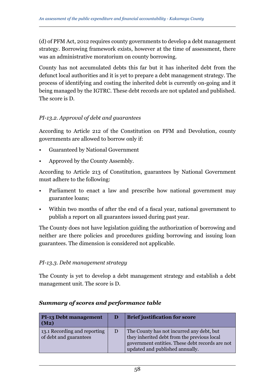(d) of PFM Act, 2012 requires county governments to develop a debt management strategy. Borrowing framework exists, however at the time of assessment, there was an administrative moratorium on county borrowing.

County has not accumulated debts this far but it has inherited debt from the defunct local authorities and it is yet to prepare a debt management strategy. The process of identifying and costing the inherited debt is currently on-going and it being managed by the IGTRC. These debt records are not updated and published. The score is D.

### *PI-13.2. Approval of debt and guarantees*

According to Article 212 of the Constitution on PFM and Devolution, county governments are allowed to borrow only if:

- Guaranteed by National Government
- Approved by the County Assembly.

According to Article 213 of Constitution, guarantees by National Government must adhere to the following:

- Parliament to enact a law and prescribe how national government may guarantee loans;
- Within two months of after the end of a fiscal year, national government to publish a report on all guarantees issued during past year.

The County does not have legislation guiding the authorization of borrowing and neither are there policies and procedures guiding borrowing and issuing loan guarantees. The dimension is considered not applicable.

#### *PI-13.3. Debt management strategy*

The County is yet to develop a debt management strategy and establish a debt management unit. The score is D.

| <b>PI-13 Debt management</b><br>(M2)                   | D | <b>Brief justification for score</b>                                                                                                                                           |
|--------------------------------------------------------|---|--------------------------------------------------------------------------------------------------------------------------------------------------------------------------------|
| 13.1 Recording and reporting<br>of debt and guarantees | D | The County has not incurred any debt, but<br>they inherited debt from the previous local<br>government entities. These debt records are not<br>updated and published annually. |

#### *Summary of scores and performance table*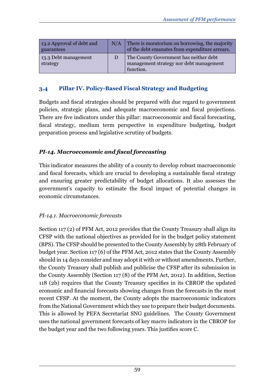| 13.2 Approval of debt and<br>guarantees | N/A | There is moratorium on borrowing, the majority<br>of the debt emanates from expenditure arrears. |
|-----------------------------------------|-----|--------------------------------------------------------------------------------------------------|
| 13.3 Debt management<br>strategy        |     | The County Government has neither debt<br>management strategy nor debt management<br>function.   |

### **3.4 Pillar IV. Policy-Based Fiscal Strategy and Budgeting**

Budgets and fiscal strategies should be prepared with due regard to government policies, strategic plans, and adequate macroeconomic and fiscal projections. There are five indicators under this pillar: macroeconomic and fiscal forecasting, fiscal strategy, medium term perspective in expenditure budgeting, budget preparation process and legislative scrutiny of budgets.

## *PI-14. Macroeconomic and fiscal forecasting*

This indicator measures the ability of a county to develop robust macroeconomic and fiscal forecasts, which are crucial to developing a sustainable fiscal strategy and ensuring greater predictability of budget allocations. It also assesses the government's capacity to estimate the fiscal impact of potential changes in economic circumstances.

## *PI-14.1. Macroeconomic forecasts*

Section 117 (2) of PFM Act, 2012 provides that the County Treasury shall align its CFSP with the national objectives as provided for in the budget policy statement (BPS). The CFSP should be presented to the County Assembly by 28th February of budget year. Section 117 (6) of the PFM Act, 2012 states that the County Assembly should in 14 days consider and may adopt it with or without amendments. Further, the County Treasury shall publish and publicise the CFSP after its submission in the County Assembly (Section 117 (8) of the PFM Act, 2012). In addition, Section 118 (2b) requires that the County Treasury specifies in its CBROP the updated economic and financial forecasts showing changes from the forecasts in the most recent CFSP. At the moment, the County adopts the macroeconomic indicators from the National Government which they use to prepare their budget documents. This is allowed by PEFA Secretariat SNG guidelines. The County Government uses the national government forecasts of key macro indicators in the CBROP for the budget year and the two following years. This justifies score C.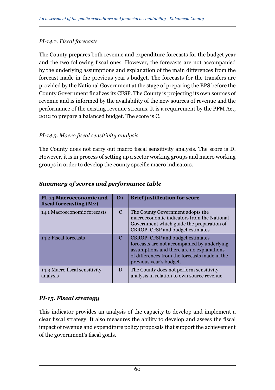#### *PI-14.2. Fiscal forecasts*

The County prepares both revenue and expenditure forecasts for the budget year and the two following fiscal ones. However, the forecasts are not accompanied by the underlying assumptions and explanation of the main differences from the forecast made in the previous year's budget. The forecasts for the transfers are provided by the National Government at the stage of preparing the BPS before the County Government finalizes its CFSP. The County is projecting its own sources of revenue and is informed by the availability of the new sources of revenue and the performance of the existing revenue streams. It is a requirement by the PFM Act, 2012 to prepare a balanced budget. The score is C.

### *PI-14.3. Macro fiscal sensitivity analysis*

The County does not carry out macro fiscal sensitivity analysis. The score is D. However, it is in process of setting up a sector working groups and macro working groups in order to develop the county specific macro indicators.

| <b>PI-14 Macroeconomic and</b><br>fiscal forecasting (M2) | $D+$          | <b>Brief justification for score</b>                                                                                                                                                                            |
|-----------------------------------------------------------|---------------|-----------------------------------------------------------------------------------------------------------------------------------------------------------------------------------------------------------------|
| 14.1 Macroeconomic forecasts                              | $\mathcal{C}$ | The County Government adopts the<br>macroeconomic indicators from the National<br>Government which guide the preparation of<br>CBROP, CFSP and budget estimates                                                 |
| 14.2 Fiscal forecasts                                     | $\mathcal{C}$ | <b>CBROP, CFSP and budget estimates</b><br>forecasts are not accompanied by underlying<br>assumptions and there are no explanations<br>of differences from the forecasts made in the<br>previous year's budget. |
| 14.3 Macro fiscal sensitivity<br>analysis                 | D             | The County does not perform sensitivity<br>analysis in relation to own source revenue.                                                                                                                          |

### *Summary of scores and performance table*

## *PI-15. Fiscal strategy*

This indicator provides an analysis of the capacity to develop and implement a clear fiscal strategy. It also measures the ability to develop and assess the fiscal impact of revenue and expenditure policy proposals that support the achievement of the government's fiscal goals.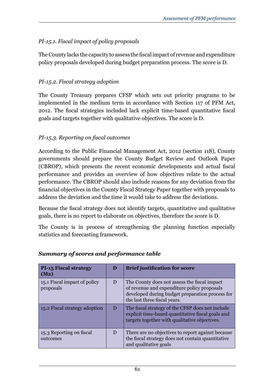## *PI-15.1. Fiscal impact of policy proposals*

The County lacks the capacity to assess the fiscal impact of revenue and expenditure policy proposals developed during budget preparation process. The score is D.

## *PI-15.2. Fiscal strategy adoption*

The County Treasury prepares CFSP which sets out priority programs to be implemented in the medium term in accordance with Section 117 of PFM Act, 2012. The fiscal strategies included lack explicit time-based quantitative fiscal goals and targets together with qualitative objectives. The score is D.

## *PI-15.3. Reporting on fiscal outcomes*

According to the Public Financial Management Act, 2012 (section 118), County governments should prepare the County Budget Review and Outlook Paper (CBROP), which presents the recent economic developments and actual fiscal performance and provides an overview of how objectives relate to the actual performance. The CBROP should also include reasons for any deviation from the financial objectives in the County Fiscal Strategy Paper together with proposals to address the deviation and the time it would take to address the deviations.

Because the fiscal strategy does not identify targets, quantitative and qualitative goals, there is no report to elaborate on objectives, therefore the score is D.

The County is in process of strengthening the planning function especially statistics and forecasting framework.

| <b>PI-15 Fiscal strategy</b><br>(M2)      | D | <b>Brief justification for score</b>                                                                                                                                           |
|-------------------------------------------|---|--------------------------------------------------------------------------------------------------------------------------------------------------------------------------------|
| 15.1 Fiscal impact of policy<br>proposals | D | The County does not assess the fiscal impact<br>of revenue and expenditure policy proposals<br>developed during budget preparation process for<br>the last three fiscal years. |
| 15.2 Fiscal strategy adoption             | D | The fiscal strategy of the CFSP does not include<br>explicit time-based quantitative fiscal goals and<br>targets together with qualitative objectives.                         |
| 15.3 Reporting on fiscal<br>outcomes      | D | There are no objectives to report against because<br>the fiscal strategy does not contain quantitative<br>and qualitative goals                                                |

## *Summary of scores and performance table*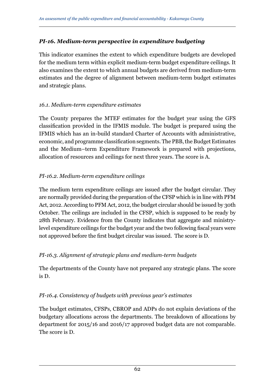## *PI-16. Medium-term perspective in expenditure budgeting*

This indicator examines the extent to which expenditure budgets are developed for the medium term within explicit medium-term budget expenditure ceilings. It also examines the extent to which annual budgets are derived from medium-term estimates and the degree of alignment between medium-term budget estimates and strategic plans.

## *16.1. Medium-term expenditure estimates*

The County prepares the MTEF estimates for the budget year using the GFS classification provided in the IFMIS module. The budget is prepared using the IFMIS which has an in-build standard Charter of Accounts with administrative, economic, and programme classification segments. The PBB, the Budget Estimates and the Medium–term Expenditure Framework is prepared with projections, allocation of resources and ceilings for next three years. The score is A.

## *PI-16.2. Medium-term expenditure ceilings*

The medium term expenditure ceilings are issued after the budget circular. They are normally provided during the preparation of the CFSP which is in line with PFM Act, 2012. According to PFM Act, 2012, the budget circular should be issued by 30th October. The ceilings are included in the CFSP, which is supposed to be ready by 28th February. Evidence from the County indicates that aggregate and ministrylevel expenditure ceilings for the budget year and the two following fiscal years were not approved before the first budget circular was issued. The score is D.

## *PI-16.3. Alignment of strategic plans and medium-term budgets*

The departments of the County have not prepared any strategic plans. The score is D.

## *PI-16.4. Consistency of budgets with previous year's estimates*

The budget estimates, CFSPs, CBROP and ADPs do not explain deviations of the budgetary allocations across the departments. The breakdown of allocations by department for 2015/16 and 2016/17 approved budget data are not comparable. The score is D.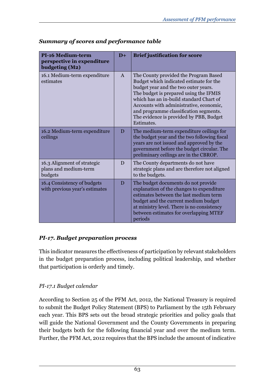| <b>PI-16 Medium-term</b><br>perspective in expenditure<br>budgeting (M2) | $D+$         | <b>Brief justification for score</b>                                                                                                                                                                                                                                                                                                                        |
|--------------------------------------------------------------------------|--------------|-------------------------------------------------------------------------------------------------------------------------------------------------------------------------------------------------------------------------------------------------------------------------------------------------------------------------------------------------------------|
| 16.1 Medium-term expenditure<br>estimates                                | $\mathsf{A}$ | The County provided the Program Based<br>Budget which indicated estimate for the<br>budget year and the two outer years.<br>The budget is prepared using the IFMIS<br>which has an in-build standard Chart of<br>Accounts with administrative, economic,<br>and programme classification segments.<br>The evidence is provided by PBB, Budget<br>Estimates. |
| 16.2 Medium-term expenditure<br>ceilings                                 | D            | The medium-term expenditure ceilings for<br>the budget year and the two following fiscal<br>years are not issued and approved by the<br>government before the budget circular. The<br>preliminary ceilings are in the CBROP.                                                                                                                                |
| 16.3 Alignment of strategic<br>plans and medium-term<br>budgets          | D            | The County departments do not have<br>strategic plans and are therefore not aligned<br>to the budgets.                                                                                                                                                                                                                                                      |
| 16.4 Consistency of budgets<br>with previous year's estimates            | D            | The budget documents do not provide<br>explanation of the changes to expenditure<br>estimates between the last medium term<br>budget and the current medium budget<br>at ministry level. There is no consistency<br>between estimates for overlapping MTEF<br>periods                                                                                       |

## *Summary of scores and performance table*

## *PI-17. Budget preparation process*

This indicator measures the effectiveness of participation by relevant stakeholders in the budget preparation process, including political leadership, and whether that participation is orderly and timely.

## *PI-17.1 Budget calendar*

According to Section 25 of the PFM Act, 2012, the National Treasury is required to submit the Budget Policy Statement (BPS) to Parliament by the 15th February each year. This BPS sets out the broad strategic priorities and policy goals that will guide the National Government and the County Governments in preparing their budgets both for the following financial year and over the medium term. Further, the PFM Act, 2012 requires that the BPS include the amount of indicative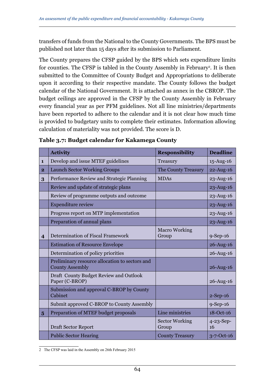transfers of funds from the National to the County Governments. The BPS must be published not later than 15 days after its submission to Parliament.

The County prepares the CFSP guided by the BPS which sets expenditure limits for counties. The CFSP is tabled in the County Assembly in February2 . It is then submitted to the Committee of County Budget and Appropriations to deliberate upon it according to their respective mandate. The County follows the budget calendar of the National Government. It is attached as annex in the CBROP. The budget ceilings are approved in the CFSP by the County Assembly in February every financial year as per PFM guidelines. Not all line ministries/departments have been reported to adhere to the calendar and it is not clear how much time is provided to budgetary units to complete their estimates. Information allowing calculation of materiality was not provided. The score is D.

|                         | <b>Activity</b>                                                          | <b>Responsibility</b>          | <b>Deadline</b>        |
|-------------------------|--------------------------------------------------------------------------|--------------------------------|------------------------|
| $\mathbf{1}$            | Develop and issue MTEF guidelines                                        | Treasury                       | $15$ -Aug- $16$        |
| $\overline{2}$          | <b>Launch Sector Working Groups</b>                                      | The County Treasury            | 22-Aug-16              |
| 3                       | Performance Review and Strategic Planning                                | <b>MDAs</b>                    | $23 - Aug-16$          |
|                         | Review and update of strategic plans                                     |                                | $23 - Aug-16$          |
|                         | Review of programme outputs and outcome                                  |                                | $23 - Aug-16$          |
|                         | <b>Expenditure review</b>                                                |                                | 23-Aug-16              |
|                         | Progress report on MTP implementation                                    |                                | 23-Aug-16              |
|                         | Preparation of annual plans                                              |                                | 23-Aug-16              |
| $\overline{\mathbf{4}}$ | Determination of Fiscal Framework                                        | <b>Macro Working</b><br>Group  | $9-Sep-16$             |
|                         | <b>Estimation of Resource Envelope</b>                                   |                                | 26-Aug-16              |
|                         | Determination of policy priorities                                       |                                | 26-Aug-16              |
|                         | Preliminary resource allocation to sectors and<br><b>County Assembly</b> |                                | $26$ -Aug-16           |
|                         | Draft County Budget Review and Outlook<br>Paper (C-BROP)                 |                                | $26$ -Aug-16           |
|                         | Submission and approval C-BROP by County<br>Cabinet                      |                                | $2-Sep-16$             |
|                         | Submit approved C-BROP to County Assembly                                |                                | $9-$ Sep $-16$         |
| $\overline{5}$          | Preparation of MTEF budget proposals                                     | Line ministries                | $18-Oct-16$            |
|                         | Draft Sector Report                                                      | <b>Sector Working</b><br>Group | $4 - 23 - Sep -$<br>16 |
|                         | <b>Public Sector Hearing</b>                                             | <b>County Treasury</b>         | $3 - 7 - Oct - 16$     |

**Table 3.7: Budget calendar for Kakamega County**

<sup>2</sup> The CFSP was laid in the Assembly on 26th February 2015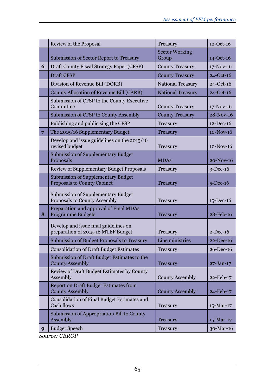|   | Review of the Proposal                                                      | Treasury                       | $12 - Oct-16$ |
|---|-----------------------------------------------------------------------------|--------------------------------|---------------|
|   | Submission of Sector Report to Treasury                                     | <b>Sector Working</b><br>Group | $14 - Oct-16$ |
| 6 | Draft County Fiscal Strategy Paper (CFSP)                                   | <b>County Treasury</b>         | $17-Nov-16$   |
|   | <b>Draft CFSP</b>                                                           | <b>County Treasury</b>         | $24 - Oct-16$ |
|   | Division of Revenue Bill (DORB)                                             | National Treasury              | 24-Oct-16     |
|   | County Allocation of Revenue Bill (CARB)                                    | <b>National Treasury</b>       | 24-Oct-16     |
|   | Submission of CFSP to the County Executive<br>Committee                     | <b>County Treasury</b>         | $17-Nov-16$   |
|   | Submission of CFSP to County Assembly                                       | <b>County Treasury</b>         | 28-Nov-16     |
|   | Publishing and publicising the CFSP                                         | Treasury                       | 12-Dec-16     |
| 7 | The 2015/16 Supplementary Budget                                            | <b>Treasury</b>                | 10-Nov-16     |
|   | Develop and issue guidelines on the 2015/16<br>revised budget               | Treasury                       | $10-Nov-16$   |
|   | <b>Submission of Supplementary Budget</b><br>Proposals                      | <b>MDAs</b>                    | 20-Nov-16     |
|   | Review of Supplementary Budget Proposals                                    | Treasury                       | $3$ -Dec-16   |
|   | <b>Submission of Supplementary Budget</b><br>Proposals to County Cabinet    | Treasury                       | $5$ -Dec-16   |
|   | Submission of Supplementary Budget<br>Proposals to County Assembly          | Treasury                       | $15$ -Dec-16  |
| 8 | Preparation and approval of Final MDAs<br><b>Programme Budgets</b>          | Treasury                       | 28-Feb-16     |
|   | Develop and issue final guidelines on<br>preparation of 2015-16 MTEF Budget | Treasury                       | $2-Dec-16$    |
|   | Submission of Budget Proposals to Treasury                                  | Line ministries                | $22 - Dec-16$ |
|   | <b>Consolidation of Draft Budget Estimates</b>                              | Treasury                       | 26-Dec-16     |
|   | Submission of Draft Budget Estimates to the<br><b>County Assembly</b>       | <b>Treasury</b>                | $27 - Jan-17$ |
|   | Review of Draft Budget Estimates by County<br>Assembly                      | <b>County Assembly</b>         | 22-Feb-17     |
|   | <b>Report on Draft Budget Estimates from</b><br><b>County Assembly</b>      | <b>County Assembly</b>         | 24-Feb-17     |
|   | Consolidation of Final Budget Estimates and<br>Cash flows                   | Treasury                       | $15$ -Mar-17  |
|   | Submission of Appropriation Bill to County<br>Assembly                      | Treasury                       | 15-Mar-17     |
| 9 | <b>Budget Speech</b>                                                        | Treasury                       | 30-Mar-16     |

*Source: CBROP*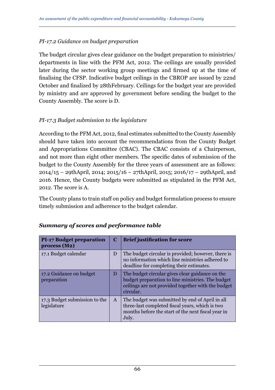### *PI-17.2 Guidance on budget preparation*

The budget circular gives clear guidance on the budget preparation to ministries/ departments in line with the PFM Act, 2012. The ceilings are usually provided later during the sector working group meetings and firmed up at the time of finalising the CFSP. Indicative budget ceilings in the CBROP are issued by 22nd October and finalized by 28thFebruary. Ceilings for the budget year are provided by ministry and are approved by government before sending the budget to the County Assembly. The score is D.

### *PI-17.3 Budget submission to the legislature*

According to the PFM Act, 2012, final estimates submitted to the County Assembly should have taken into account the recommendations from the County Budget and Appropriations Committee (CBAC). The CBAC consists of a Chairperson, and not more than eight other members. The specific dates of submission of the budget to the County Assembly for the three years of assessment are as follows: 2014/15 – 29thApril, 2014; 2015/16 – 27thApril, 2015; 2016/17 – 29thApril, and 2016. Hence, the County budgets were submitted as stipulated in the PFM Act, 2012. The score is A.

The County plans to train staff on policy and budget formulation process to ensure timely submission and adherence to the budget calendar.

| <b>PI-17 Budget preparation</b><br>process(M2) | C            | <b>Brief justification for score</b>                                                                                                                                    |
|------------------------------------------------|--------------|-------------------------------------------------------------------------------------------------------------------------------------------------------------------------|
| 17.1 Budget calendar                           | D            | The budget circular is provided; however, there is<br>no information which line ministries adhered to<br>deadline for completing their estimates.                       |
| 17.2 Guidance on budget<br>preparation         | D            | The budget circular gives clear guidance on the<br>budget preparation to line ministries. The budget<br>ceilings are not provided together with the budget<br>circular. |
| 17.3 Budget submission to the<br>legislature   | $\mathsf{A}$ | The budget was submitted by end of April in all<br>three-last completed fiscal years, which is two<br>months before the start of the next fiscal year in<br>July.       |

#### *Summary of scores and performance table*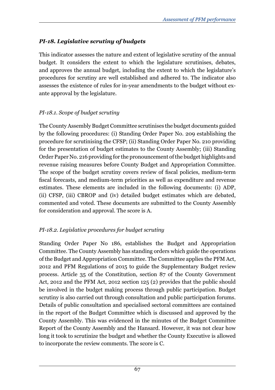# *PI-18. Legislative scrutiny of budgets*

This indicator assesses the nature and extent of legislative scrutiny of the annual budget. It considers the extent to which the legislature scrutinises, debates, and approves the annual budget, including the extent to which the legislature's procedures for scrutiny are well established and adhered to. The indicator also assesses the existence of rules for in-year amendments to the budget without exante approval by the legislature.

## *PI-18.1. Scope of budget scrutiny*

The County Assembly Budget Committee scrutinises the budget documents guided by the following procedures: (i) Standing Order Paper No. 209 establishing the procedure for scrutinising the CFSP; (ii) Standing Order Paper No. 210 providing for the presentation of budget estimates to the County Assembly; (iii) Standing Order Paper No. 216 providing for the pronouncement of the budget highlights and revenue raising measures before County Budget and Appropriation Committee. The scope of the budget scrutiny covers review of fiscal policies, medium-term fiscal forecasts, and medium-term priorities as well as expenditure and revenue estimates. These elements are included in the following documents: (i) ADP, (ii) CFSP, (iii) CBROP and (iv) detailed budget estimates which are debated, commented and voted. These documents are submitted to the County Assembly for consideration and approval. The score is A.

# *PI-18.2. Legislative procedures for budget scrutiny*

Standing Order Paper No 186, establishes the Budget and Appropriation Committee. The County Assembly has standing orders which guide the operations of the Budget and Appropriation Committee. The Committee applies the PFM Act, 2012 and PFM Regulations of 2015 to guide the Supplementary Budget review process. Article 35 of the Constitution, section 87 of the County Government Act, 2012 and the PFM Act, 2012 section 125 (2) provides that the public should be involved in the budget making process through public participation. Budget scrutiny is also carried out through consultation and public participation forums. Details of public consultation and specialised sectoral committees are contained in the report of the Budget Committee which is discussed and approved by the County Assembly. This was evidenced in the minutes of the Budget Committee Report of the County Assembly and the Hansard. However, it was not clear how long it took to scrutinize the budget and whether the County Executive is allowed to incorporate the review comments. The score is C.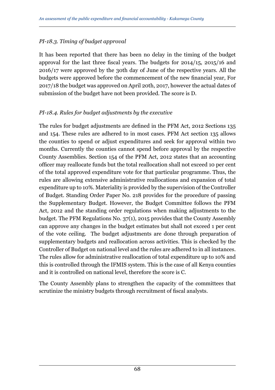## *PI-18.3. Timing of budget approval*

It has been reported that there has been no delay in the timing of the budget approval for the last three fiscal years. The budgets for 2014/15, 2015/16 and 2016/17 were approved by the 30th day of June of the respective years. All the budgets were approved before the commencement of the new financial year, For 2017/18 the budget was approved on April 20th, 2017, however the actual dates of submission of the budget have not been provided. The score is D.

## *PI-18.4. Rules for budget adjustments by the executive*

The rules for budget adjustments are defined in the PFM Act, 2012 Sections 135 and 154. These rules are adhered to in most cases. PFM Act section 135 allows the counties to spend or adjust expenditures and seek for approval within two months. Currently the counties cannot spend before approval by the respective County Assemblies. Section 154 of the PFM Act, 2012 states that an accounting officer may reallocate funds but the total reallocation shall not exceed 10 per cent of the total approved expenditure vote for that particular programme. Thus, the rules are allowing extensive administrative reallocations and expansion of total expenditure up to 10%. Materiality is provided by the supervision of the Controller of Budget. Standing Order Paper No. 218 provides for the procedure of passing the Supplementary Budget. However, the Budget Committee follows the PFM Act, 2012 and the standing order regulations when making adjustments to the budget. The PFM Regulations No. 37(1), 2015 provides that the County Assembly can approve any changes in the budget estimates but shall not exceed 1 per cent of the vote ceiling. The budget adjustments are done through preparation of supplementary budgets and reallocation across activities. This is checked by the Controller of Budget on national level and the rules are adhered to in all instances. The rules allow for administrative reallocation of total expenditure up to 10% and this is controlled through the IFMIS system. This is the case of all Kenya counties and it is controlled on national level, therefore the score is C.

The County Assembly plans to strengthen the capacity of the committees that scrutinize the ministry budgets through recruitment of fiscal analysts.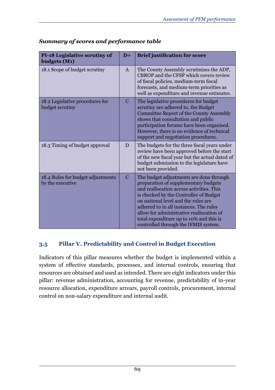| <b>PI-18 Legislative scrutiny of</b><br>budgets (M1)  | $D+$          | <b>Brief justification for score</b>                                                                                                                                                                                                                                                                                                                                                  |
|-------------------------------------------------------|---------------|---------------------------------------------------------------------------------------------------------------------------------------------------------------------------------------------------------------------------------------------------------------------------------------------------------------------------------------------------------------------------------------|
| 18.1 Scope of budget scrutiny                         | $\mathsf{A}$  | The County Assembly scrutinizes the ADP,<br>CBROP and the CFSP which covers review<br>of fiscal policies, medium-term fiscal<br>forecasts, and medium-term priorities as<br>well as expenditure and revenue estimates.                                                                                                                                                                |
| 18.2 Legislative procedures for<br>budget scrutiny    | $\mathcal{C}$ | The legislative procedures for budget<br>scrutiny are adhered to, the Budget<br>Committee Report of the County Assembly<br>shows that consultation and public<br>participation forums have been organised.<br>However, there is no evidence of technical<br>support and negotiation procedures.                                                                                       |
| 18.3 Timing of budget approval                        | D             | The budgets for the three fiscal years under<br>review have been approved before the start<br>of the new fiscal year but the actual dated of<br>budget submission to the legislature have<br>not been provided.                                                                                                                                                                       |
| 18.4 Rules for budget adjustments<br>by the executive | $\mathcal{C}$ | The budget adjustments are done through<br>preparation of supplementary budgets<br>and reallocation across activities. This<br>is checked by the Controller of Budget<br>on national level and the rules are<br>adhered to in all instances. The rules<br>allow for administrative reallocation of<br>total expenditure up to 10% and this is<br>controlled through the IFMIS system. |

## *Summary of scores and performance table*

# **3.5 Pillar V. Predictability and Control in Budget Execution**

Indicators of this pillar measures whether the budget is implemented within a system of effective standards, processes, and internal controls, ensuring that resources are obtained and used as intended. There are eight indicators under this pillar: revenue administration, accounting for revenue, predictability of in-year resource allocation, expenditure arrears, payroll controls, procurement, internal control on non-salary expenditure and internal audit.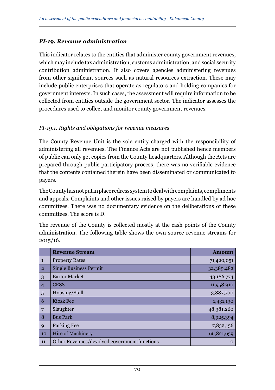### *PI-19. Revenue administration*

This indicator relates to the entities that administer county government revenues, which may include tax administration, customs administration, and social security contribution administration. It also covers agencies administering revenues from other significant sources such as natural resources extraction. These may include public enterprises that operate as regulators and holding companies for government interests. In such cases, the assessment will require information to be collected from entities outside the government sector. The indicator assesses the procedures used to collect and monitor county government revenues.

#### *PI-19.1. Rights and obligations for revenue measures*

The County Revenue Unit is the sole entity charged with the responsibility of administering all revenues. The Finance Acts are not published hence members of public can only get copies from the County headquarters. Although the Acts are prepared through public participatory process, there was no verifiable evidence that the contents contained therein have been disseminated or communicated to payers.

The County has not put in place redress system to deal with complaints, compliments and appeals. Complaints and other issues raised by payers are handled by ad hoc committees. There was no documentary evidence on the deliberations of these committees. The score is D.

The revenue of the County is collected mostly at the cash points of the County administration. The following table shows the own source revenue streams for  $2015/16.$ 

|                | <b>Revenue Stream</b>                        | <b>Amount</b> |
|----------------|----------------------------------------------|---------------|
| $\mathbf{1}$   | <b>Property Rates</b>                        | 71,420,051    |
| $\overline{2}$ | <b>Single Business Permit</b>                | 32,389,482    |
| 3              | <b>Barter Market</b>                         | 43,186,774    |
| $\overline{4}$ | <b>CESS</b>                                  | 11,958,910    |
| 5              | Housing/Stall                                | 3,887,700     |
| 6              | <b>Kiosk Fee</b>                             | 1,431,130     |
| 7              | Slaughter                                    | 48,381,260    |
| 8              | <b>Bus Park</b>                              | 8,925,394     |
| 9              | Parking Fee                                  | 7,832,156     |
| 10             | <b>Hire of Machinery</b>                     | 66,821,659    |
| 11             | Other Revenues/devolved government functions | $\Omega$      |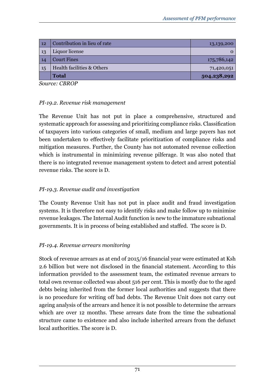| 12 | Contribution in lieu of rate | 13,139,200  |
|----|------------------------------|-------------|
| 13 | Liquor license               | O           |
| 14 | <b>Court Fines</b>           | 175,786,142 |
| 15 | Health facilities & Others   | 71,420,051  |
|    | <b>Total</b>                 | 504,238,292 |

*Source: CBROP*

### *PI-19.2. Revenue risk management*

The Revenue Unit has not put in place a comprehensive, structured and systematic approach for assessing and prioritizing compliance risks. Classification of taxpayers into various categories of small, medium and large payers has not been undertaken to effectively facilitate prioritization of compliance risks and mitigation measures. Further, the County has not automated revenue collection which is instrumental in minimizing revenue pilferage. It was also noted that there is no integrated revenue management system to detect and arrest potential revenue risks. The score is D.

## *PI-19.3. Revenue audit and investigation*

The County Revenue Unit has not put in place audit and fraud investigation systems. It is therefore not easy to identify risks and make follow up to minimise revenue leakages. The Internal Audit function is new to the immature subnational governments. It is in process of being established and staffed. The score is D.

## *PI-19.4. Revenue arrears monitoring*

Stock of revenue arrears as at end of 2015/16 financial year were estimated at Ksh 2.6 billion but were not disclosed in the financial statement. According to this information provided to the assessment team, the estimated revenue arrears to total own revenue collected was about 516 per cent. This is mostly due to the aged debts being inherited from the former local authorities and suggests that there is no procedure for writing off bad debts. The Revenue Unit does not carry out ageing analysis of the arrears and hence it is not possible to determine the arrears which are over 12 months. These arrears date from the time the subnational structure came to existence and also include inherited arrears from the defunct local authorities. The score is D.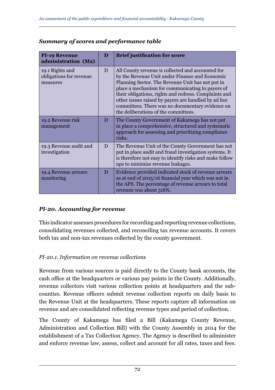| <b>PI-19 Revenue</b><br>administration (M2)            | D | <b>Brief justification for score</b>                                                                                                                                                                                                                                                                                                                                                                                    |
|--------------------------------------------------------|---|-------------------------------------------------------------------------------------------------------------------------------------------------------------------------------------------------------------------------------------------------------------------------------------------------------------------------------------------------------------------------------------------------------------------------|
| 19.1 Rights and<br>obligations for revenue<br>measures | D | All County revenue is collected and accounted for<br>by the Revenue Unit under Finance and Economic<br>Planning Sector. The Revenue Unit has not put in<br>place a mechanism for communicating to payers of<br>their obligations, rights and redress. Complaints and<br>other issues raised by payers are handled by ad hoc<br>committees. There was no documentary evidence on<br>the deliberations of the committees. |
| 19.2 Revenue risk<br>management                        | D | The County Government of Kakamega has not put<br>in place a comprehensive, structured and systematic<br>approach for assessing and prioritizing compliance<br>risks.                                                                                                                                                                                                                                                    |
| 19.3 Revenue audit and<br>investigation                | D | The Revenue Unit of the County Government has not<br>put in place audit and fraud investigation systems. It<br>is therefore not easy to identify risks and make follow<br>ups to minimise revenue leakages.                                                                                                                                                                                                             |
| 19.4 Revenue arrears<br>monitoring                     | D | Evidence provided indicated stock of revenue arrears<br>as at end of 2015/16 financial year which was not in<br>the AFS. The percentage of revenue arrears to total<br>revenue was about 516%.                                                                                                                                                                                                                          |

### *Summary of scores and performance table*

### *PI-20. Accounting for revenue*

This indicator assesses procedures for recording and reporting revenue collections, consolidating revenues collected, and reconciling tax revenue accounts. It covers both tax and non-tax revenues collected by the county government.

#### *PI-20.1. Information on revenue collections*

Revenue from various sources is paid directly to the County bank accounts, the cash office at the headquarters or various pay points in the County. Additionally, revenue collectors visit various collection points at headquarters and the subcounties. Revenue officers submit revenue collection reports on daily basis to the Revenue Unit at the headquarters. These reports capture all information on revenue and are consolidated reflecting revenue types and period of collection.

The County of Kakamega has filed a Bill (Kakamega County Revenue, Administration and Collection Bill) with the County Assembly in 2014 for the establishment of a Tax Collection Agency. The Agency is described to administer and enforce revenue law, assess, collect and account for all rates, taxes and fees.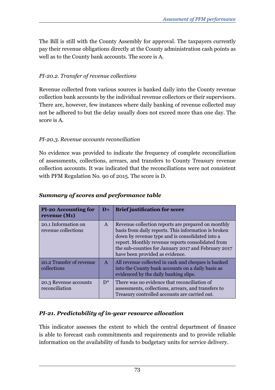The Bill is still with the County Assembly for approval. The taxpayers currently pay their revenue obligations directly at the County administration cash points as well as to the County bank accounts. The score is A.

### *PI-20.2. Transfer of revenue collections*

Revenue collected from various sources is banked daily into the County revenue collection bank accounts by the individual revenue collectors or their supervisors. There are, however, few instances where daily banking of revenue collected may not be adhered to but the delay usually does not exceed more than one day. The score is A.

### *PI-20.3. Revenue accounts reconciliation*

No evidence was provided to indicate the frequency of complete reconciliation of assessments, collections, arrears, and transfers to County Treasury revenue collection accounts. It was indicated that the reconciliations were not consistent with PFM Regulation No. 90 of 2015. The score is D.

| <b>PI-20 Accounting for</b><br>revenue (M1) | $D+$         | <b>Brief justification for score</b>                                                                                                                                                                                                                                                                         |
|---------------------------------------------|--------------|--------------------------------------------------------------------------------------------------------------------------------------------------------------------------------------------------------------------------------------------------------------------------------------------------------------|
| 20.1 Information on<br>revenue collections  | $\mathsf{A}$ | Revenue collection reports are prepared on monthly<br>basis from daily reports. This information is broken<br>down by revenue type and is consolidated into a<br>report. Monthly revenue reports consolidated from<br>the sub-counties for January 2017 and February 2017<br>have been provided as evidence. |
| 20.2 Transfer of revenue<br>collections     | $\mathbf{A}$ | All revenue collected in cash and cheques is banked<br>into the County bank accounts on a daily basis as<br>evidenced by the daily banking slips.                                                                                                                                                            |
| 20.3 Revenue accounts<br>reconciliation     | $D^*$        | There was no evidence that reconciliation of<br>assessments, collections, arrears, and transfers to<br>Treasury controlled accounts are carried out.                                                                                                                                                         |

### *Summary of scores and performance table*

### *PI-21. Predictability of in-year resource allocation*

This indicator assesses the extent to which the central department of finance is able to forecast cash commitments and requirements and to provide reliable information on the availability of funds to budgetary units for service delivery.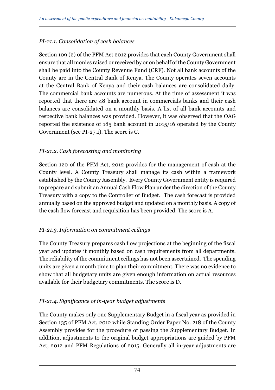### *PI-21.1. Consolidation of cash balances*

Section 109 (2) of the PFM Act 2012 provides that each County Government shall ensure that all monies raised or received by or on behalf of the County Government shall be paid into the County Revenue Fund (CRF). Not all bank accounts of the County are in the Central Bank of Kenya. The County operates seven accounts at the Central Bank of Kenya and their cash balances are consolidated daily. The commercial bank accounts are numerous. At the time of assessment it was reported that there are 48 bank account in commercials banks and their cash balances are consolidated on a monthly basis. A list of all bank accounts and respective bank balances was provided. However, it was observed that the OAG reported the existence of 185 bank account in 2015/16 operated by the County Government (see PI-27.1). The score is C.

### *PI-21.2. Cash forecasting and monitoring*

Section 120 of the PFM Act, 2012 provides for the management of cash at the County level. A County Treasury shall manage its cash within a framework established by the County Assembly. Every County Government entity is required to prepare and submit an Annual Cash Flow Plan under the direction of the County Treasury with a copy to the Controller of Budget. The cash forecast is provided annually based on the approved budget and updated on a monthly basis. A copy of the cash flow forecast and requisition has been provided. The score is A.

### *PI-21.3. Information on commitment ceilings*

The County Treasury prepares cash flow projections at the beginning of the fiscal year and updates it monthly based on cash requirements from all departments. The reliability of the commitment ceilings has not been ascertained. The spending units are given a month time to plan their commitment. There was no evidence to show that all budgetary units are given enough information on actual resources available for their budgetary commitments. The score is D.

### *PI-21.4. Significance of in-year budget adjustments*

The County makes only one Supplementary Budget in a fiscal year as provided in Section 135 of PFM Act, 2012 while Standing Order Paper No. 218 of the County Assembly provides for the procedure of passing the Supplementary Budget. In addition, adjustments to the original budget appropriations are guided by PFM Act, 2012 and PFM Regulations of 2015. Generally all in-year adjustments are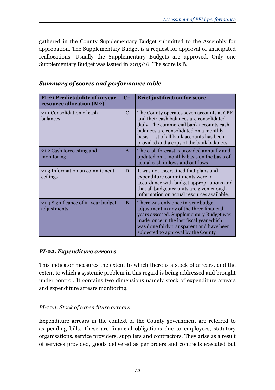gathered in the County Supplementary Budget submitted to the Assembly for approbation. The Supplementary Budget is a request for approval of anticipated reallocations. Usually the Supplementary Budgets are approved. Only one Supplementary Budget was issued in 2015/16. The score is B.

| <b>PI-21 Predictability of in-year</b><br>resource allocation (M2) | $C+$         | <b>Brief justification for score</b>                                                                                                                                                                                                                                  |
|--------------------------------------------------------------------|--------------|-----------------------------------------------------------------------------------------------------------------------------------------------------------------------------------------------------------------------------------------------------------------------|
| 21.1 Consolidation of cash<br>balances                             | $\mathbf C$  | The County operates seven accounts at CBK<br>and their cash balances are consolidated<br>daily. The commercial bank accounts cash<br>balances are consolidated on a monthly<br>basis. List of all bank accounts has been<br>provided and a copy of the bank balances. |
| 21.2 Cash forecasting and<br>monitoring                            | $\mathbf{A}$ | The cash forecast is provided annually and<br>updated on a monthly basis on the basis of<br>actual cash inflows and outflows                                                                                                                                          |
| 21.3 Information on commitment<br>ceilings                         | D            | It was not ascertained that plans and<br>expenditure commitments were in<br>accordance with budget appropriations and<br>that all budgetary units are given enough<br>information on actual resources available.                                                      |
| 21.4 Significance of in-year budget<br>adjustments                 | B            | There was only once in-year budget<br>adjustment in any of the three financial<br>years assessed. Supplementary Budget was<br>made once in the last fiscal year which<br>was done fairly transparent and have been<br>subjected to approval by the County             |

#### *Summary of scores and performance table*

#### *PI-22. Expenditure arrears*

This indicator measures the extent to which there is a stock of arrears, and the extent to which a systemic problem in this regard is being addressed and brought under control. It contains two dimensions namely stock of expenditure arrears and expenditure arrears monitoring.

### *PI-22.1. Stock of expenditure arrears*

Expenditure arrears in the context of the County government are referred to as pending bills. These are financial obligations due to employees, statutory organisations, service providers, suppliers and contractors. They arise as a result of services provided, goods delivered as per orders and contracts executed but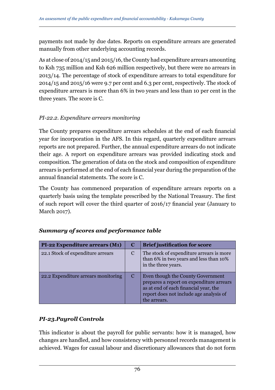payments not made by due dates. Reports on expenditure arrears are generated manually from other underlying accounting records.

As at close of 2014/15 and 2015/16, the County had expenditure arrears amounting to Ksh 735 million and Ksh 626 million respectively, but there were no arrears in 2013/14. The percentage of stock of expenditure arrears to total expenditure for 2014/15 and 2015/16 were 9.7 per cent and 6.3 per cent, respectively. The stock of expenditure arrears is more than 6% in two years and less than 10 per cent in the three years. The score is C.

### *PI-22.2. Expenditure arrears monitoring*

The County prepares expenditure arrears schedules at the end of each financial year for incorporation in the AFS. In this regard, quarterly expenditure arrears reports are not prepared. Further, the annual expenditure arrears do not indicate their age. A report on expenditure arrears was provided indicating stock and composition. The generation of data on the stock and composition of expenditure arrears is performed at the end of each financial year during the preparation of the annual financial statements. The score is C.

The County has commenced preparation of expenditure arrears reports on a quarterly basis using the template prescribed by the National Treasury. The first of such report will cover the third quarter of 2016/17 financial year (January to March 2017).

| <b>PI-22 Expenditure arrears (M1)</b> | $\bf C$ | <b>Brief justification for score</b>                                                                                                                                              |
|---------------------------------------|---------|-----------------------------------------------------------------------------------------------------------------------------------------------------------------------------------|
| 22.1 Stock of expenditure arrears     | C       | The stock of expenditure arrears is more<br>than 6% in two years and less than 10%<br>in the three years.                                                                         |
| 22.2 Expenditure arrears monitoring   | C       | Even though the County Government<br>prepares a report on expenditure arrears<br>as at end of each financial year, the<br>report does not include age analysis of<br>the arrears. |

# *Summary of scores and performance table*

### *PI-23.Payroll Controls*

This indicator is about the payroll for public servants: how it is managed, how changes are handled, and how consistency with personnel records management is achieved. Wages for casual labour and discretionary allowances that do not form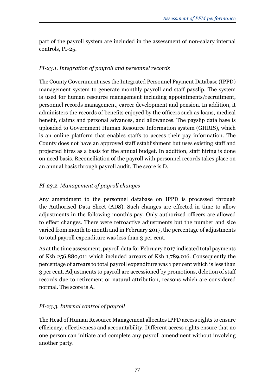part of the payroll system are included in the assessment of non-salary internal controls, PI-25.

## *PI-23.1. Integration of payroll and personnel records*

The County Government uses the Integrated Personnel Payment Database (IPPD) management system to generate monthly payroll and staff payslip. The system is used for human resource management including appointments/recruitment, personnel records management, career development and pension. In addition, it administers the records of benefits enjoyed by the officers such as loans, medical benefit, claims and personal advances, and allowances. The payslip data base is uploaded to Government Human Resource Information system (GHRIS), which is an online platform that enables staffs to access their pay information. The County does not have an approved staff establishment but uses existing staff and projected hires as a basis for the annual budget. In addition, staff hiring is done on need basis. Reconciliation of the payroll with personnel records takes place on an annual basis through payroll audit. The score is D.

# *PI-23.2. Management of payroll changes*

Any amendment to the personnel database on IPPD is processed through the Authorised Data Sheet (ADS). Such changes are effected in time to allow adjustments in the following month's pay. Only authorized officers are allowed to effect changes. There were retroactive adjustments but the number and size varied from month to month and in February 2017, the percentage of adjustments to total payroll expenditure was less than 3 per cent.

As at the time assessment, payroll data for February 2017 indicated total payments of Ksh 256,880,011 which included arrears of Ksh 1,789,016. Consequently the percentage of arrears to total payroll expenditure was 1 per cent which is less than 3 per cent. Adjustments to payroll are accessioned by promotions, deletion of staff records due to retirement or natural attribution, reasons which are considered normal. The score is A.

# *PI-23.3. Internal control of payroll*

The Head of Human Resource Management allocates IPPD access rights to ensure efficiency, effectiveness and accountability. Different access rights ensure that no one person can initiate and complete any payroll amendment without involving another party.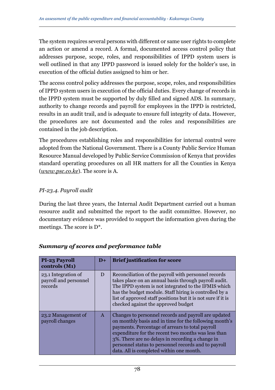The system requires several persons with different or same user rights to complete an action or amend a record. A formal, documented access control policy that addresses purpose, scope, roles, and responsibilities of IPPD system users is well outlined in that any IPPD password is issued solely for the holder's use, in execution of the official duties assigned to him or her.

The access control policy addresses the purpose, scope, roles, and responsibilities of IPPD system users in execution of the official duties. Every change of records in the IPPD system must be supported by duly filled and signed ADS. In summary, authority to change records and payroll for employees in the IPPD is restricted, results in an audit trail, and is adequate to ensure full integrity of data. However, the procedures are not documented and the roles and responsibilities are contained in the job description.

The procedures establishing roles and responsibilities for internal control were adopted from the National Government. There is a County Public Service Human Resource Manual developed by Public Service Commission of Kenya that provides standard operating procedures on all HR matters for all the Counties in Kenya (*www.psc.co.ke*). The score is A.

#### *PI-23.4. Payroll audit*

During the last three years, the Internal Audit Department carried out a human resource audit and submitted the report to the audit committee. However, no documentary evidence was provided to support the information given during the meetings. The score is D\*.

| <b>PI-23 Payroll</b><br>controls (M1)                   | $D+$         | <b>Brief justification for score</b>                                                                                                                                                                                                                                                                                                                                              |
|---------------------------------------------------------|--------------|-----------------------------------------------------------------------------------------------------------------------------------------------------------------------------------------------------------------------------------------------------------------------------------------------------------------------------------------------------------------------------------|
| 23.1 Integration of<br>payroll and personnel<br>records | D            | Reconciliation of the payroll with personnel records<br>takes place on an annual basis through payroll audit.<br>The IPPD system is not integrated to the IFMIS which<br>has the budget module. Staff hiring is controlled by a<br>list of approved staff positions but it is not sure if it is<br>checked against the approved budget                                            |
| 23.2 Management of<br>payroll changes                   | $\mathsf{A}$ | Changes to personnel records and payroll are updated<br>on monthly basis and in time for the following month's<br>payments. Percentage of arrears to total payroll<br>expenditure for the recent two months was less than<br>3%. There are no delays in recording a change in<br>personnel status to personnel records and to payroll<br>data. All is completed within one month. |

#### *Summary of scores and performance table*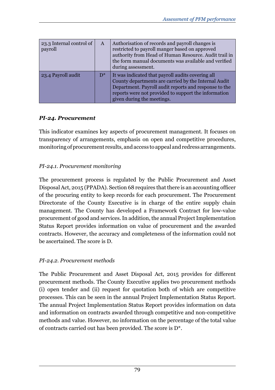| 23.3 Internal control of<br>payroll | A     | Authorisation of records and payroll changes is<br>restricted to payroll manger based on approved<br>authority from Head of Human Resource. Audit trail in<br>the form manual documents was available and verified<br>during assessment.                 |
|-------------------------------------|-------|----------------------------------------------------------------------------------------------------------------------------------------------------------------------------------------------------------------------------------------------------------|
| 23.4 Payroll audit                  | $D^*$ | It was indicated that payroll audits covering all<br>County departments are carried by the Internal Audit<br>Department. Payroll audit reports and response to the<br>reports were not provided to support the information<br>given during the meetings. |

### *PI-24. Procurement*

This indicator examines key aspects of procurement management. It focuses on transparency of arrangements, emphasis on open and competitive procedures, monitoring of procurement results, and access to appeal and redress arrangements.

### *PI-24.1. Procurement monitoring*

The procurement process is regulated by the Public Procurement and Asset Disposal Act, 2015 (PPADA). Section 68 requires that there is an accounting officer of the procuring entity to keep records for each procurement. The Procurement Directorate of the County Executive is in charge of the entire supply chain management. The County has developed a Framework Contract for low-value procurement of good and services. In addition, the annual Project Implementation Status Report provides information on value of procurement and the awarded contracts. However, the accuracy and completeness of the information could not be ascertained. The score is D.

#### *PI-24.2. Procurement methods*

The Public Procurement and Asset Disposal Act, 2015 provides for different procurement methods. The County Executive applies two procurement methods (i) open tender and (ii) request for quotation both of which are competitive processes. This can be seen in the annual Project Implementation Status Report. The annual Project Implementation Status Report provides information on data and information on contracts awarded through competitive and non-competitive methods and value. However, no information on the percentage of the total value of contracts carried out has been provided. The score is D\*.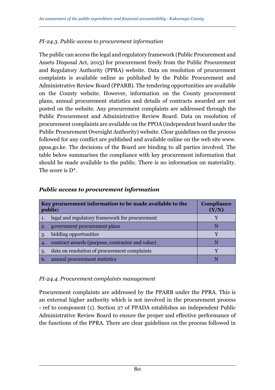### *PI-24.3. Public access to procurement information*

The public can access the legal and regulatory framework (Public Procurement and Assets Disposal Act, 2015) for procurement freely from the Public Procurement and Regulatory Authority (PPRA) website. Data on resolution of procurement complaints is available online as published by the Public Procurement and Administrative Review Board (PPARB). The tendering opportunities are available on the County website. However, information on the County procurement plans, annual procurement statistics and details of contracts awarded are not posted on the website. Any procurement complaints are addressed through the Public Procurement and Administrative Review Board. Data on resolution of procurement complaints are available on the PPOA (independent board under the Public Procurement Oversight Authority) website. Clear guidelines on the process followed for any conflict are published and available online on the web site www. ppoa.go.ke. The decisions of the Board are binding to all parties involved. The table below summarises the compliance with key procurement information that should be made available to the public. There is no information on materiality. The score is  $D^*$ .

|     | Key procurement information to be made available to the<br>public: | <b>Compliance</b><br>(Y/N) |
|-----|--------------------------------------------------------------------|----------------------------|
|     | legal and regulatory framework for procurement                     |                            |
| 2.  | government procurement plans                                       | N                          |
| 3.  | bidding opportunities                                              |                            |
| 4.  | contract awards (purpose, contractor and value)                    | N                          |
| .5. | data on resolution of procurement complaints                       |                            |
| 6.  | annual procurement statistics                                      |                            |

#### *Public access to procurement information*

#### *PI-24.4. Procurement complaints management*

Procurement complaints are addressed by the PPARB under the PPRA. This is an external higher authority which is not involved in the procurement process - ref to component (1). Section 27 of PPADA establishes an independent Public Administrative Review Board to ensure the proper and effective performance of the functions of the PPRA. There are clear guidelines on the process followed in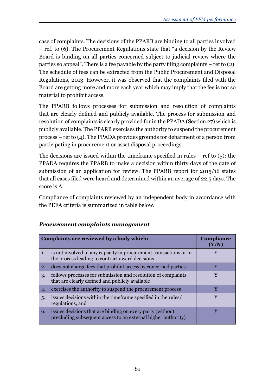case of complaints. The decisions of the PPARB are binding to all parties involved – ref. to (6). The Procurement Regulations state that "a decision by the Review Board is binding on all parties concerned subject to judicial review where the parties so appeal". There is a fee payable by the party filing complaints – ref to (2). The schedule of fees can be extracted from the Public Procurement and Disposal Regulations, 2013. However, it was observed that the complaints filed with the Board are getting more and more each year which may imply that the fee is not so material to prohibit access.

The PPARB follows processes for submission and resolution of complaints that are clearly defined and publicly available. The process for submission and resolution of complaints is clearly provided for in the PPADA (Section 27) which is publicly available. The PPARB exercises the authority to suspend the procurement process – ref to (4). The PPADA provides grounds for debarment of a person from participating in procurement or asset disposal proceedings.

The decisions are issued within the timeframe specified in rules – ref to  $(5)$ : the PPADA requires the PPARB to make a decision within thirty days of the date of submission of an application for review. The PPARB report for 2015/16 states that all cases filed were heard and determined within an average of 22.5 days. The score is A.

Compliance of complaints reviewed by an independent body in accordance with the PEFA criteria is summarized in table below.

|                | Complaints are reviewed by a body which:                                                                                   | <b>Compliance</b><br>(Y/N) |
|----------------|----------------------------------------------------------------------------------------------------------------------------|----------------------------|
| $\mathbf{1}$ . | is not involved in any capacity in procurement transactions or in<br>the process leading to contract award decisions       |                            |
| 2.             | does not charge fees that prohibit access by concerned parties                                                             | v                          |
| 3.             | follows processes for submission and resolution of complaints<br>that are clearly defined and publicly available           | v                          |
| 4.             | exercises the authority to suspend the procurement process                                                                 | v                          |
| .5.            | issues decisions within the timeframe specified in the rules/<br>regulations, and                                          |                            |
| 6.             | issues decisions that are binding on every party (without<br>precluding subsequent access to an external higher authority) |                            |

### *Procurement complaints management*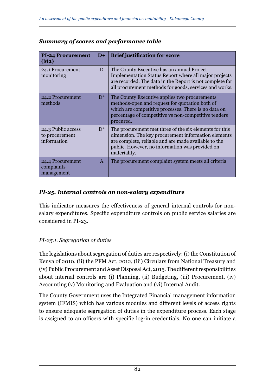| <b>PI-24 Procurement</b><br>(M <sub>2</sub> )       | $D+$         | <b>Brief justification for score</b>                                                                                                                                                                                                     |
|-----------------------------------------------------|--------------|------------------------------------------------------------------------------------------------------------------------------------------------------------------------------------------------------------------------------------------|
| 24.1 Procurement<br>monitoring                      | D            | The County Executive has an annual Project<br>Implementation Status Report where all major projects<br>are recorded. The data in the Report is not complete for<br>all procurement methods for goods, services and works.                |
| 24.2 Procurement<br>methods                         | $D^*$        | The County Executive applies two procurements<br>methods-open and request for quotation both of<br>which are competitive processes. There is no data on<br>percentage of competitive vs non-competitive tenders<br>procured.             |
| 24.3 Public access<br>to procurement<br>information | $D^*$        | The procurement met three of the six elements for this<br>dimension. The key procurement information elements<br>are complete, reliable and are made available to the<br>public. However, no information was provided on<br>materiality. |
| 24.4 Procurement<br>complaints<br>management        | $\mathsf{A}$ | The procurement complaint system meets all criteria                                                                                                                                                                                      |

### *Summary of scores and performance table*

### *PI-25. Internal controls on non-salary expenditure*

This indicator measures the effectiveness of general internal controls for nonsalary expenditures. Specific expenditure controls on public service salaries are considered in PI-23.

### *PI-25.1. Segregation of duties*

The legislations about segregation of duties are respectively: (i) the Constitution of Kenya of 2010, (ii) the PFM Act, 2012, (iii) Circulars from National Treasury and (iv) Public Procurement and Asset Disposal Act, 2015. The different responsibilities about internal controls are (i) Planning, (ii) Budgeting, (iii) Procurement, (iv) Accounting (v) Monitoring and Evaluation and (vi) Internal Audit.

The County Government uses the Integrated Financial management information system (IFMIS) which has various modules and different levels of access rights to ensure adequate segregation of duties in the expenditure process. Each stage is assigned to an officers with specific log-in credentials. No one can initiate a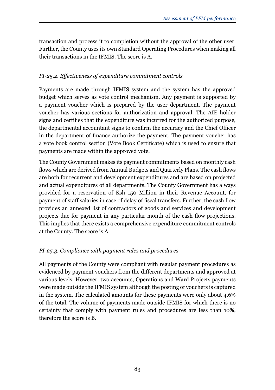transaction and process it to completion without the approval of the other user. Further, the County uses its own Standard Operating Procedures when making all their transactions in the IFMIS. The score is A.

# *PI-25.2. Effectiveness of expenditure commitment controls*

Payments are made through IFMIS system and the system has the approved budget which serves as vote control mechanism. Any payment is supported by a payment voucher which is prepared by the user department. The payment voucher has various sections for authorization and approval. The AIE holder signs and certifies that the expenditure was incurred for the authorized purpose, the departmental accountant signs to confirm the accuracy and the Chief Officer in the department of finance authorize the payment. The payment voucher has a vote book control section (Vote Book Certificate) which is used to ensure that payments are made within the approved vote.

The County Government makes its payment commitments based on monthly cash flows which are derived from Annual Budgets and Quarterly Plans. The cash flows are both for recurrent and development expenditures and are based on projected and actual expenditures of all departments. The County Government has always provided for a reservation of Ksh 150 Million in their Revenue Account, for payment of staff salaries in case of delay of fiscal transfers. Further, the cash flow provides an annexed list of contractors of goods and services and development projects due for payment in any particular month of the cash flow projections. This implies that there exists a comprehensive expenditure commitment controls at the County. The score is A.

# *PI-25.3. Compliance with payment rules and procedures*

All payments of the County were compliant with regular payment procedures as evidenced by payment vouchers from the different departments and approved at various levels. However, two accounts, Operations and Ward Projects payments were made outside the IFMIS system although the posting of vouchers is captured in the system. The calculated amounts for these payments were only about 4.6% of the total. The volume of payments made outside IFMIS for which there is no certainty that comply with payment rules and procedures are less than 10%, therefore the score is B.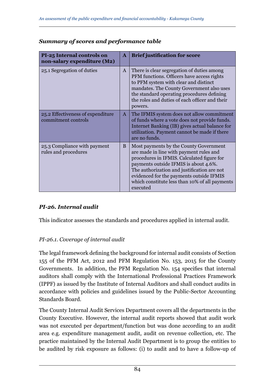| PI-25 Internal controls on<br>non-salary expenditure (M2) | $\mathbf{A}$ | <b>Brief justification for score</b>                                                                                                                                                                                                                                                                                              |
|-----------------------------------------------------------|--------------|-----------------------------------------------------------------------------------------------------------------------------------------------------------------------------------------------------------------------------------------------------------------------------------------------------------------------------------|
| 25.1 Segregation of duties                                | $\mathsf{A}$ | There is clear segregation of duties among<br>PFM functions. Officers have access rights<br>to PFM system with clear and distinct<br>mandates. The County Government also uses<br>the standard operating procedures defining<br>the roles and duties of each officer and their<br>powers.                                         |
| 25.2 Effectiveness of expenditure<br>commitment controls  | $\mathsf{A}$ | The IFMIS system does not allow commitment<br>of funds where a vote does not provide funds.<br>Internet Banking (IB) gives actual balance for<br>utilization. Payment cannot be made if there<br>are no funds.                                                                                                                    |
| 25.3 Compliance with payment<br>rules and procedures      | B            | Most payments by the County Government<br>are made in line with payment rules and<br>procedures in IFMIS. Calculated figure for<br>payments outside IFMIS is about 4.6%.<br>The authorization and justification are not<br>evidenced for the payments outside IFMIS<br>which constitute less than 10% of all payments<br>executed |

#### *Summary of scores and performance table*

### *PI-26. Internal audit*

This indicator assesses the standards and procedures applied in internal audit.

#### *PI-26.1. Coverage of internal audit*

The legal framework defining the background for internal audit consists of Section 155 of the PFM Act, 2012 and PFM Regulation No. 153, 2015 for the County Governments. In addition, the PFM Regulation No. 154 specifies that internal auditors shall comply with the International Professional Practices Framework (IPPF) as issued by the Institute of Internal Auditors and shall conduct audits in accordance with policies and guidelines issued by the Public-Sector Accounting Standards Board.

The County Internal Audit Services Department covers all the departments in the County Executive. However, the internal audit reports showed that audit work was not executed per department/function but was done according to an audit area e.g. expenditure management audit, audit on revenue collection, etc. The practice maintained by the Internal Audit Department is to group the entities to be audited by risk exposure as follows: (i) to audit and to have a follow-up of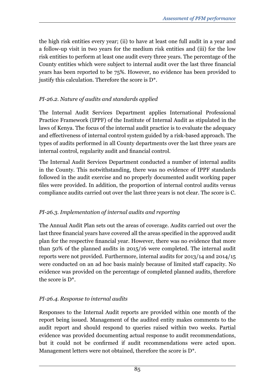the high risk entities every year; (ii) to have at least one full audit in a year and a follow-up visit in two years for the medium risk entities and (iii) for the low risk entities to perform at least one audit every three years. The percentage of the County entities which were subject to internal audit over the last three financial years has been reported to be 75%. However, no evidence has been provided to justify this calculation. Therefore the score is D\*.

### *PI-26.2. Nature of audits and standards applied*

The Internal Audit Services Department applies International Professional Practice Framework (IPPF) of the Institute of Internal Audit as stipulated in the laws of Kenya. The focus of the internal audit practice is to evaluate the adequacy and effectiveness of internal control system guided by a risk-based approach. The types of audits performed in all County departments over the last three years are internal control, regularity audit and financial control.

The Internal Audit Services Department conducted a number of internal audits in the County. This notwithstanding, there was no evidence of IPPF standards followed in the audit exercise and no properly documented audit working paper files were provided. In addition, the proportion of internal control audits versus compliance audits carried out over the last three years is not clear. The score is C.

### *PI-26.3. Implementation of internal audits and reporting*

The Annual Audit Plan sets out the areas of coverage. Audits carried out over the last three financial years have covered all the areas specified in the approved audit plan for the respective financial year. However, there was no evidence that more than 50% of the planned audits in 2015/16 were completed. The internal audit reports were not provided. Furthermore, internal audits for 2013/14 and 2014/15 were conducted on an ad hoc basis mainly because of limited staff capacity. No evidence was provided on the percentage of completed planned audits, therefore the score is D\*.

### *PI-26.4. Response to internal audits*

Responses to the Internal Audit reports are provided within one month of the report being issued. Management of the audited entity makes comments to the audit report and should respond to queries raised within two weeks. Partial evidence was provided documenting actual response to audit recommendations, but it could not be confirmed if audit recommendations were acted upon. Management letters were not obtained, therefore the score is D\*.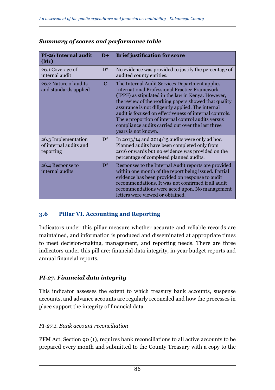| <b>PI-26 Internal audit</b><br>$(M_1)$                     | $D+$          | <b>Brief justification for score</b>                                                                                                                                                                                                                                                                                                                                                                                                                                   |
|------------------------------------------------------------|---------------|------------------------------------------------------------------------------------------------------------------------------------------------------------------------------------------------------------------------------------------------------------------------------------------------------------------------------------------------------------------------------------------------------------------------------------------------------------------------|
| 26.1 Coverage of<br>internal audit                         | $D^*$         | No evidence was provided to justify the percentage of<br>audited county entities.                                                                                                                                                                                                                                                                                                                                                                                      |
| 26.2 Nature of audits<br>and standards applied             | $\mathcal{C}$ | The Internal Audit Services Department applies<br><b>International Professional Practice Framework</b><br>(IPPF) as stipulated in the law in Kenya. However,<br>the review of the working papers showed that quality<br>assurance is not diligently applied. The internal<br>audit is focused on effectiveness of internal controls.<br>The e proportion of internal control audits versus<br>compliance audits carried out over the last three<br>years is not known. |
| 26.3 Implementation<br>of internal audits and<br>reporting | $D^*$         | In 2013/14 and 2014/15 audits were only ad hoc.<br>Planned audits have been completed only from<br>2016 onwards but no evidence was provided on the<br>percentage of completed planned audits.                                                                                                                                                                                                                                                                         |
| 26.4 Response to<br>internal audits                        | $D^*$         | Responses to the Internal Audit reports are provided<br>within one month of the report being issued. Partial<br>evidence has been provided on response to audit<br>recommendations. It was not confirmed if all audit<br>recommendations were acted upon. No management<br>letters were viewed or obtained.                                                                                                                                                            |

### *Summary of scores and performance table*

### **3.6 Pillar VI. Accounting and Reporting**

Indicators under this pillar measure whether accurate and reliable records are maintained, and information is produced and disseminated at appropriate times to meet decision-making, management, and reporting needs. There are three indicators under this pill are: financial data integrity, in-year budget reports and annual financial reports.

# *PI-27. Financial data integrity*

This indicator assesses the extent to which treasury bank accounts, suspense accounts, and advance accounts are regularly reconciled and how the processes in place support the integrity of financial data.

### *PI-27.1. Bank account reconciliation*

PFM Act, Section 90 (1), requires bank reconciliations to all active accounts to be prepared every month and submitted to the County Treasury with a copy to the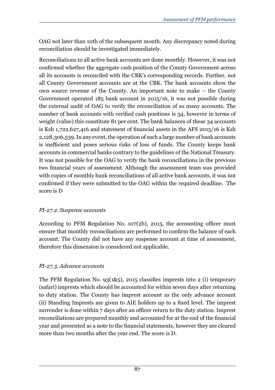OAG not later than 10th of the subsequent month. Any discrepancy noted during reconciliation should be investigated immediately.

Reconciliations to all active bank accounts are done monthly. However, it was not confirmed whether the aggregate cash position of the County Government across all its accounts is reconciled with the CBK's corresponding records. Further, not all County Government accounts are at the CBK. The bank accounts show the own source revenue of the County. An important note to make – the County Government operated 185 bank account in 2015/16, it was not possible during the external audit of OAG to verify the reconciliation of so many accounts. The number of bank accounts with verified cash positions is 34, however in terms of weight (value) this constitute 81 per cent. The bank balances of these 34 accounts is Ksh 1,722,627,416 and statement of financial assets in the AFS 2015/16 is Ksh 2,128,306,539. In any event, the operation of such a large number of bank accounts is inefficient and poses serious risks of loss of funds. The County keeps bank accounts in commercial banks contrary to the guidelines of the National Treasury. It was not possible for the OAG to verify the bank reconciliations in the previous two financial years of assessment. Although the assessment team was provided with copies of monthly bank reconciliations of all active bank accounts, it was not confirmed if they were submitted to the OAG within the required deadline. The score is D

### *PI-27.2. Suspense accounts*

According to PFM Regulation No. 107(2b), 2015, the accounting officer must ensure that monthly reconciliations are performed to confirm the balance of each account. The County did not have any suspense account at time of assessment, therefore this dimension is considered not applicable.

### *PI-27.3. Advance accounts*

The PFM Regulation No. 93(1&5), 2015 classifies imprests into 2 (i) temporary (safari) imprests which should be accounted for within seven days after returning to duty station. The County has imprest account as the only advance account (ii) Standing Imprests are given to AIE holders up to a fixed level. The imprest surrender is done within 7 days after an officer return to the duty station. Imprest reconciliations are prepared monthly and accounted for at the end of the financial year and presented as a note to the financial statements, however they are cleared more than two months after the year end. The score is D.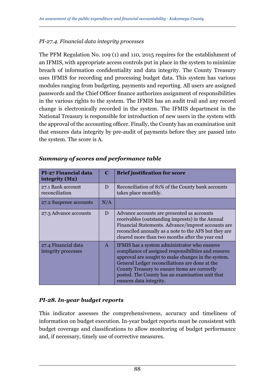#### *PI-27.4. Financial data integrity processes*

The PFM Regulation No. 109 (1) and 110, 2015 requires for the establishment of an IFMIS, with appropriate access controls put in place in the system to minimize breach of information confidentiality and data integrity. The County Treasury uses IFMIS for recording and processing budget data. This system has various modules ranging from budgeting, payments and reporting. All users are assigned passwords and the Chief Officer finance authorizes assignment of responsibilities in the various rights to the system. The IFMIS has an audit trail and any record change is electronically recorded in the system. The IFMIS department in the National Treasury is responsible for introduction of new users in the system with the approval of the accounting officer. Finally, the County has an examination unit that ensures data integrity by pre-audit of payments before they are passed into the system. The score is A.

| PI-27 Financial data<br>integrity (M2)     | C            | <b>Brief justification for score</b>                                                                                                                                                                                                                                                                                                       |
|--------------------------------------------|--------------|--------------------------------------------------------------------------------------------------------------------------------------------------------------------------------------------------------------------------------------------------------------------------------------------------------------------------------------------|
| 27.1 Bank account<br>reconciliation        | D            | Reconciliation of 81% of the County bank accounts<br>takes place monthly.                                                                                                                                                                                                                                                                  |
| 27.2 Suspense accounts                     | N/A          |                                                                                                                                                                                                                                                                                                                                            |
| 27.3 Advance accounts                      | D            | Advance accounts are presented as accounts<br>receivables (outstanding imprests) in the Annual<br>Financial Statements. Advance/imprest accounts are<br>reconciled annually as a note to the AFS but they are<br>cleared more than two months after the year end                                                                           |
| 27.4 Financial data<br>integrity processes | $\mathsf{A}$ | IFMIS has a system administrator who ensures<br>compliance of assigned responsibilities and ensures<br>approval are sought to make changes in the system.<br>General Ledger reconciliations are done at the<br>County Treasury to ensure items are correctly<br>posted. The County has an examination unit that<br>ensures data integrity. |

#### *Summary of scores and performance table*

#### *PI-28. In-year budget reports*

This indicator assesses the comprehensiveness, accuracy and timeliness of information on budget execution. In-year budget reports must be consistent with budget coverage and classifications to allow monitoring of budget performance and, if necessary, timely use of corrective measures.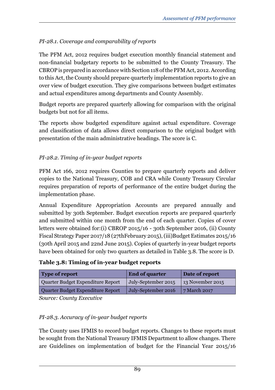# *PI-28.1. Coverage and comparability of reports*

The PFM Act, 2012 requires budget execution monthly financial statement and non-financial budgetary reports to be submitted to the County Treasury. The CBROP is prepared in accordance with Section 118 of the PFM Act, 2012. According to this Act, the County should prepare quarterly implementation reports to give an over view of budget execution. They give comparisons between budget estimates and actual expenditures among departments and County Assembly.

Budget reports are prepared quarterly allowing for comparison with the original budgets but not for all items.

The reports show budgeted expenditure against actual expenditure. Coverage and classification of data allows direct comparison to the original budget with presentation of the main administrative headings. The score is C.

# *PI-28.2. Timing of in-year budget reports*

PFM Act 166, 2012 requires Counties to prepare quarterly reports and deliver copies to the National Treasury, COB and CRA while County Treasury Circular requires preparation of reports of performance of the entire budget during the implementation phase.

Annual Expenditure Appropriation Accounts are prepared annually and submitted by 30th September. Budget execution reports are prepared quarterly and submitted within one month from the end of each quarter. Copies of cover letters were obtained for:(i) CBROP 2015/16 - 30th September 2016, (ii) County Fiscal Strategy Paper 2017/18 (27thFebruary 2015), (iii)Budget Estimates 2015/16 (30th April 2015 and 22nd June 2015). Copies of quarterly in-year budget reports have been obtained for only two quarters as detailed in Table 3.8. The score is D.

#### **Table 3.8: Timing of in-year budget reports**

| Type of report                    | <b>End of quarter</b> | Date of report   |
|-----------------------------------|-----------------------|------------------|
| Quarter Budget Expenditure Report | July-September 2015   | 13 November 2015 |
| Quarter Budget Expenditure Report | July-September 2016   | 7 March 2017     |
|                                   |                       |                  |

*Source: County Executive*

### *PI-28.3. Accuracy of in-year budget reports*

The County uses IFMIS to record budget reports. Changes to these reports must be sought from the National Treasury IFMIS Department to allow changes. There are Guidelines on implementation of budget for the Financial Year 2015/16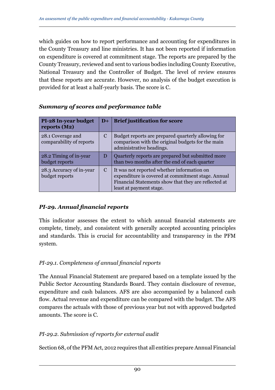which guides on how to report performance and accounting for expenditures in the County Treasury and line ministries. It has not been reported if information on expenditure is covered at commitment stage. The reports are prepared by the County Treasury, reviewed and sent to various bodies including County Executive, National Treasury and the Controller of Budget. The level of review ensures that these reports are accurate. However, no analysis of the budget execution is provided for at least a half-yearly basis. The score is C.

| <b>PI-28 In-year budget</b><br>reports $(M2)$ | $D+$ | <b>Brief justification for score</b>                                                                                                                                                |
|-----------------------------------------------|------|-------------------------------------------------------------------------------------------------------------------------------------------------------------------------------------|
| 28.1 Coverage and<br>comparability of reports | C    | Budget reports are prepared quarterly allowing for<br>comparison with the original budgets for the main<br>administrative headings.                                                 |
| 28.2 Timing of in-year<br>budget reports      | D    | Quarterly reports are prepared but submitted more<br>than two months after the end of each quarter                                                                                  |
| 28.3 Accuracy of in-year<br>budget reports    | C    | It was not reported whether information on<br>expenditure is covered at commitment stage. Annual<br>Financial Statements show that they are reflected at<br>least at payment stage. |

#### *Summary of scores and performance table*

### *PI-29. Annual financial reports*

This indicator assesses the extent to which annual financial statements are complete, timely, and consistent with generally accepted accounting principles and standards. This is crucial for accountability and transparency in the PFM system.

### *PI-29.1. Completeness of annual financial reports*

The Annual Financial Statement are prepared based on a template issued by the Public Sector Accounting Standards Board. They contain disclosure of revenue, expenditure and cash balances. AFS are also accompanied by a balanced cash flow. Actual revenue and expenditure can be compared with the budget. The AFS compares the actuals with those of previous year but not with approved budgeted amounts. The score is C.

### *PI-29.2. Submission of reports for external audit*

Section 68, of the PFM Act, 2012 requires that all entities prepare Annual Financial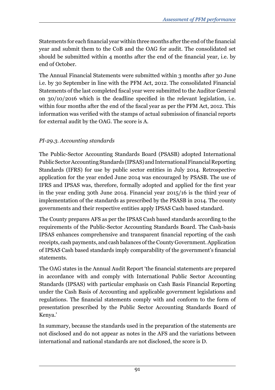Statements for each financial year within three months after the end of the financial year and submit them to the CoB and the OAG for audit. The consolidated set should be submitted within 4 months after the end of the financial year, i.e. by end of October.

The Annual Financial Statements were submitted within 3 months after 30 June i.e. by 30 September in line with the PFM Act, 2012. The consolidated Financial Statements of the last completed fiscal year were submitted to the Auditor General on 30/10/2016 which is the deadline specified in the relevant legislation, i.e. within four months after the end of the fiscal year as per the PFM Act, 2012. This information was verified with the stamps of actual submission of financial reports for external audit by the OAG. The score is A.

### *PI-29.3. Accounting standards*

The Public-Sector Accounting Standards Board (PSASB) adopted International Public Sector Accounting Standards (IPSAS) and International Financial Reporting Standards (IFRS) for use by public sector entities in July 2014. Retrospective application for the year ended June 2014 was encouraged by PSASB. The use of IFRS and IPSAS was, therefore, formally adopted and applied for the first year in the year ending 30th June 2014. Financial year 2015/16 is the third year of implementation of the standards as prescribed by the PSASB in 2014. The county governments and their respective entities apply IPSAS Cash based standard.

The County prepares AFS as per the IPSAS Cash based standards according to the requirements of the Public-Sector Accounting Standards Board. The Cash-basis IPSAS enhances comprehensive and transparent financial reporting of the cash receipts, cash payments, and cash balances of the County Government. Application of IPSAS Cash based standards imply comparability of the government's financial statements.

The OAG states in the Annual Audit Report 'the financial statements are prepared in accordance with and comply with International Public Sector Accounting Standards (IPSAS) with particular emphasis on Cash Basis Financial Reporting under the Cash Basis of Accounting and applicable government legislations and regulations. The financial statements comply with and conform to the form of presentation prescribed by the Public Sector Accounting Standards Board of Kenya.'

In summary, because the standards used in the preparation of the statements are not disclosed and do not appear as notes in the AFS and the variations between international and national standards are not disclosed, the score is D.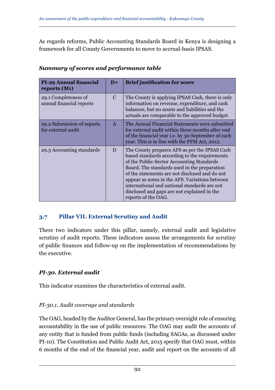As regards reforms, Public Accounting Standards Board in Kenya is designing a framework for all County Governments to move to accrual-basis IPSAS.

| <b>PI-29 Annual financial</b><br>reports (M1)    | $D+$          | <b>Brief justification for score</b>                                                                                                                                                                                                                                                                                                                                                                                  |
|--------------------------------------------------|---------------|-----------------------------------------------------------------------------------------------------------------------------------------------------------------------------------------------------------------------------------------------------------------------------------------------------------------------------------------------------------------------------------------------------------------------|
| 29.1 Completeness of<br>annual financial reports | $\mathcal{C}$ | The County is applying IPSAS Cash, there is only<br>information on revenue, expenditure, and cash<br>balances, but no assets and liabilities and the<br>actuals are comparable to the approved budget.                                                                                                                                                                                                                |
| 29.2 Submission of reports<br>for external audit | $\mathbf{A}$  | The Annual Financial Statements were submitted<br>for external audit within three months after end<br>of the financial year i.e. by 30 September of each<br>year. This is in line with the PFM Act, 2012.                                                                                                                                                                                                             |
| 29.3 Accounting standards                        | D             | The County prepares AFS as per the IPSAS Cash<br>based standards according to the requirements<br>of the Public-Sector Accounting Standards<br>Board. The standards used in the preparation<br>of the statements are not disclosed and do not<br>appear as notes in the AFS. Variations between<br>international and national standards are not<br>disclosed and gaps are not explained in the<br>reports of the OAG. |

### *Summary of scores and performance table*

### **3.7 Pillar VII. External Scrutiny and Audit**

There two indicators under this pillar, namely, external audit and legislative scrutiny of audit reports. These indicators assess the arrangements for scrutiny of public finances and follow-up on the implementation of recommendations by the executive.

### *PI-30. External audit*

This indicator examines the characteristics of external audit.

### *PI-30.1. Audit coverage and standards*

The OAG, headed by the Auditor General, has the primary oversight role of ensuring accountability in the use of public resources. The OAG may audit the accounts of any entity that is funded from public funds (including SAGAs, as discussed under PI-10). The Constitution and Public Audit Act, 2015 specify that OAG must, within 6 months of the end of the financial year, audit and report on the accounts of all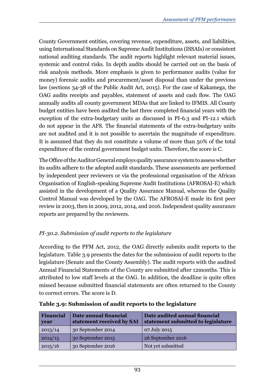County Government entities, covering revenue, expenditure, assets, and liabilities, using International Standards on Supreme Audit Institutions (ISSAIs) or consistent national auditing standards. The audit reports highlight relevant material issues, systemic and control risks. In depth audits should be carried out on the basis of risk analysis methods. More emphasis is given to performance audits (value for money) forensic audits and procurement/asset disposal than under the previous law (sections 34-38 of the Public Audit Act, 2015). For the case of Kakamega, the OAG audits receipts and payables, statement of assets and cash flow. The OAG annually audits all county government MDAs that are linked to IFMIS. All County budget entities have been audited the last three completed financial years with the exception of the extra-budgetary units as discussed in PI-6.3 and PI-12.1 which do not appear in the AFS. The financial statements of the extra-budgetary units are not audited and it is not possible to ascertain the magnitude of expenditure. It is assumed that they do not constitute a volume of more than 50% of the total expenditure of the central government budget units. Therefore, the score is C.

The Office of the Auditor General employs quality assurance system to assess whether its audits adhere to the adopted audit standards. These assessments are performed by independent peer reviewers or via the professional organisation of the African Organisation of English-speaking Supreme Audit Institutions (AFROSAI-E) which assisted in the development of a Quality Assurance Manual, whereas the Quality Control Manual was developed by the OAG. The AFROSAI-E made its first peer review in 2003, then in 2009, 2012, 2014, and 2016. Independent quality assurance reports are prepared by the reviewers.

# *PI-30.2. Submission of audit reports to the legislature*

According to the PFM Act, 2012, the OAG directly submits audit reports to the legislature. Table 3.9 presents the dates for the submission of audit reports to the legislature (Senate and the County Assembly). The audit reports with the audited Annual Financial Statements of the County are submitted after 12months. This is attributed to low staff levels at the OAG. In addition, the deadline is quite often missed because submitted financial statements are often returned to the County to correct errors. The score is D.

| Financial<br>year | Date annual financial<br>statement received by SAI | Date audited annual financial<br>statement submitted to legislature |
|-------------------|----------------------------------------------------|---------------------------------------------------------------------|
| 2013/14           | 30 September 2014                                  | 07 July 2015                                                        |
| 2014/15           | 30 September 2015                                  | 26 September 2016                                                   |
| 2015/16           | 30 September 2016                                  | Not yet submitted                                                   |

|  |  | Table 3.9: Submission of audit reports to the legislature |  |
|--|--|-----------------------------------------------------------|--|
|  |  |                                                           |  |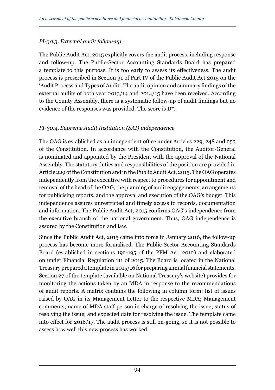### *PI-30.3. External audit follow-up*

The Public Audit Act, 2015 explicitly covers the audit process, including response and follow-up. The Public-Sector Accounting Standards Board has prepared a template to this purpose. It is too early to assess its effectiveness. The audit process is prescribed in Section 31 of Part IV of the Public Audit Act 2015 on the 'Audit Process and Types of Audit'. The audit opinion and summary findings of the external audits of both year 2013/14 and 2014/15 have been received. According to the County Assembly, there is a systematic follow-up of audit findings but no evidence of the responses was provided. The score is D\*.

### *PI-30.4. Supreme Audit Institution (SAI) independence*

The OAG is established as an independent office under Articles 229, 248 and 253 of the Constitution. In accordance with the Constitution, the Auditor-General is nominated and appointed by the President with the approval of the National Assembly. The statutory duties and responsibilities of the position are provided in Article 229 of the Constitution and in the Public Audit Act, 2015. The OAG operates independently from the executive with respect to procedures for appointment and removal of the head of the OAG, the planning of audit engagements, arrangements for publicising reports, and the approval and execution of the OAG's budget. This independence assures unrestricted and timely access to records, documentation and information. The Public Audit Act, 2015 confirms OAG's independence from the executive branch of the national government. Thus, OAG independence is assured by the Constitution and law.

Since the Public Audit Act, 2015 came into force in January 2016, the follow-up process has become more formalised. The Public-Sector Accounting Standards Board (established in sections 192-195 of the PFM Act, 2012) and elaborated on under Financial Regulation 111 of 2015. The Board is located in the National Treasury prepared a template in 2015/16 for preparing annual financial statements. Section 27 of the template (available on National Treasury's website) provides for monitoring the actions taken by an MDA in response to the recommendations of audit reports. A matrix contains the following in column form: list of issues raised by OAG in its Management Letter to the respective MDA; Management comments; name of MDA staff person in charge of resolving the issue; status of resolving the issue; and expected date for resolving the issue. The template came into effect for 2016/17. The audit process is still on-going, so it is not possible to assess how well this new process has worked.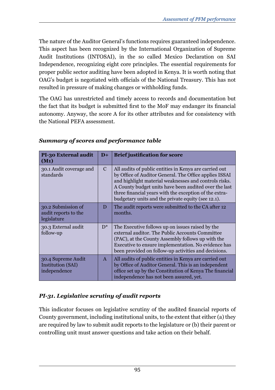The nature of the Auditor General's functions requires guaranteed independence. This aspect has been recognized by the International Organization of Supreme Audit Institutions (INTOSAI), in the so called Mexico Declaration on SAI Independence, recognizing eight core principles. The essential requirements for proper public sector auditing have been adopted in Kenya. It is worth noting that OAG's budget is negotiated with officials of the National Treasury. This has not resulted in pressure of making changes or withholding funds.

The OAG has unrestricted and timely access to records and documentation but the fact that its budget is submitted first to the MoF may endanger its financial autonomy. Anyway, the score A for its other attributes and for consistency with the National PEFA assessment.

| PI-30 External audit<br>$(M_1)$                           | $D+$          | <b>Brief justification for score</b>                                                                                                                                                                                                                                                                                                               |
|-----------------------------------------------------------|---------------|----------------------------------------------------------------------------------------------------------------------------------------------------------------------------------------------------------------------------------------------------------------------------------------------------------------------------------------------------|
| 30.1 Audit coverage and<br>standards                      | $\mathcal{C}$ | All audits of public entities in Kenya are carried out<br>by Office of Auditor General. The Office applies ISSAI<br>and highlight material weaknesses and controls risks.<br>A County budget units have been audited over the last<br>three financial years with the exception of the extra-<br>budgetary units and the private equity (see 12.1). |
| 30.2 Submission of<br>audit reports to the<br>legislature | D             | The audit reports were submitted to the CA after 12<br>months.                                                                                                                                                                                                                                                                                     |
| 30.3 External audit<br>follow-up                          | $D^*$         | The Executive follows up on issues raised by the<br>external auditor. The Public Accounts Committee<br>(PAC), at the County Assembly follows up with the<br>Executive to ensure implementation. No evidence has<br>been provided on follow-up activities and decisions.                                                                            |
| 30.4 Supreme Audit<br>Institution (SAI)<br>independence   | $\mathsf{A}$  | All audits of public entities in Kenya are carried out<br>by Office of Auditor General. This is an independent<br>office set up by the Constitution of Kenya The financial<br>independence has not been assured, yet.                                                                                                                              |

### *Summary of scores and performance table*

# *PI-31. Legislative scrutiny of audit reports*

This indicator focuses on legislative scrutiny of the audited financial reports of County government, including institutional units, to the extent that either (a) they are required by law to submit audit reports to the legislature or (b) their parent or controlling unit must answer questions and take action on their behalf.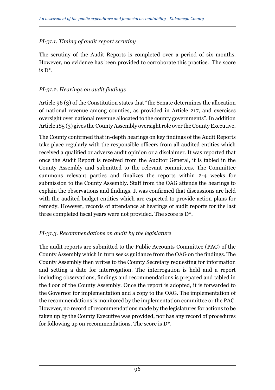### *PI-31.1. Timing of audit report scrutiny*

The scrutiny of the Audit Reports is completed over a period of six months. However, no evidence has been provided to corroborate this practice. The score is D\*.

### *PI-31.2. Hearings on audit findings*

Article 96 (3) of the Constitution states that "the Senate determines the allocation of national revenue among counties, as provided in Article 217, and exercises oversight over national revenue allocated to the county governments". In addition Article 185 (3) gives the County Assembly oversight role over the County Executive.

The County confirmed that in-depth hearings on key findings of the Audit Reports take place regularly with the responsible officers from all audited entities which received a qualified or adverse audit opinion or a disclaimer. It was reported that once the Audit Report is received from the Auditor General, it is tabled in the County Assembly and submitted to the relevant committees. The Committee summons relevant parties and finalizes the reports within 2-4 weeks for submission to the County Assembly. Staff from the OAG attends the hearings to explain the observations and findings. It was confirmed that discussions are held with the audited budget entities which are expected to provide action plans for remedy. However, records of attendance at hearings of audit reports for the last three completed fiscal years were not provided. The score is D\*.

### *PI-31.3. Recommendations on audit by the legislature*

The audit reports are submitted to the Public Accounts Committee (PAC) of the County Assembly which in turn seeks guidance from the OAG on the findings. The County Assembly then writes to the County Secretary requesting for information and setting a date for interrogation. The interrogation is held and a report including observations, findings and recommendations is prepared and tabled in the floor of the County Assembly. Once the report is adopted, it is forwarded to the Governor for implementation and a copy to the OAG. The implementation of the recommendations is monitored by the implementation committee or the PAC. However, no record of recommendations made by the legislatures for actions to be taken up by the County Executive was provided, nor has any record of procedures for following up on recommendations. The score is D\*.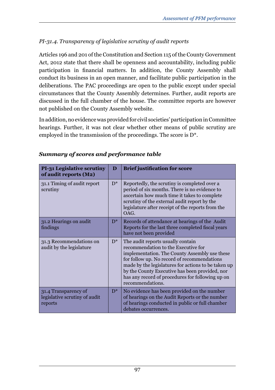# *PI-31.4. Transparency of legislative scrutiny of audit reports*

Articles 196 and 201 of the Constitution and Section 115 of the County Government Act, 2012 state that there shall be openness and accountability, including public participation in financial matters. In addition, the County Assembly shall conduct its business in an open manner, and facilitate public participation in the deliberations. The PAC proceedings are open to the public except under special circumstances that the County Assembly determines. Further, audit reports are discussed in the full chamber of the house. The committee reports are however not published on the County Assembly website.

In addition, no evidence was provided for civil societies' participation in Committee hearings. Further, it was not clear whether other means of public scrutiny are employed in the transmission of the proceedings. The score is D\*.

| <b>PI-31 Legislative scrutiny</b><br>of audit reports (M2)       | D     | <b>Brief justification for score</b>                                                                                                                                                                                                                                                                                                                      |
|------------------------------------------------------------------|-------|-----------------------------------------------------------------------------------------------------------------------------------------------------------------------------------------------------------------------------------------------------------------------------------------------------------------------------------------------------------|
| 31.1 Timing of audit report<br>scrutiny                          | $D^*$ | Reportedly, the scrutiny is completed over a<br>period of six months. There is no evidence to<br>ascertain how much time it takes to complete<br>scrutiny of the external audit report by the<br>legislature after receipt of the reports from the<br>OAG.                                                                                                |
| 31.2 Hearings on audit<br>findings                               | $D^*$ | Records of attendance at hearings of the Audit<br>Reports for the last three completed fiscal years<br>have not been provided                                                                                                                                                                                                                             |
| 31.3 Recommendations on<br>audit by the legislature              | $D^*$ | The audit reports usually contain<br>recommendation to the Executive for<br>implementation. The County Assembly use these<br>for follow up. No record of recommendations<br>made by the legislatures for actions to be taken up<br>by the County Executive has been provided, nor<br>has any record of procedures for following up on<br>recommendations. |
| 31.4 Transparency of<br>legislative scrutiny of audit<br>reports | $D^*$ | No evidence has been provided on the number<br>of hearings on the Audit Reports or the number<br>of hearings conducted in public or full chamber<br>debates occurrences.                                                                                                                                                                                  |

### *Summary of scores and performance table*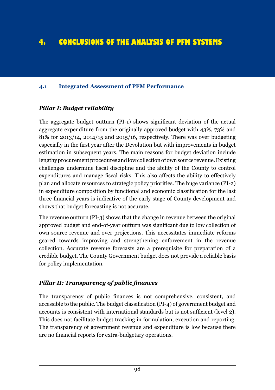# **4. CONCLUSIONS OF THE ANALYSIS OF PFM SYSTEMS**

#### **4.1 Integrated Assessment of PFM Performance**

#### *Pillar I: Budget reliability*

The aggregate budget outturn (PI-1) shows significant deviation of the actual aggregate expenditure from the originally approved budget with 43%, 73% and 81% for 2013/14, 2014/15 and 2015/16, respectively. There was over budgeting especially in the first year after the Devolution but with improvements in budget estimation in subsequent years. The main reasons for budget deviation include lengthy procurement procedures and low collection of own source revenue. Existing challenges undermine fiscal discipline and the ability of the County to control expenditures and manage fiscal risks. This also affects the ability to effectively plan and allocate resources to strategic policy priorities. The huge variance (PI-2) in expenditure composition by functional and economic classification for the last three financial years is indicative of the early stage of County development and shows that budget forecasting is not accurate.

The revenue outturn (PI-3) shows that the change in revenue between the original approved budget and end-of-year outturn was significant due to low collection of own source revenue and over projections. This necessitates immediate reforms geared towards improving and strengthening enforcement in the revenue collection. Accurate revenue forecasts are a prerequisite for preparation of a credible budget. The County Government budget does not provide a reliable basis for policy implementation.

#### *Pillar II: Transparency of public finances*

The transparency of public finances is not comprehensive, consistent, and accessible to the public. The budget classification (PI-4) of government budget and accounts is consistent with international standards but is not sufficient (level 2). This does not facilitate budget tracking in formulation, execution and reporting. The transparency of government revenue and expenditure is low because there are no financial reports for extra-budgetary operations.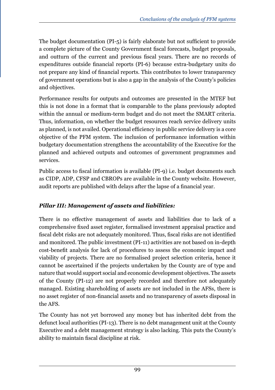The budget documentation (PI-5) is fairly elaborate but not sufficient to provide a complete picture of the County Government fiscal forecasts, budget proposals, and outturn of the current and previous fiscal years. There are no records of expenditures outside financial reports (PI-6) because extra-budgetary units do not prepare any kind of financial reports. This contributes to lower transparency of government operations but is also a gap in the analysis of the County's policies and objectives.

Performance results for outputs and outcomes are presented in the MTEF but this is not done in a format that is comparable to the plans previously adopted within the annual or medium-term budget and do not meet the SMART criteria. Thus, information, on whether the budget resources reach service delivery units as planned, is not availed. Operational efficiency in public service delivery is a core objective of the PFM system. The inclusion of performance information within budgetary documentation strengthens the accountability of the Executive for the planned and achieved outputs and outcomes of government programmes and services.

Public access to fiscal information is available (PI-9) i.e. budget documents such as CIDP, ADP, CFSP and CBROPs are available in the County website. However, audit reports are published with delays after the lapse of a financial year.

# *Pillar III: Management of assets and liabilities:*

There is no effective management of assets and liabilities due to lack of a comprehensive fixed asset register, formalised investment appraisal practice and fiscal debt risks are not adequately monitored. Thus, fiscal risks are not identified and monitored. The public investment (PI-11) activities are not based on in-depth cost-benefit analysis for lack of procedures to assess the economic impact and viability of projects. There are no formalised project selection criteria, hence it cannot be ascertained if the projects undertaken by the County are of type and nature that would support social and economic development objectives. The assets of the County (PI-12) are not properly recorded and therefore not adequately managed. Existing shareholding of assets are not included in the AFSs, there is no asset register of non-financial assets and no transparency of assets disposal in the AFS.

The County has not yet borrowed any money but has inherited debt from the defunct local authorities (PI-13). There is no debt management unit at the County Executive and a debt management strategy is also lacking. This puts the County's ability to maintain fiscal discipline at risk.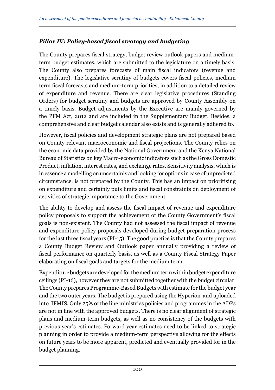### *Pillar IV: Policy-based fiscal strategy and budgeting*

The County prepares fiscal strategy, budget review outlook papers and mediumterm budget estimates, which are submitted to the legislature on a timely basis. The County also prepares forecasts of main fiscal indicators (revenue and expenditure). The legislative scrutiny of budgets covers fiscal policies, medium term fiscal forecasts and medium-term priorities, in addition to a detailed review of expenditure and revenue. There are clear legislative procedures (Standing Orders) for budget scrutiny and budgets are approved by County Assembly on a timely basis. Budget adjustments by the Executive are mainly governed by the PFM Act, 2012 and are included in the Supplementary Budget. Besides, a comprehensive and clear budget calendar also exists and is generally adhered to.

However, fiscal policies and development strategic plans are not prepared based on County relevant macroeconomic and fiscal projections. The County relies on the economic data provided by the National Government and the Kenya National Bureau of Statistics on key Macro-economic indicators such as the Gross Domestic Product, inflation, interest rates, and exchange rates. Sensitivity analysis, which is in essence a modelling on uncertainly and looking for options in case of unpredicted circumstance, is not prepared by the County. This has an impact on prioritising on expenditure and certainly puts limits and fiscal constraints on deployment of activities of strategic importance to the Government.

The ability to develop and assess the fiscal impact of revenue and expenditure policy proposals to support the achievement of the County Government's fiscal goals is non-existent. The County had not assessed the fiscal impact of revenue and expenditure policy proposals developed during budget preparation process for the last three fiscal years (PI-15). The good practice is that the County prepares a County Budget Review and Outlook paper annually providing a review of fiscal performance on quarterly basis, as well as a County Fiscal Strategy Paper elaborating on fiscal goals and targets for the medium term.

Expenditure budgets are developed for the medium term within budget expenditure ceilings (PI-16), however they are not submitted together with the budget circular. The County prepares Programme-Based Budgets with estimate for the budget year and the two outer years. The budget is prepared using the Hyperion and uploaded into IFMIS. Only 25% of the line ministries policies and programmes in the ADPs are not in line with the approved budgets. There is no clear alignment of strategic plans and medium-term budgets, as well as no consistency of the budgets with previous year's estimates. Forward year estimates need to be linked to strategic planning in order to provide a medium-term perspective allowing for the effects on future years to be more apparent, predicted and eventually provided for in the budget planning.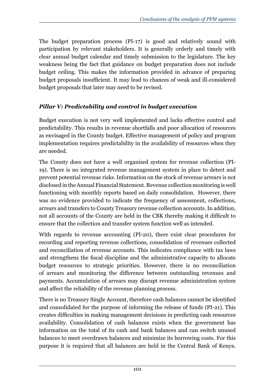The budget preparation process (PI-17) is good and relatively sound with participation by relevant stakeholders. It is generally orderly and timely with clear annual budget calendar and timely submission to the legislature. The key weakness being the fact that guidance on budget preparation does not include budget ceiling. This makes the information provided in advance of preparing budget proposals insufficient. It may lead to chances of weak and ill-considered budget proposals that later may need to be revised.

# *Pillar V: Predictability and control in budget execution*

Budget execution is not very well implemented and lacks effective control and predictability. This results in revenue shortfalls and poor allocation of resources as envisaged in the County budget. Effective management of policy and program implementation requires predictability in the availability of resources when they are needed.

The County does not have a well organised system for revenue collection (PI-19). There is no integrated revenue management system in place to detect and prevent potential revenue risks. Information on the stock of revenue arrears is not disclosed in the Annual Financial Statement. Revenue collection monitoring is well functioning with monthly reports based on daily consolidation. However, there was no evidence provided to indicate the frequency of assessment, collections, arrears and transfers to County Treasury revenue collection accounts. In addition, not all accounts of the County are held in the CBK thereby making it difficult to ensure that the collection and transfer system function well as intended.

With regards to revenue accounting (PI-20), there exist clear procedures for recording and reporting revenue collections, consolidation of revenues collected and reconciliation of revenue accounts. This indicates compliance with tax laws and strengthens the fiscal discipline and the administrative capacity to allocate budget resources to strategic priorities. However, there is no reconciliation of arrears and monitoring the difference between outstanding revenues and payments. Accumulation of arrears may disrupt revenue administration system and affect the reliability of the revenue planning process.

There is no Treasury Single Account, therefore cash balances cannot be identified and consolidated for the purpose of informing the release of funds (PI-21). This creates difficulties in making management decisions in predicting cash resources availability. Consolidation of cash balances exists when the government has information on the total of its cash and bank balances and can switch unused balances to meet overdrawn balances and minimize its borrowing costs. For this purpose it is required that all balances are held in the Central Bank of Kenya.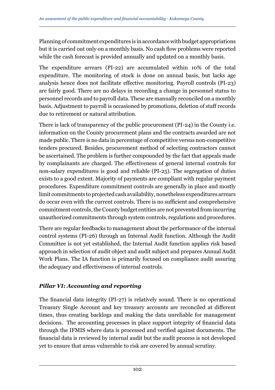Planning of commitment expenditures is in accordance with budget appropriations but it is carried out only on a monthly basis. No cash flow problems were reported while the cash forecast is provided annually and updated on a monthly basis.

The expenditure arrears (PI-22) are accumulated within 10% of the total expenditure. The monitoring of stock is done on annual basis, but lacks age analysis hence does not facilitate effective monitoring. Payroll controls (PI-23) are fairly good. There are no delays in recording a change in personnel status to personnel records and to payroll data. These are manually reconciled on a monthly basis. Adjustment to payroll is occasioned by promotions, deletion of staff records due to retirement or natural attribution.

There is lack of transparency of the public procurement (PI-24) in the County i.e. information on the County procurement plans and the contracts awarded are not made public. There is no data in percentage of competitive versus non-competitive tenders procured. Besides, procurement method of selecting contractors cannot be ascertained. The problem is further compounded by the fact that appeals made by complainants are charged. The effectiveness of general internal controls for non-salary expenditures is good and reliable (PI-25). The segregation of duties exists to a good extent. Majority of payments are compliant with regular payment procedures. Expenditure commitment controls are generally in place and mostly limit commitments to projected cash availability, nonetheless expenditures arrears do occur even with the current controls. There is no sufficient and comprehensive commitment controls, the County budget entities are not prevented from incurring unauthorized commitments through system controls, regulations and procedures.

There are regular feedbacks to management about the performance of the internal control systems (PI-26) through an Internal Audit function. Although the Audit Committee is not yet established, the Internal Audit function applies risk based approach in selection of audit object and audit subject and prepares Annual Audit Work Plans. The IA function is primarily focused on compliance audit assuring the adequacy and effectiveness of internal controls.

# *Pillar VI: Accounting and reporting*

The financial data integrity (PI-27) is relatively sound. There is no operational Treasury Single Account and key treasury accounts are reconciled at different times, thus creating backlogs and making the data unreliable for management decisions. The accounting processes in place support integrity of financial data through the IFMIS where data is processed and verified against documents. The financial data is reviewed by internal audit but the audit process is not developed yet to ensure that areas vulnerable to risk are covered by annual scrutiny.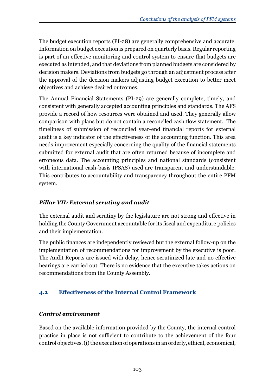The budget execution reports (PI-28) are generally comprehensive and accurate. Information on budget execution is prepared on quarterly basis. Regular reporting is part of an effective monitoring and control system to ensure that budgets are executed as intended, and that deviations from planned budgets are considered by decision makers. Deviations from budgets go through an adjustment process after the approval of the decision makers adjusting budget execution to better meet objectives and achieve desired outcomes.

The Annual Financial Statements (PI-29) are generally complete, timely, and consistent with generally accepted accounting principles and standards. The AFS provide a record of how resources were obtained and used. They generally allow comparison with plans but do not contain a reconciled cash flow statement. The timeliness of submission of reconciled year-end financial reports for external audit is a key indicator of the effectiveness of the accounting function. This area needs improvement especially concerning the quality of the financial statements submitted for external audit that are often returned because of incomplete and erroneous data. The accounting principles and national standards (consistent with international cash-basis IPSAS) used are transparent and understandable. This contributes to accountability and transparency throughout the entire PFM system.

### *Pillar VII: External scrutiny and audit*

The external audit and scrutiny by the legislature are not strong and effective in holding the County Government accountable for its fiscal and expenditure policies and their implementation.

The public finances are independently reviewed but the external follow-up on the implementation of recommendations for improvement by the executive is poor. The Audit Reports are issued with delay, hence scrutinized late and no effective hearings are carried out. There is no evidence that the executive takes actions on recommendations from the County Assembly.

### **4.2 Effectiveness of the Internal Control Framework**

### *Control environment*

Based on the available information provided by the County, the internal control practice in place is not sufficient to contribute to the achievement of the four control objectives. (i) the execution of operations in an orderly, ethical, economical,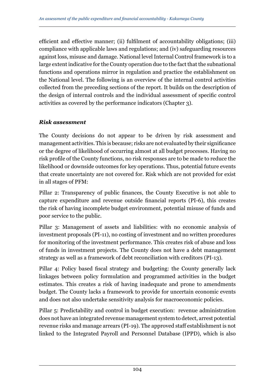efficient and effective manner; (ii) fulfilment of accountability obligations; (iii) compliance with applicable laws and regulations; and (iv) safeguarding resources against loss, misuse and damage. National level Internal Control framework is to a large extent indicative for the County operation due to the fact that the subnational functions and operations mirror in regulation and practice the establishment on the National level. The following is an overview of the internal control activities collected from the preceding sections of the report. It builds on the description of the design of internal controls and the individual assessment of specific control activities as covered by the performance indicators (Chapter 3).

#### *Risk assessment*

The County decisions do not appear to be driven by risk assessment and management activities. This is because; risks are not evaluated by their significance or the degree of likelihood of occurring almost at all budget processes. Having no risk profile of the County functions, no risk responses are to be made to reduce the likelihood or downside outcomes for key operations. Thus, potential future events that create uncertainty are not covered for. Risk which are not provided for exist in all stages of PFM:

Pillar 2: Transparency of public finances, the County Executive is not able to capture expenditure and revenue outside financial reports (PI-6), this creates the risk of having incomplete budget environment, potential misuse of funds and poor service to the public.

Pillar 3: Management of assets and liabilities: with no economic analysis of investment proposals (PI-11), no costing of investment and no written procedures for monitoring of the investment performance. This creates risk of abuse and loss of funds in investment projects. The County does not have a debt management strategy as well as a framework of debt reconciliation with creditors (PI-13).

Pillar 4: Policy based fiscal strategy and budgeting: the County generally lack linkages between policy formulation and programmed activities in the budget estimates. This creates a risk of having inadequate and prone to amendments budget. The County lacks a framework to provide for uncertain economic events and does not also undertake sensitivity analysis for macroeconomic policies.

Pillar 5: Predictability and control in budget execution: revenue administration does not have an integrated revenue management system to detect, arrest potential revenue risks and manage arrears (PI-19). The approved staff establishment is not linked to the Integrated Payroll and Personnel Database (IPPD), which is also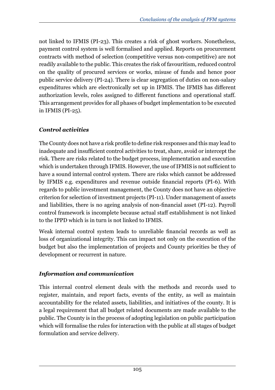not linked to IFMIS (PI-23). This creates a risk of ghost workers. Nonetheless, payment control system is well formalised and applied. Reports on procurement contracts with method of selection (competitive versus non-competitive) are not readily available to the public. This creates the risk of favouritism, reduced control on the quality of procured services or works, misuse of funds and hence poor public service delivery (PI-24). There is clear segregation of duties on non-salary expenditures which are electronically set up in IFMIS. The IFMIS has different authorization levels, roles assigned to different functions and operational staff. This arrangement provides for all phases of budget implementation to be executed in IFMIS (PI-25).

# *Control activities*

The County does not have a risk profile to define risk responses and this may lead to inadequate and insufficient control activities to treat, share, avoid or intercept the risk. There are risks related to the budget process, implementation and execution which is undertaken through IFMIS. However, the use of IFMIS is not sufficient to have a sound internal control system. There are risks which cannot be addressed by IFMIS e.g. expenditures and revenue outside financial reports (PI-6). With regards to public investment management, the County does not have an objective criterion for selection of investment projects (PI-11). Under management of assets and liabilities, there is no ageing analysis of non-financial asset (PI-12). Payroll control framework is incomplete because actual staff establishment is not linked to the IPPD which is in turn is not linked to IFMIS.

Weak internal control system leads to unreliable financial records as well as loss of organizational integrity. This can impact not only on the execution of the budget but also the implementation of projects and County priorities be they of development or recurrent in nature.

### *Information and communication*

This internal control element deals with the methods and records used to register, maintain, and report facts, events of the entity, as well as maintain accountability for the related assets, liabilities, and initiatives of the county. It is a legal requirement that all budget related documents are made available to the public. The County is in the process of adopting legislation on public participation which will formalise the rules for interaction with the public at all stages of budget formulation and service delivery.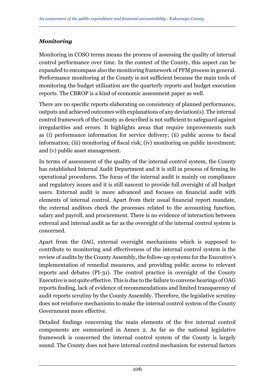### *Monitoring*

Monitoring in COSO terms means the process of assessing the quality of internal control performance over time. In the context of the County, this aspect can be expanded to encompass also the monitoring framework of PFM process in general. Performance monitoring at the County is not sufficient because the main tools of monitoring the budget utilization are the quarterly reports and budget execution reports. The CBROP is a kind of economic assessment paper as well.

There are no specific reports elaborating on consistency of planned performance, outputs and achieved outcomes with explanations of any deviation(s). The internal control framework of the County as described is not sufficient to safeguard against irregularities and errors. It highlights areas that require improvements such as (i) performance information for service delivery; (ii) public access to fiscal information; (iii) monitoring of fiscal risk; (iv) monitoring on public investment; and (v) public asset management.

In terms of assessment of the quality of the internal control system, the County has established Internal Audit Department and it is still in process of firming its operational procedures. The focus of the internal audit is mainly on compliance and regulatory issues and it is still nascent to provide full oversight of all budget users. External audit is more advanced and focuses on financial audit with elements of internal control. Apart from their usual financial report mandate, the external auditors check the processes related to the accounting function, salary and payroll, and procurement. There is no evidence of interaction between external and internal audit as far as the oversight of the internal control system is concerned.

Apart from the OAG, external oversight mechanisms which is supposed to contribute to monitoring and effectiveness of the internal control system is the review of audits by the County Assembly, the follow-up systems for the Executive's implementation of remedial measures, and providing public access to relevant reports and debates (PI-31). The control practice in oversight of the County Executive is not quite effective. This is due to the failure to convene hearings of OAG reports finding, lack of evidence of recommendations and limited transparency of audit reports scrutiny by the County Assembly. Therefore, the legislative scrutiny does not reinforce mechanisms to make the internal control system of the County Government more effective.

Detailed findings concerning the main elements of the five internal control components are summarized in Annex 2. As far as the national legislative framework is concerned the internal control system of the County is largely sound. The County does not have internal control mechanism for external factors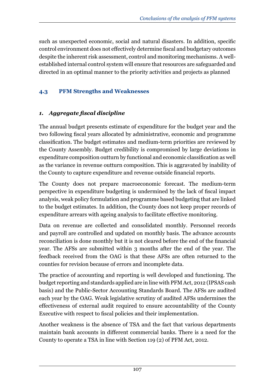such as unexpected economic, social and natural disasters. In addition, specific control environment does not effectively determine fiscal and budgetary outcomes despite the inherent risk assessment, control and monitoring mechanisms. A wellestablished internal control system will ensure that resources are safeguarded and directed in an optimal manner to the priority activities and projects as planned

# **4.3 PFM Strengths and Weaknesses**

# *1. Aggregate fiscal discipline*

The annual budget presents estimate of expenditure for the budget year and the two following fiscal years allocated by administrative, economic and programme classification. The budget estimates and medium-term priorities are reviewed by the County Assembly. Budget credibility is compromised by large deviations in expenditure composition outturn by functional and economic classification as well as the variance in revenue outturn composition. This is aggravated by inability of the County to capture expenditure and revenue outside financial reports.

The County does not prepare macroeconomic forecast. The medium-term perspective in expenditure budgeting is undermined by the lack of fiscal impact analysis, weak policy formulation and programme based budgeting that are linked to the budget estimates. In addition, the County does not keep proper records of expenditure arrears with ageing analysis to facilitate effective monitoring.

Data on revenue are collected and consolidated monthly. Personnel records and payroll are controlled and updated on monthly basis. The advance accounts reconciliation is done monthly but it is not cleared before the end of the financial year. The AFSs are submitted within 3 months after the end of the year. The feedback received from the OAG is that these AFSs are often returned to the counties for revision because of errors and incomplete data.

The practice of accounting and reporting is well developed and functioning. The budget reporting and standards applied are in line with PFM Act, 2012 (IPSAS cash basis) and the Public-Sector Accounting Standards Board. The AFSs are audited each year by the OAG. Weak legislative scrutiny of audited AFSs undermines the effectiveness of external audit required to ensure accountability of the County Executive with respect to fiscal policies and their implementation.

Another weakness is the absence of TSA and the fact that various departments maintain bank accounts in different commercial banks. There is a need for the County to operate a TSA in line with Section 119 (2) of PFM Act, 2012.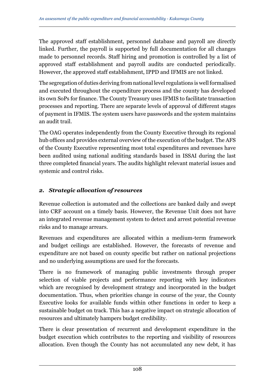The approved staff establishment, personnel database and payroll are directly linked. Further, the payroll is supported by full documentation for all changes made to personnel records. Staff hiring and promotion is controlled by a list of approved staff establishment and payroll audits are conducted periodically. However, the approved staff establishment, IPPD and IFMIS are not linked.

The segregation of duties deriving from national level regulations is well formalised and executed throughout the expenditure process and the county has developed its own SoPs for finance. The County Treasury uses IFMIS to facilitate transaction processes and reporting. There are separate levels of approval of different stages of payment in IFMIS. The system users have passwords and the system maintains an audit trail.

The OAG operates independently from the County Executive through its regional hub offices and provides external overview of the execution of the budget. The AFS of the County Executive representing most total expenditures and revenues have been audited using national auditing standards based in ISSAI during the last three completed financial years. The audits highlight relevant material issues and systemic and control risks.

#### *2. Strategic allocation of resources*

Revenue collection is automated and the collections are banked daily and swept into CRF account on a timely basis. However, the Revenue Unit does not have an integrated revenue management system to detect and arrest potential revenue risks and to manage arrears.

Revenues and expenditures are allocated within a medium-term framework and budget ceilings are established. However, the forecasts of revenue and expenditure are not based on county specific but rather on national projections and no underlying assumptions are used for the forecasts.

There is no framework of managing public investments through proper selection of viable projects and performance reporting with key indicators which are recognised by development strategy and incorporated in the budget documentation. Thus, when priorities change in course of the year, the County Executive looks for available funds within other functions in order to keep a sustainable budget on track. This has a negative impact on strategic allocation of resources and ultimately hampers budget credibility.

There is clear presentation of recurrent and development expenditure in the budget execution which contributes to the reporting and visibility of resources allocation. Even though the County has not accumulated any new debt, it has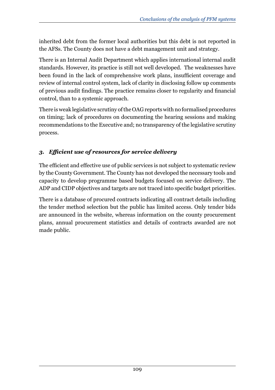inherited debt from the former local authorities but this debt is not reported in the AFSs. The County does not have a debt management unit and strategy.

There is an Internal Audit Department which applies international internal audit standards. However, its practice is still not well developed. The weaknesses have been found in the lack of comprehensive work plans, insufficient coverage and review of internal control system, lack of clarity in disclosing follow up comments of previous audit findings. The practice remains closer to regularity and financial control, than to a systemic approach.

There is weak legislative scrutiny of the OAG reports with no formalised procedures on timing; lack of procedures on documenting the hearing sessions and making recommendations to the Executive and; no transparency of the legislative scrutiny process.

#### *3. Efficient use of resources for service delivery*

The efficient and effective use of public services is not subject to systematic review by the County Government. The County has not developed the necessary tools and capacity to develop programme based budgets focused on service delivery. The ADP and CIDP objectives and targets are not traced into specific budget priorities.

There is a database of procured contracts indicating all contract details including the tender method selection but the public has limited access. Only tender bids are announced in the website, whereas information on the county procurement plans, annual procurement statistics and details of contracts awarded are not made public.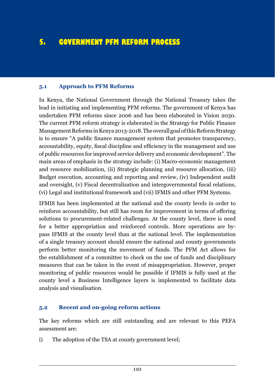## **5. GOVERNMENT PFM REFORM PROCESS**

#### **5.1 Approach to PFM Reforms**

In Kenya, the National Government through the National Treasury takes the lead in initiating and implementing PFM reforms. The government of Kenya has undertaken PFM reforms since 2006 and has been elaborated in Vision 2030. The current PFM reform strategy is elaborated in the Strategy for Public Finance Management Reforms in Kenya 2013-2018. The overall goal of this Reform Strategy is to ensure "A public finance management system that promotes transparency, accountability, equity, fiscal discipline and efficiency in the management and use of public resources for improved service delivery and economic development". The main areas of emphasis in the strategy include: (i) Macro-economic management and resource mobilization, (ii) Strategic planning and resource allocation, (iii) Budget execution, accounting and reporting and review, (iv) Independent audit and oversight, (v) Fiscal decentralization and intergovernmental fiscal relations, (vi) Legal and institutional framework and (vii) IFMIS and other PFM Systems.

IFMIS has been implemented at the national and the county levels in order to reinforce accountability, but still has room for improvement in terms of offering solutions to procurement-related challenges. At the county level, there is need for a better appropriation and reinforced controls. More operations are bypass IFMIS at the county level than at the national level. The implementation of a single treasury account should ensure the national and county governments perform better monitoring the movement of funds. The PFM Act allows for the establishment of a committee to check on the use of funds and disciplinary measures that can be taken in the event of misappropriation. However, proper monitoring of public resources would be possible if IFMIS is fully used at the county level a Business Intelligence layers is implemented to facilitate data analysis and visualisation.

#### **5.2 Recent and on-going reform actions**

The key reforms which are still outstanding and are relevant to this PEFA assessment are:

i) The adoption of the TSA at county government level;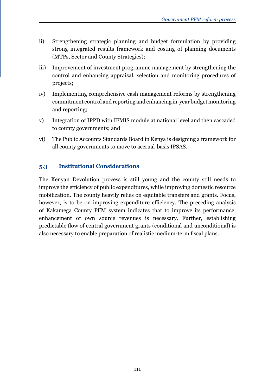- ii) Strengthening strategic planning and budget formulation by providing strong integrated results framework and costing of planning documents (MTPs, Sector and County Strategies);
- iii) Improvement of investment programme management by strengthening the control and enhancing appraisal, selection and monitoring procedures of projects;
- iv) Implementing comprehensive cash management reforms by strengthening commitment control and reporting and enhancing in-year budget monitoring and reporting;
- v) Integration of IPPD with IFMIS module at national level and then cascaded to county governments; and
- vi) The Public Accounts Standards Board in Kenya is designing a framework for all county governments to move to accrual-basis IPSAS.

#### **5.3 Institutional Considerations**

The Kenyan Devolution process is still young and the county still needs to improve the efficiency of public expenditures, while improving domestic resource mobilization. The county heavily relies on equitable transfers and grants. Focus, however, is to be on improving expenditure efficiency. The preceding analysis of Kakamega County PFM system indicates that to improve its performance, enhancement of own source revenues is necessary. Further, establishing predictable flow of central government grants (conditional and unconditional) is also necessary to enable preparation of realistic medium-term fiscal plans.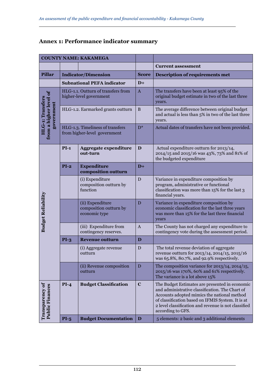| <b>COUNTY NAME: KAKAMEGA</b>                             |                                                                  |                                                               |                |                                                                                                                                                                                                                                                                                    |
|----------------------------------------------------------|------------------------------------------------------------------|---------------------------------------------------------------|----------------|------------------------------------------------------------------------------------------------------------------------------------------------------------------------------------------------------------------------------------------------------------------------------------|
|                                                          |                                                                  |                                                               |                | <b>Current assessment</b>                                                                                                                                                                                                                                                          |
| <b>Pillar</b>                                            | <b>Indicator/Dimension</b>                                       |                                                               | <b>Score</b>   | <b>Description of requirements met</b>                                                                                                                                                                                                                                             |
|                                                          | <b>Subnational PEFA indicator</b>                                |                                                               | $D+$           |                                                                                                                                                                                                                                                                                    |
|                                                          |                                                                  | HLG-1.1. Outturn of transfers from<br>higher-level government |                | The transfers have been at least 95% of the<br>original budget estimate in two of the last three<br>years.                                                                                                                                                                         |
| from a higher level of<br>HLG-1: Transfers<br>government |                                                                  | HLG-1.2. Earmarked grants outturn                             |                | The average difference between original budget<br>and actual is less than 5% in two of the last three<br>years.                                                                                                                                                                    |
|                                                          | HLG-1.3. Timeliness of transfers<br>from higher-level government |                                                               | $D^*$          | Actual dates of transfers have not been provided.                                                                                                                                                                                                                                  |
|                                                          | $PI-1$                                                           | Aggregate expenditure<br>out-turn                             | D              | Actual expenditure outturn for 2013/14,<br>2014/15 and 2015/16 was 43%, 73% and 81% of<br>the budgeted expenditure                                                                                                                                                                 |
|                                                          | $PI-2$                                                           | <b>Expenditure</b><br>composition outturn                     | $D+$           |                                                                                                                                                                                                                                                                                    |
| <b>Budget Reliability</b>                                |                                                                  | (i) Expenditure<br>composition outturn by<br>function         | D              | Variance in expenditure composition by<br>program, administrative or functional<br>classification was more than 15% for the last 3<br>financial years.                                                                                                                             |
|                                                          |                                                                  | (ii) Expenditure<br>composition outturn by<br>economic type   | $\overline{D}$ | Variance in expenditure composition by<br>economic classification for the last three years<br>was more than 15% for the last three financial<br>years                                                                                                                              |
|                                                          |                                                                  | (iii) Expenditure from<br>contingency reserves.               | $\mathbf{A}$   | The County has not charged any expenditure to<br>contingency vote during the assessment period.                                                                                                                                                                                    |
|                                                          | $PI-3$                                                           | <b>Revenue outturn</b>                                        | $\overline{D}$ |                                                                                                                                                                                                                                                                                    |
|                                                          |                                                                  | (i) Aggregate revenue<br>outturn                              | D              | The total revenue deviation of aggregate<br>revenue outturn for 2013/14, 2014/15, 2015/16<br>was 65.8%, 80.7%, and 92.9% respectively.                                                                                                                                             |
|                                                          |                                                                  | (ii) Revenue composition<br>outturn                           | D              | The composition variance for $2013/14$ , $2014/15$ ,<br>2015/16 was 170%, 60% and 61% respectively.<br>The variance is a lot above 15%                                                                                                                                             |
| Transparency of<br><b>Public Finances</b>                | $PI-4$                                                           | <b>Budget Classification</b>                                  | $\mathbf C$    | The Budget Estimates are presented in economic<br>and administrative classification. The Chart of<br>Accounts adopted mimics the national method<br>of classification based on IFMIS System. It is at<br>2 level classification and revenue is not classified<br>according to GFS. |
|                                                          | $PI-5$                                                           | <b>Budget Documentation</b>                                   | D              | 5 elements: 2 basic and 3 additional elements                                                                                                                                                                                                                                      |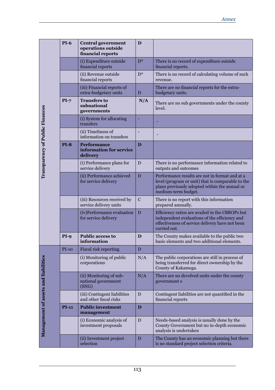|                                 | <b>PI-6</b> | <b>Central government</b><br>operations outside<br>financial reports | D              |                                                                                                                                                                             |
|---------------------------------|-------------|----------------------------------------------------------------------|----------------|-----------------------------------------------------------------------------------------------------------------------------------------------------------------------------|
|                                 |             | (i) Expenditure outside<br>financial reports                         | $D^*$          | There is no record of expenditure outside<br>financial reports.                                                                                                             |
|                                 |             | (ii) Revenue outside<br>financial reports                            | $D^*$          | There is no record of calculating volume of such<br>revenue.                                                                                                                |
|                                 |             | (iii) Financial reports of<br>extra-budgetary units                  | D              | There are no financial reports for the extra-<br>budgetary units.                                                                                                           |
|                                 | $PI-7$      | <b>Transfers to</b><br>subnational<br>governments                    | N/A            | There are no sub governments under the county<br>level.                                                                                                                     |
|                                 |             | (i) System for allocating<br>transfers                               | ÷              |                                                                                                                                                                             |
|                                 |             | (ii) Timeliness of<br>information on transfers                       | $\overline{a}$ |                                                                                                                                                                             |
| Transparency of Public Finances | $PI-8$      | <b>Performance</b><br>information for service<br>delivery            | D              |                                                                                                                                                                             |
|                                 |             | (i) Performance plans for<br>service delivery                        | D              | There is no performance information related to<br>outputs and outcomes                                                                                                      |
|                                 |             | (ii) Performance achieved<br>for service delivery                    | D              | Performance results are not in format and at a<br>level (program or unit) that is comparable to the<br>plans previously adopted within the annual or<br>medium-term budget. |
|                                 |             | (iii) Resources received by<br>service delivery units                | $\mathbf C$    | There is no report with this information<br>prepared annually.                                                                                                              |
|                                 |             | (iv)Performance evaluation<br>for service delivery                   | D              | Efficiency ratios are availed in the CBROPs but<br>independent evaluations of the efficiency and<br>effectiveness of service delivery have not been<br>carried out.         |
|                                 | $PI-9$      | <b>Public access to</b><br>information                               | D              | The County makes available to the public two<br>basic elements and two additional elements.                                                                                 |
|                                 | $PI-10$     | Fiscal risk reporting                                                | D              |                                                                                                                                                                             |
| <b>nd</b> liabilities           |             | (i) Monitoring of public<br>corporations                             | N/A            | The public corporations are still in process of<br>being transferred for direct ownership by the<br>County of Kakamega.                                                     |
|                                 |             | (ii) Monitoring of sub-<br>national government<br>(SNG)              | N/A            | There are no devolved units under the county<br>government e                                                                                                                |
|                                 |             | (iii) Contingent liabilities<br>and other fiscal risks               | D              | Contingent liabilities are not quantified in the<br>financial reports                                                                                                       |
|                                 | $PI-11$     | <b>Public investment</b><br>management                               | $\mathbf{D}$   |                                                                                                                                                                             |
| <b>Management of assets a</b>   |             | (i) Economic analysis of<br>investment proposals                     | D              | Needs-based analysis is usually done by the<br>County Government but no in-depth economic<br>analysis is undertaken                                                         |
|                                 |             | (ii) Investment project<br>selection                                 | D              | The County has an economic planning but there<br>is no standard project selection criteria.                                                                                 |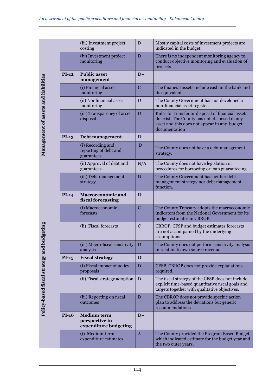|                                      |              | (iii) Investment project<br>costing                           | D              | Mostly capital costs of investment projects are<br>indicated in the budget.                                                                                         |
|--------------------------------------|--------------|---------------------------------------------------------------|----------------|---------------------------------------------------------------------------------------------------------------------------------------------------------------------|
|                                      |              | (iv) Investment project<br>monitoring                         | D              | There is no independent monitoring agency to<br>conduct objective monitoring and evaluation of<br>projects.                                                         |
|                                      | $PI-12$      | <b>Public asset</b><br>management                             | $D+$           |                                                                                                                                                                     |
| Management of assets and liabilities |              | (i) Financial asset<br>monitoring                             | $\overline{C}$ | The financial assets include cash in the bank and<br>its equivalent.                                                                                                |
|                                      |              | (ii) Nonfinancial asset<br>monitoring                         | D              | The County Government has not developed a<br>non-financial asset register.                                                                                          |
|                                      |              | (iii) Transparency of asset<br>disposal                       | D              | Rules for transfer or disposal of financial assets<br>do exist. The County has not disposed of any<br>asset and this does not appear in any budget<br>documentation |
|                                      | $PI-13$      | Debt management                                               | D              |                                                                                                                                                                     |
|                                      |              | (i) Recording and<br>reporting of debt and<br>guarantees      | D              | The County does not have a debt management<br>strategy.                                                                                                             |
|                                      |              | (ii) Approval of debt and<br>guarantees                       | N/A            | The County does not have legislation or<br>procedures for borrowing or loan guaranteeing.                                                                           |
|                                      |              | (iii) Debt management<br>strategy                             | D              | The County Government has neither debt<br>management strategy nor debt management<br>function.                                                                      |
|                                      | $PI-14$      | <b>Macroeconomic and</b><br>fiscal forecasting                | $D+$           |                                                                                                                                                                     |
|                                      |              |                                                               |                |                                                                                                                                                                     |
|                                      |              | (i) Macroeconomic<br>forecasts                                | $\mathbf C$    | The County Treasury adopts the macroeconomic<br>indicators from the National Government for its<br>budget estimates in CBROP.                                       |
|                                      |              | (ii) Fiscal forecasts                                         | $\mathbf C$    | CBROP, CFSP and budget estimates forecasts<br>are not accompanied by the underlying<br>assumptions                                                                  |
|                                      |              | (iii) Macro-fiscal sensitivity<br>analysis                    | D              | The County does not perform sensitivity analysis<br>in relation to own source revenue.                                                                              |
|                                      | $PI-15$      | <b>Fiscal strategy</b>                                        | D              |                                                                                                                                                                     |
|                                      |              | (i) Fiscal impact of policy<br>proposals                      | D              | CFSP, CBROP does not provide explanations<br>required.                                                                                                              |
| iscal strategy and budgeting         |              | (ii) Fiscal strategy adoption                                 | D              | The fiscal strategy of the CFSP does not include<br>explicit time-based quantitative fiscal goals and<br>targets together with qualitative objectives.              |
|                                      |              | (iii) Reporting on fiscal<br>outcomes                         | D              | The CBROP does not provide specific action<br>plan to address the deviations but generic<br>recommendations.                                                        |
| Policy-based                         | <b>PI-16</b> | <b>Medium term</b><br>perspective in<br>expenditure budgeting | $D+$           |                                                                                                                                                                     |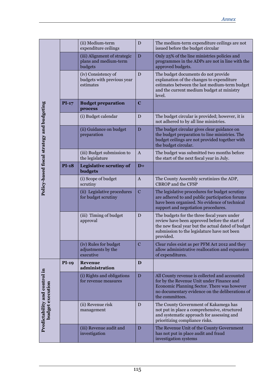|                                            |              | (ii) Medium-term<br>expenditure ceilings                         | D            | The medium-term expenditure ceilings are not<br>issued before the budget circular                                                                                                                               |
|--------------------------------------------|--------------|------------------------------------------------------------------|--------------|-----------------------------------------------------------------------------------------------------------------------------------------------------------------------------------------------------------------|
|                                            |              | (iii) Alignment of strategic<br>plans and medium-term<br>budgets | D            | Only 25% of the line ministries policies and<br>programmes in the ADPs are not in line with the<br>approved budgets.                                                                                            |
|                                            |              | (iv) Consistency of<br>budgets with previous year<br>estimates   | D            | The budget documents do not provide<br>explanation of the changes to expenditure<br>estimates between the last medium-term budget<br>and the current medium budget at ministry<br>level.                        |
|                                            | $PI-17$      | <b>Budget preparation</b><br>process                             | $\mathbf C$  |                                                                                                                                                                                                                 |
|                                            |              | (i) Budget calendar                                              | D            | The budget circular is provided; however, it is<br>not adhered to by all line ministries.                                                                                                                       |
| Policy-based fiscal strategy and budgeting |              | (ii) Guidance on budget<br>preparation                           | D            | The budget circular gives clear guidance on<br>the budget preparation to line ministries. The<br>budget ceilings are not provided together with<br>the budget circular.                                         |
|                                            |              | (iii) Budget submission to<br>the legislature                    | A            | The budget was submitted two months before<br>the start of the next fiscal year in July.                                                                                                                        |
|                                            | <b>PI-18</b> | Legislative scrutiny of<br>budgets                               | $D+$         |                                                                                                                                                                                                                 |
|                                            |              | (i) Scope of budget<br>scrutiny                                  | $\mathbf{A}$ | The County Assembly scrutinizes the ADP,<br><b>CBROP</b> and the CFSP                                                                                                                                           |
|                                            |              | (ii) Legislative procedures<br>for budget scrutiny               | $\mathbf C$  | The legislative procedures for budget scrutiny<br>are adhered to and public participation forums<br>have been organised. No evidence of technical<br>support and negotiation procedures.                        |
|                                            |              | (iii) Timing of budget<br>approval                               | D            | The budgets for the three fiscal years under<br>review have been approved before the start of<br>the new fiscal year but the actual dated of budget<br>submission to the legislature have not been<br>provided. |
|                                            |              | (iv) Rules for budget<br>adjustments by the<br>executive         | $\mathbf C$  | Clear rules exist as per PFM Act 2012 and they<br>allow administrative reallocation and expansion<br>of expenditures.                                                                                           |
|                                            | <b>PI-19</b> | <b>Revenue</b><br>administration                                 | D            |                                                                                                                                                                                                                 |
| Predictability and control in              |              | (i) Rights and obligations<br>for revenue measures               | D            | All County revenue is collected and accounted<br>for by the Revenue Unit under Finance and<br>Economic Planning Sector. There was however<br>no documentary evidence on the deliberations of<br>the committees. |
| budget executio                            |              | (ii) Revenue risk<br>management                                  | D            | The County Government of Kakamega has<br>not put in place a comprehensive, structured<br>and systematic approach for assessing and<br>prioritizing compliance risks.                                            |
|                                            |              | (iii) Revenue audit and<br>investigation                         | D            | The Revenue Unit of the County Government<br>has not put in place audit and fraud<br>investigation systems                                                                                                      |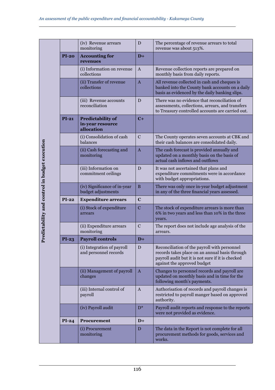|                                              |              | (iv) Revenue arrears<br>monitoring                         | D            | The percentage of revenue arrears to total<br>revenue was about 513%.                                                                                                              |
|----------------------------------------------|--------------|------------------------------------------------------------|--------------|------------------------------------------------------------------------------------------------------------------------------------------------------------------------------------|
|                                              | <b>PI-20</b> | <b>Accounting for</b><br>revenues                          | $D+$         |                                                                                                                                                                                    |
|                                              |              | (i) Information on revenue<br>collections                  | $\mathbf{A}$ | Revenue collection reports are prepared on<br>monthly basis from daily reports.                                                                                                    |
|                                              |              | (ii) Transfer of revenue<br>collections                    | $\mathbf{A}$ | All revenue collected in cash and cheques is<br>banked into the County bank accounts on a daily<br>basis as evidenced by the daily banking slips.                                  |
|                                              |              | (iii) Revenue accounts<br>reconciliation                   | D            | There was no evidence that reconciliation of<br>assessments, collections, arrears, and transfers<br>to Treasury controlled accounts are carried out.                               |
|                                              | $PI-21$      | <b>Predictability of</b><br>in-year resource<br>allocation | $C+$         |                                                                                                                                                                                    |
|                                              |              | (i) Consolidation of cash<br>balances                      | C            | The County operates seven accounts at CBK and<br>their cash balances are consolidated daily.                                                                                       |
|                                              |              | (ii) Cash forecasting and<br>monitoring                    | $\mathbf{A}$ | The cash forecast is provided annually and<br>updated on a monthly basis on the basis of<br>actual cash inflows and outflows                                                       |
| LLeancement, sura common municipal execution |              | (iii) Information on<br>commitment ceilings                | D            | It was not ascertained that plans and<br>expenditure commitments were in accordance<br>with budget appropriations.                                                                 |
|                                              |              | (iv) Significance of in-year<br>budget adjustments         | B            | There was only once in-year budget adjustment<br>in any of the three financial years assessed.                                                                                     |
|                                              | $PI-22$      | <b>Expenditure arrears</b>                                 | $\mathbf c$  |                                                                                                                                                                                    |
|                                              |              | (i) Stock of expenditure<br>arrears                        | $\mathbf C$  | The stock of expenditure arrears is more than<br>6% in two years and less than 10% in the three<br>years.                                                                          |
|                                              |              | (ii) Expenditure arrears<br>monitoring                     | $\mathbf C$  | The report does not include age analysis of the<br>arrears.                                                                                                                        |
|                                              | $PI-23$      | <b>Payroll controls</b>                                    | $D+$         |                                                                                                                                                                                    |
|                                              |              | (i) Integration of payroll<br>and personnel records        | D            | Reconciliation of the payroll with personnel<br>records takes place on an annual basis through<br>payroll audit but it is not sure if it is checked<br>against the approved budget |
|                                              |              | (ii) Management of payroll<br>changes                      | $\mathbf{A}$ | Changes to personnel records and payroll are<br>updated on monthly basis and in time for the<br>following month's payments.                                                        |
|                                              |              | (iii) Internal control of<br>payroll                       | A            | Authorisation of records and payroll changes is<br>restricted to payroll manger based on approved<br>authority.                                                                    |
|                                              |              | (iv) Payroll audit                                         | $D^*$        | Payroll audit reports and response to the reports<br>were not provided as evidence.                                                                                                |
|                                              | $PI-24$      | <b>Procurement</b>                                         | $D+$         |                                                                                                                                                                                    |
|                                              |              | (i) Procurement<br>monitoring                              | D            | The data in the Report is not complete for all<br>procurement methods for goods, services and<br>works.                                                                            |

**Predictability and control in budget execution**  $\ddot{\phantom{a}}$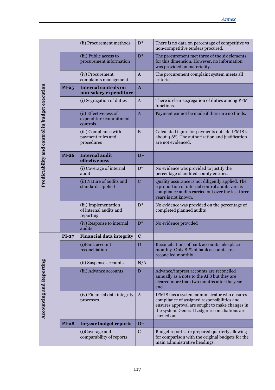|                                                |              | (ii) Procurement methods                                    | $D^*$        | There is no data on percentage of competitive vs<br>non-competitive tenders procured.                                                                                                                           |
|------------------------------------------------|--------------|-------------------------------------------------------------|--------------|-----------------------------------------------------------------------------------------------------------------------------------------------------------------------------------------------------------------|
|                                                |              | (iii) Public access to<br>procurement information           | $D^*$        | The procurement met three of the six elements<br>for this dimension. However, no information<br>was provided on materiality.                                                                                    |
|                                                |              | (iv) Procurement<br>complaints management                   | $\mathbf{A}$ | The procurement complaint system meets all<br>criteria                                                                                                                                                          |
|                                                | $PI-25$      | <b>Internal controls on</b><br>non-salary expenditure       | $\mathbf{A}$ |                                                                                                                                                                                                                 |
|                                                |              | (i) Segregation of duties                                   | $\mathbf{A}$ | There is clear segregation of duties among PFM<br>functions.                                                                                                                                                    |
|                                                |              | (ii) Effectiveness of<br>expenditure commitment<br>controls | $\mathbf{A}$ | Payment cannot be made if there are no funds.                                                                                                                                                                   |
| Predictability and control in budget execution |              | (iii) Compliance with<br>payment rules and<br>procedures    | B            | Calculated figure for payments outside IFMIS is<br>about 4.6%. The authorization and justification<br>are not evidenced.                                                                                        |
|                                                | $PI-26$      | <b>Internal audit</b><br>effectiveness                      | $D+$         |                                                                                                                                                                                                                 |
|                                                |              | (i) Coverage of internal<br>audit                           | $D^*$        | No evidence was provided to justify the<br>percentage of audited county entities.                                                                                                                               |
|                                                |              | (ii) Nature of audits and<br>standards applied              | $\mathbf C$  | Quality assurance is not diligently applied. The<br>e proportion of internal control audits versus<br>compliance audits carried out over the last three<br>years is not known.                                  |
|                                                |              | (iii) Implementation<br>of internal audits and<br>reporting | $D^*$        | No evidence was provided on the percentage of<br>completed planned audits                                                                                                                                       |
|                                                |              | (iv) Response to internal<br>audits                         | $D^*$        | No evidence provided                                                                                                                                                                                            |
|                                                | $PI-27$      | <b>Financial data integrity</b>                             | $\mathbf C$  |                                                                                                                                                                                                                 |
|                                                |              | (i) Bank account<br>reconciliation                          | D            | Reconciliations of bank accounts take place<br>monthly. Only 81% of bank accounts are<br>reconciled monthly                                                                                                     |
|                                                |              | (ii) Suspense accounts                                      | N/A          |                                                                                                                                                                                                                 |
| Reporting<br>ಕ<br>Accounting an                |              | (iii) Advance accounts                                      | D            | Advance/imprest accounts are reconciled<br>annually as a note to the AFS but they are<br>cleared more than two months after the year<br>end.                                                                    |
|                                                |              | (iv) Financial data integrity<br>processes                  | $\mathbf{A}$ | IFMIS has a system administrator who ensures<br>compliance of assigned responsibilities and<br>ensures approval are sought to make changes in<br>the system. General Ledger reconciliations are<br>carried out. |
|                                                | <b>PI-28</b> | In-year budget reports                                      | $D+$         |                                                                                                                                                                                                                 |
|                                                |              | (i)Coverage and<br>comparability of reports                 | $\mathbf C$  | Budget reports are prepared quarterly allowing<br>for comparison with the original budgets for the<br>main administrative headings.                                                                             |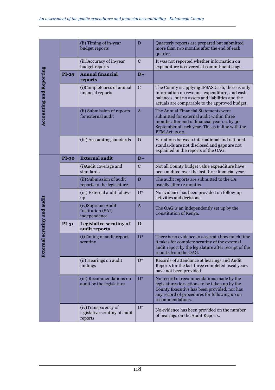|                                 |              | (ii) Timing of in-year<br>budget reports                        | D              | Quarterly reports are prepared but submitted<br>more than two months after the end of each<br>quarter                                                                                                         |
|---------------------------------|--------------|-----------------------------------------------------------------|----------------|---------------------------------------------------------------------------------------------------------------------------------------------------------------------------------------------------------------|
|                                 |              | (iii)Accuracy of in-year<br>budget reports                      | $\mathbf C$    | It was not reported whether information on<br>expenditure is covered at commitment stage.                                                                                                                     |
|                                 | $PI-29$      | <b>Annual financial</b><br>reports                              | $\mathbf{D}+$  |                                                                                                                                                                                                               |
| <b>Accounting and Reporting</b> |              | (i)Completeness of annual<br>financial reports                  | $\mathcal{C}$  | The County is applying IPSAS Cash, there is only<br>information on revenue, expenditure, and cash<br>balances, but no assets and liabilities and the<br>actuals are comparable to the approved budget.        |
|                                 |              | (ii) Submission of reports<br>for external audit                | $\overline{A}$ | The Annual Financial Statements were<br>submitted for external audit within three<br>months after end of financial year i.e. by 30<br>September of each year. This is in line with the<br>PFM Act, 2012.      |
|                                 |              | (iii) Accounting standards                                      | D              | Variations between international and national<br>standards are not disclosed and gaps are not<br>explained in the reports of the OAG.                                                                         |
|                                 | <b>PI-30</b> | <b>External audit</b>                                           | $D+$           |                                                                                                                                                                                                               |
|                                 |              | (i) Audit coverage and<br>standards                             | $\mathbf C$    | Not all County budget value expenditure have<br>been audited over the last three financial year.                                                                                                              |
|                                 |              | (ii) Submission of audit<br>reports to the legislature          | D              | The audit reports are submitted to the CA<br>usually after 12 months.                                                                                                                                         |
|                                 |              | (iii) External audit follow-<br>up                              | $D^*$          | No evidence has been provided on follow-up<br>activities and decisions.                                                                                                                                       |
|                                 |              | (iv)Supreme Audit<br>Institution (SAI)<br>independence          | $\overline{A}$ | The OAG is an independently set up by the<br>Constitution of Kenya.                                                                                                                                           |
|                                 | PI-31        | Legislative scrutiny of<br>audit reports                        | D              |                                                                                                                                                                                                               |
| External scrutiny and audit     |              | (i) Timing of audit report<br>scrutiny                          | $D^*$          | There is no evidence to ascertain how much time<br>it takes for complete scrutiny of the external<br>audit report by the legislature after receipt of the<br>reports from the OAG.                            |
|                                 |              | (ii) Hearings on audit<br>findings                              | $D^*$          | Records of attendance at hearings and Audit<br>Reports for the last three completed fiscal years<br>have not been provided                                                                                    |
|                                 |              | (iii) Recommendations on<br>audit by the legislature            | $D^*$          | No record of recommendations made by the<br>legislatures for actions to be taken up by the<br>County Executive has been provided, nor has<br>any record of procedures for following up on<br>recommendations. |
|                                 |              | (iv)Transparency of<br>legislative scrutiny of audit<br>reports | $D^*$          | No evidence has been provided on the number<br>of hearings on the Audit Reports.                                                                                                                              |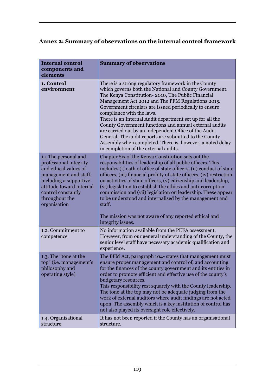### **Annex 2: Summary of observations on the internal control framework**

| <b>Internal control</b><br>components and<br>elements                                                                                                                                                          | <b>Summary of observations</b>                                                                                                                                                                                                                                                                                                                                                                                                                                                                                                                                                                                                                                 |
|----------------------------------------------------------------------------------------------------------------------------------------------------------------------------------------------------------------|----------------------------------------------------------------------------------------------------------------------------------------------------------------------------------------------------------------------------------------------------------------------------------------------------------------------------------------------------------------------------------------------------------------------------------------------------------------------------------------------------------------------------------------------------------------------------------------------------------------------------------------------------------------|
| 1. Control<br>environment                                                                                                                                                                                      | There is a strong regulatory framework in the County<br>which governs both the National and County Government.<br>The Kenya Constitution-2010, The Public Financial<br>Management Act 2012 and The PFM Regulations 2015.<br>Government circulars are issued periodically to ensure<br>compliance with the laws.<br>There is an Internal Audit department set up for all the<br>County Government functions and annual external audits<br>are carried out by an independent Office of the Audit<br>General. The audit reports are submitted to the County<br>Assembly when completed. There is, however, a noted delay<br>in completion of the external audits. |
| 1.1 The personal and<br>professional integrity<br>and ethical values of<br>management and staff,<br>including a supportive<br>attitude toward internal<br>control constantly<br>throughout the<br>organisation | Chapter Six of the Kenya Constitution sets out the<br>responsibilities of leadership of all public officers. This<br>includes (i) oath of office of state officers, (ii) conduct of state<br>officers, (iii) financial probity of state officers, (iv) restriction<br>on activities of state officers, (v) citizenship and leadership,<br>(vi) legislation to establish the ethics and anti-corruption<br>commission and (vii) legislation on leadership. These appear<br>to be understood and internalised by the management and<br>staff.<br>The mission was not aware of any reported ethical and<br>integrity issues.                                      |
| 1.2. Commitment to<br>competence                                                                                                                                                                               | No information available from the PEFA assessment.<br>However, from our general understanding of the County, the<br>senior level staff have necessary academic qualification and<br>experience.                                                                                                                                                                                                                                                                                                                                                                                                                                                                |
| 1.3. The "tone at the<br>top" (i.e. management's<br>philosophy and<br>operating style)                                                                                                                         | The PFM Act, paragraph 104- states that management must<br>ensure proper management and control of, and accounting<br>for the finances of the county government and its entities in<br>order to promote efficient and effective use of the county's<br>budgetary resources.<br>This responsibility rest squarely with the County leadership.<br>The tone at the top may not be adequate judging from the<br>work of external auditors where audit findings are not acted<br>upon. The assembly which is a key institution of control has<br>not also played its oversight role effectively.                                                                    |
| 1.4. Organisational<br>structure                                                                                                                                                                               | It has not been reported if the County has an organisational<br>structure.                                                                                                                                                                                                                                                                                                                                                                                                                                                                                                                                                                                     |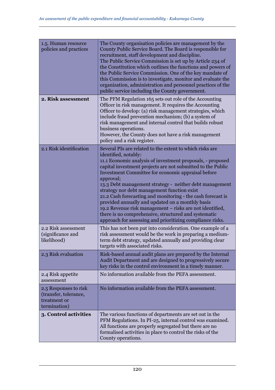| 1.5. Human resource<br>policies and practices                                  | The County organisation policies are management by the<br>County Public Service Board. The Board is responsible for<br>recruitment, staff development and discipline.<br>The Public Service Commission is set up by Article 234 of<br>the Constitution which outlines the functions and powers of<br>the Public Service Commission. One of the key mandate of<br>this Commission is to investigate, monitor and evaluate the<br>organization, administration and personnel practices of the<br>public service including the County government.                                                                                                                                                 |
|--------------------------------------------------------------------------------|------------------------------------------------------------------------------------------------------------------------------------------------------------------------------------------------------------------------------------------------------------------------------------------------------------------------------------------------------------------------------------------------------------------------------------------------------------------------------------------------------------------------------------------------------------------------------------------------------------------------------------------------------------------------------------------------|
| 2. Risk assessment                                                             | The PFM Regulation 165 sets out role of the Accounting<br>Officer in risk management. It requires the Accounting<br>Officer to develop: (a) risk management strategies, which<br>include fraud prevention mechanism; (b) a system of<br>risk management and internal control that builds robust<br>business operations.<br>However, the County does not have a risk management<br>policy and a risk register.                                                                                                                                                                                                                                                                                  |
| 2.1 Risk identification                                                        | Several PIs are related to the extent to which risks are<br>identified, notably:<br>11.1 Economic analysis of investment proposals, - proposed<br>capital investment projects are not submitted to the Public<br>Investment Committee for economic appraisal before<br>approval;<br>13.3 Debt management strategy - neither debt management<br>strategy nor debt management function exist<br>21.2 Cash forecasting and monitoring - the cash forecast is<br>provided annually and updated on a monthly basis<br>19.2 Revenue risk management – risks are not identified,<br>there is no comprehensive, structured and systematic<br>approach for assessing and prioritizing compliance risks. |
| 2.2 Risk assessment<br>(significance and<br>likelihood)                        | This has not been put into consideration. One example of a<br>risk assessment would be the work in preparing a medium-<br>term debt strategy, updated annually and providing clear<br>targets with associated risks.                                                                                                                                                                                                                                                                                                                                                                                                                                                                           |
| 2.3 Risk evaluation                                                            | Risk-based annual audit plans are prepared by the Internal<br>Audit Department and are designed to progressively secure<br>key risks in the control environment in a timely manner.                                                                                                                                                                                                                                                                                                                                                                                                                                                                                                            |
| 2.4 Risk appetite<br>assessment                                                | No information available from the PEFA assessment.                                                                                                                                                                                                                                                                                                                                                                                                                                                                                                                                                                                                                                             |
| 2.5 Responses to risk<br>(transfer, tolerance,<br>treatment or<br>termination) | No information available from the PEFA assessment.                                                                                                                                                                                                                                                                                                                                                                                                                                                                                                                                                                                                                                             |
| 3. Control activities                                                          | The various functions of departments are set out in the<br>PFM Regulations. In PI-25, internal control was examined.<br>All functions are properly segregated but there are no<br>formalised activities in place to control the risks of the<br>County operations.                                                                                                                                                                                                                                                                                                                                                                                                                             |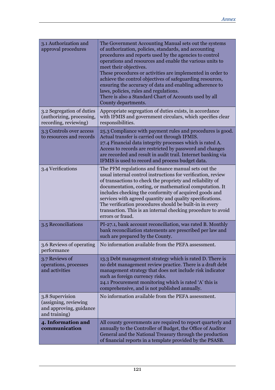| 3.1 Authorization and<br>approval procedures                                         | The Government Accounting Manual sets out the systems<br>of authorization, policies, standards, and accounting<br>procedures and reports used by the agencies to control<br>operations and resources and enable the various units to<br>meet their objectives.<br>These procedures or activities are implemented in order to<br>achieve the control objectives of safeguarding resources,<br>ensuring the accuracy of data and enabling adherence to<br>laws, policies, rules and regulations.<br>There is also a Standard Chart of Accounts used by all<br>County departments. |
|--------------------------------------------------------------------------------------|---------------------------------------------------------------------------------------------------------------------------------------------------------------------------------------------------------------------------------------------------------------------------------------------------------------------------------------------------------------------------------------------------------------------------------------------------------------------------------------------------------------------------------------------------------------------------------|
| 3.2 Segregation of duties<br>(authorizing, processing,<br>recording, reviewing)      | Appropriate segregation of duties exists, in accordance<br>with IFMIS and government circulars, which specifies clear<br>responsibilities.                                                                                                                                                                                                                                                                                                                                                                                                                                      |
| 3.3 Controls over access<br>to resources and records                                 | 25.3 Compliance with payment rules and procedures is good.<br>Actual transfer is carried out through IFMIS.<br>27.4 Financial data integrity processes which is rated A.<br>Access to records are restricted by password and changes<br>are recorded and result in audit trail. Internet banking via<br>IFMIS is used to record and process budget data.                                                                                                                                                                                                                        |
| 3.4 Verifications                                                                    | The PFM regulations and finance manual sets out the<br>usual internal control instructions for verification, review<br>of transactions to check the propriety and reliability of<br>documentation, costing, or mathematical computation. It<br>includes checking the conformity of acquired goods and<br>services with agreed quantity and quality specifications.<br>The verification procedures should be built-in in every<br>transaction. This is an internal checking procedure to avoid<br>errors or fraud.                                                               |
| 3.5 Reconciliations                                                                  | PI-27.1, bank account reconciliation, was rated B. Monthly<br>bank reconciliation statements are prescribed per law and<br>such are prepared by the County.                                                                                                                                                                                                                                                                                                                                                                                                                     |
| 3.6 Reviews of operating<br>performance                                              | No information available from the PEFA assessment.                                                                                                                                                                                                                                                                                                                                                                                                                                                                                                                              |
| 3.7 Reviews of<br>operations, processes<br>and activities                            | 13.3 Debt management strategy which is rated D. There is<br>no debt management review practice. There is a draft debt<br>management strategy that does not include risk indicator<br>such as foreign currency risks.<br>24.1 Procurement monitoring which is rated 'A' this is<br>comprehensive, and is not published annually.                                                                                                                                                                                                                                                 |
| 3.8 Supervision<br>(assigning, reviewing<br>and approving, guidance<br>and training) | No information available from the PEFA assessment.                                                                                                                                                                                                                                                                                                                                                                                                                                                                                                                              |
| 4. Information and<br>communication                                                  | All county governments are required to report quarterly and<br>annually to the Controller of Budget, the Office of Auditor<br>General and the National Treasury through the production<br>of financial reports in a template provided by the PSASB.                                                                                                                                                                                                                                                                                                                             |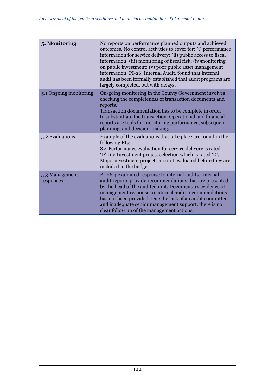| 5. Monitoring               | No reports on performance planned outputs and achieved<br>outcomes. No control activities to cover for: (i) performance<br>information for service delivery; (ii) public access to fiscal<br>information; (iii) monitoring of fiscal risk; (iv) monitoring<br>on public investment; (v) poor public asset management<br>information. PI-26, Internal Audit, found that internal<br>audit has been formally established that audit programs are<br>largely completed, but with delays. |
|-----------------------------|---------------------------------------------------------------------------------------------------------------------------------------------------------------------------------------------------------------------------------------------------------------------------------------------------------------------------------------------------------------------------------------------------------------------------------------------------------------------------------------|
| 5.1 Ongoing monitoring      | On-going monitoring in the County Government involves<br>checking the completeness of transaction documents and<br>reports.<br>Transaction documentation has to be complete in order<br>to substantiate the transaction. Operational and financial<br>reports are tools for monitoring performance, subsequent<br>planning, and decision-making.                                                                                                                                      |
| 5.2 Evaluations             | Example of the evaluations that take place are found in the<br>following PIs:<br>8.4 Performance evaluation for service delivery is rated<br>'D' 11.2 Investment project selection which is rated 'D'.<br>Major investment projects are not evaluated before they are<br>included in the budget                                                                                                                                                                                       |
| 5.3 Management<br>responses | PI-26.4 examined response to internal audits. Internal<br>audit reports provide recommendations that are presented<br>by the head of the audited unit. Documentary evidence of<br>management response to internal audit recommendations<br>has not been provided. Due the lack of an audit committee<br>and inadequate senior management support, there is no<br>clear follow up of the management actions.                                                                           |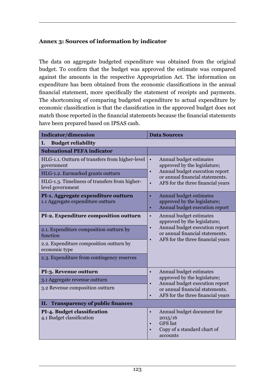#### **Annex 3: Sources of information by indicator**

The data on aggregate budgeted expenditure was obtained from the original budget. To confirm that the budget was approved the estimate was compared against the amounts in the respective Appropriation Act. The information on expenditure has been obtained from the economic classifications in the annual financial statement, more specifically the statement of receipts and payments. The shortcoming of comparing budgeted expenditure to actual expenditure by economic classification is that the classification in the approved budget does not match those reported in the financial statements because the financial statements have been prepared based on IPSAS cash.

| <b>Indicator/dimension</b>                                               | <b>Data Sources</b>                                                                                                           |
|--------------------------------------------------------------------------|-------------------------------------------------------------------------------------------------------------------------------|
| <b>Budget reliability</b><br>Ι.                                          |                                                                                                                               |
| <b>Subnational PEFA indicator</b>                                        |                                                                                                                               |
| HLG-1.1. Outturn of transfers from higher-level<br>government            | Annual budget estimates<br>$\bullet$<br>approved by the legislature;<br>Annual budget execution report<br>$\bullet$           |
| HLG-1.2. Earmarked grants outturn                                        | or annual financial statements.                                                                                               |
| HLG-1.3. Timeliness of transfers from higher-<br>level government        | AFS for the three financial years<br>$\bullet$                                                                                |
| PI-1. Aggregate expenditure outturn<br>1.1 Aggregate expenditure outturn | Annual budget estimates<br>$\bullet$<br>approved by the legislature;<br>Annual budget execution report<br>٠                   |
| PI-2. Expenditure composition outturn                                    | Annual budget estimates<br>$\bullet$<br>approved by the legislature;                                                          |
| 2.1. Expenditure composition outturn by<br>function                      | Annual budget execution report<br>$\bullet$<br>or annual financial statements.                                                |
| 2.2. Expenditure composition outturn by<br>economic type                 | AFS for the three financial years<br>$\bullet$                                                                                |
| 2.3. Expenditure from contingency reserves                               |                                                                                                                               |
| PI-3. Revenue outturn                                                    | Annual budget estimates<br>$\bullet$                                                                                          |
| 3.1 Aggregate revenue outturn                                            | approved by the legislature;<br>Annual budget execution report                                                                |
| 3.2 Revenue composition outturn                                          | $\bullet$<br>or annual financial statements.<br>AFS for the three financial years<br>$\bullet$                                |
| <b>Transparency of public finances</b><br>П.                             |                                                                                                                               |
| PI-4. Budget classification<br>4.1 Budget classification                 | Annual budget document for<br>$\bullet$<br>2015/16<br><b>GFS</b> list<br>$\bullet$<br>Copy of a standard chart of<br>accounts |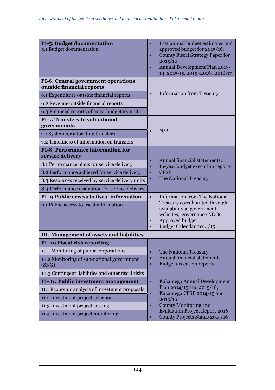| PI-5. Budget documentation<br>5.1 Budget documentation           | Last annual budget estimates and<br>٠<br>approved budget for 2015/16.<br><b>County Fiscal Strategy Paper for</b><br>2015/16<br>Annual Development Plan 2013-<br>$\bullet$<br>14, 2015-15, 2015 -2016, 2016-17 |
|------------------------------------------------------------------|---------------------------------------------------------------------------------------------------------------------------------------------------------------------------------------------------------------|
| PI-6. Central government operations<br>outside financial reports |                                                                                                                                                                                                               |
| 6.1 Expenditure outside financial reports                        | <b>Information from Treasury</b><br>$\bullet$                                                                                                                                                                 |
| 6.2 Revenue outside financial reports                            |                                                                                                                                                                                                               |
| 6.3 Financial reports of extra-budgetary units                   |                                                                                                                                                                                                               |
| PI-7. Transfers to subnational<br>governments                    |                                                                                                                                                                                                               |
| 7.1 System for allocating transfers                              | N/A                                                                                                                                                                                                           |
| 7.2 Timeliness of information on transfers                       |                                                                                                                                                                                                               |
| PI-8. Performance information for<br>service delivery            |                                                                                                                                                                                                               |
| 8.1 Performance plans for service delivery                       | Annual financial statements;<br>In-year budget execution reports                                                                                                                                              |
| 8.2 Performance achieved for service delivery                    | <b>CFSP</b><br>$\bullet$                                                                                                                                                                                      |
| 8.3 Resources received by service delivery units                 | The National Treasury                                                                                                                                                                                         |
| 8.4 Performance evaluation for service delivery                  |                                                                                                                                                                                                               |
| PI- 9 Public access to fiscal information                        | <b>Information from The National</b><br>$\bullet$                                                                                                                                                             |
| 9.1 Public access to fiscal information                          | Treasury corroborated through<br>availability at government<br>websites, governance NGOs<br>Approved budget<br>$\bullet$<br>Budget Calendar 2014/15                                                           |
| III. Management of assets and liabilities                        |                                                                                                                                                                                                               |
| PI-10 Fiscal risk reporting                                      |                                                                                                                                                                                                               |
| 10.1 Monitoring of public corporations                           | The National Treasury<br>$\bullet$                                                                                                                                                                            |
| 10.2 Monitoring of sub-national government<br>(SNG)              | Annual financial statements<br>$\bullet$<br><b>Budget execution reports</b>                                                                                                                                   |
| 10.3 Contingent liabilities and other fiscal risks               |                                                                                                                                                                                                               |
| PI-11: Public investment management                              | $\bullet$<br>Kakamega Annual Development                                                                                                                                                                      |
| 11.1 Economic analysis of investment proposals                   | Plan 2014/15 and 2015/16;<br>Kakamega CFSP 2014/15 and<br>$\bullet$                                                                                                                                           |
| 11.2 Investment project selection                                | 2015/16                                                                                                                                                                                                       |
| 11.3 Investment project costing                                  | County Monitoring and                                                                                                                                                                                         |
| 11.4 Investment project monitoring                               | <b>Evaluation Project Report 2016</b><br>County Projects Status 2015/16                                                                                                                                       |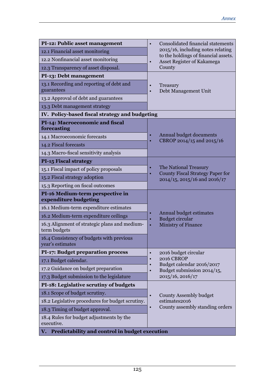| PI-12: Public asset management                                | Consolidated financial statements<br>$\bullet$                                |
|---------------------------------------------------------------|-------------------------------------------------------------------------------|
| 12.1 Financial asset monitoring                               | 2015/16, including notes relating<br>to the holdings of financial assets.     |
| 12.2 Nonfinancial asset monitoring                            | Asset Register of Kakamega<br>$\bullet$                                       |
| 12.3 Transparency of asset disposal.                          | County                                                                        |
| PI-13: Debt management                                        |                                                                               |
| 13.1 Recording and reporting of debt and<br>guarantees        | Treasury<br>Debt Management Unit<br>$\bullet$                                 |
| 13.2 Approval of debt and guarantees                          |                                                                               |
| 13.3 Debt management strategy                                 |                                                                               |
| IV. Policy-based fiscal strategy and budgeting                |                                                                               |
| PI-14: Macroeconomic and fiscal<br>forecasting                |                                                                               |
| 14.1 Macroeconomic forecasts                                  | Annual budget documents<br>CBROP 2014/15 and 2015/16<br>$\bullet$             |
| 14.2 Fiscal forecasts                                         |                                                                               |
| 14.3 Macro-fiscal sensitivity analysis                        |                                                                               |
| <b>PI-15 Fiscal strategy</b>                                  |                                                                               |
| 15.1 Fiscal impact of policy proposals                        | The National Treasury<br>$\bullet$<br><b>County Fiscal Strategy Paper for</b> |
| 15.2 Fiscal strategy adoption                                 | 2014/15, 2015/16 and 2016/17                                                  |
| 15.3 Reporting on fiscal outcomes                             |                                                                               |
| PI-16 Medium-term perspective in<br>expenditure budgeting     |                                                                               |
| 16.1 Medium-term expenditure estimates                        |                                                                               |
| 16.2 Medium-term expenditure ceilings                         | Annual budget estimates<br><b>Budget circular</b><br>$\bullet$                |
| 16.3 Alignment of strategic plans and medium-<br>term budgets | <b>Ministry of Finance</b><br>$\bullet$                                       |
| 16.4 Consistency of budgets with previous<br>year's estimates |                                                                               |
| <b>PI-17: Budget preparation process</b>                      | 2016 budget circular<br>$\bullet$                                             |
| 17.1 Budget calendar.                                         | 2016 CBROP<br>$\bullet$<br>Budget calendar 2016/2017                          |
| 17.2 Guidance on budget preparation                           | Budget submission 2014/15,                                                    |
| 17.3 Budget submission to the legislature                     | 2015/16, 2016/17                                                              |
| PI-18: Legislative scrutiny of budgets                        |                                                                               |
| 18.1 Scope of budget scrutiny.                                | County Assembly budget<br>$\bullet$                                           |
| 18.2 Legislative procedures for budget scrutiny.              | estimates2016                                                                 |
| 18.3 Timing of budget approval.                               | County assembly standing orders<br>$\bullet$                                  |
| 18.4 Rules for budget adjustments by the<br>executive.        |                                                                               |
| Predictability and control in budget execution<br>v.          |                                                                               |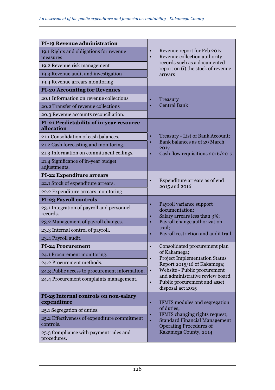| <b>PI-19 Revenue administration</b>                       |                                                                                       |
|-----------------------------------------------------------|---------------------------------------------------------------------------------------|
| 19.1 Rights and obligations for revenue<br>measures       | Revenue report for Feb 2017<br>$\bullet$<br>Revenue collection authority<br>$\bullet$ |
| 19.2 Revenue risk management                              | records such as a documented<br>report on (i) the stock of revenue                    |
| 19.3 Revenue audit and investigation                      | arrears                                                                               |
| 19.4 Revenue arrears monitoring                           |                                                                                       |
| <b>PI-20 Accounting for Revenues</b>                      |                                                                                       |
| 20.1 Information on revenue collections                   | Treasury                                                                              |
| 20.2 Transfer of revenue collections                      | <b>Central Bank</b><br>$\bullet$                                                      |
| 20.3 Revenue accounts reconciliation.                     |                                                                                       |
| PI-21 Predictability of in-year resource<br>allocation    |                                                                                       |
| 21.1 Consolidation of cash balances.                      | Treasury - List of Bank Account;                                                      |
| 21.2 Cash forecasting and monitoring.                     | Bank balances as of 29 March<br>$\bullet$<br>2017                                     |
| 21.3 Information on commitment ceilings.                  | Cash flow requisitions 2016/2017<br>٠                                                 |
| 21.4 Significance of in-year budget<br>adjustments.       |                                                                                       |
| PI-22 Expenditure arrears                                 |                                                                                       |
| 22.1 Stock of expenditure arrears.                        | Expenditure arrears as of end<br>$\bullet$<br>2015 and 2016                           |
| 22.2 Expenditure arrears monitoring                       |                                                                                       |
| <b>PI-23 Payroll controls</b>                             |                                                                                       |
| 23.1 Integration of payroll and personnel<br>records.     | Payroll variance support<br>٠<br>documentation;<br>Salary arrears less than 3%;       |
| 23.2 Management of payroll changes.                       | Payroll change authorization                                                          |
| 23.3 Internal control of payroll.                         | trail;<br>Payroll restriction and audit trail<br>٠                                    |
| 23.4 Payroll audit.                                       |                                                                                       |
| <b>PI-24 Procurement</b>                                  | Consolidated procurement plan<br>$\bullet$                                            |
| 24.1 Procurement monitoring.                              | of Kakamega;<br><b>Project Implementation Status</b><br>$\bullet$                     |
| 24.2 Procurement methods.                                 | Report 2015/16 of Kakamega;                                                           |
| 24.3 Public access to procurement information.            | Website - Public procurement<br>$\bullet$<br>and administrative review board          |
| 24.4 Procurement complaints management.                   | Public procurement and asset<br>disposal act 2015                                     |
| PI-25 Internal controls on non-salary<br>expenditure      | IFMIS modules and segregation<br>٠                                                    |
| 25.1 Segregation of duties.                               | of duties;<br>IFMIS changing rights request;                                          |
| 25.2 Effectiveness of expenditure commitment<br>controls. | <b>Standard Financial Management</b><br>$\bullet$<br><b>Operating Procedures of</b>   |
| 25.3 Compliance with payment rules and<br>procedures.     | Kakamega County, 2014                                                                 |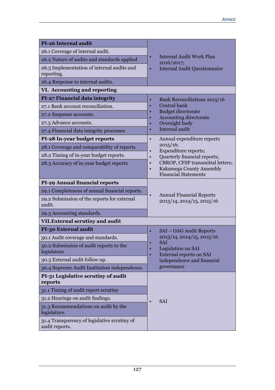| PI-26 Internal audit                                           |                                                                   |
|----------------------------------------------------------------|-------------------------------------------------------------------|
| 26.1 Coverage of internal audit.                               | <b>Internal Audit Work Plan</b><br>٠                              |
| 26.2 Nature of audits and standards applied                    | 2016/2017;                                                        |
| 26.3 Implementation of internal audits and<br>reporting.       | <b>Internal Audit Questionnaire</b><br>٠                          |
| 26.4 Response to internal audits.                              |                                                                   |
| VI. Accounting and reporting                                   |                                                                   |
| PI-27 Financial data integrity                                 | Bank Reconciliations 2015/16                                      |
| 27.1 Bank account reconciliation.                              | Central bank                                                      |
| 27.2 Suspense accounts.                                        | <b>Budget directorate</b>                                         |
| 27.3 Advance accounts.                                         | <b>Accounting directorate</b><br>Oversight body                   |
| 27.4 Financial data integrity processes                        | Internal audit                                                    |
| PI-28 In-year budget reports                                   | Annual expenditure reports<br>$\bullet$                           |
| 28.1 Coverage and comparability of reports.                    | 2015/16;                                                          |
| 28.2 Timing of in-year budget reports.                         | Expenditure reports;<br>$\bullet$<br>Quarterly financial reports; |
| 28.3 Accuracy of in-year budget reports                        | CBROP, CFSP transmittal letters;                                  |
|                                                                | Kakamega County Assembly<br>$\bullet$                             |
|                                                                | <b>Financial Statements</b>                                       |
| PI-29 Annual financial reports                                 |                                                                   |
| 29.1 Completeness of annual financial reports.                 | <b>Annual Financial Reports</b>                                   |
| 29.2 Submission of the reports for external<br>audit.          | 2013/14, 2014/15, 2015/16                                         |
| 29.3 Accounting standards.                                     |                                                                   |
| VII. External scrutiny and audit                               |                                                                   |
| PI-30 External audit                                           | SAI – OAG Audit Reports<br>٠                                      |
| 30.1 Audit coverage and standards.                             | 2013/14, 2014/15, 2015/16                                         |
| 30.2 Submission of audit reports to the<br>legislature         | <b>SAI</b><br>$\bullet$<br>Legislation on SAI<br>$\bullet$        |
| 30.3 External audit follow up.                                 | <b>External reports on SAI</b><br>independence and financial      |
| 30.4 Supreme Audit Institution independence.                   | governance                                                        |
| PI-31 Legislative scrutiny of audit                            |                                                                   |
| reports                                                        |                                                                   |
| 31.1 Timing of audit report scrutiny                           |                                                                   |
| 31.2 Hearings on audit findings.                               | SAI                                                               |
| 31.3 Recommendations on audit by the<br>legislature.           |                                                                   |
| 31.4 Transparency of legislative scrutiny of<br>audit reports. |                                                                   |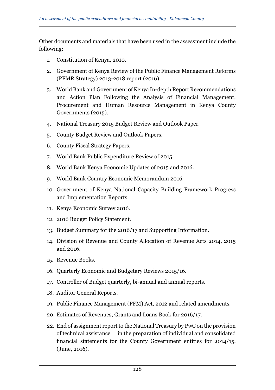Other documents and materials that have been used in the assessment include the following:

- 1. Constitution of Kenya, 2010.
- 2. Government of Kenya Review of the Public Finance Management Reforms (PFMR Strategy) 2013-2018 report (2016).
- 3. World Bank and Government of Kenya In-depth Report Recommendations and Action Plan Following the Analysis of Financial Management, Procurement and Human Resource Management in Kenya County Governments (2015).
- 4. National Treasury 2015 Budget Review and Outlook Paper.
- 5. County Budget Review and Outlook Papers.
- 6. County Fiscal Strategy Papers.
- 7. World Bank Public Expenditure Review of 2015.
- 8. World Bank Kenya Economic Updates of 2015 and 2016.
- 9. World Bank Country Economic Memorandum 2016.
- 10. Government of Kenya National Capacity Building Framework Progress and Implementation Reports.
- 11. Kenya Economic Survey 2016.
- 12. 2016 Budget Policy Statement.
- 13. Budget Summary for the 2016/17 and Supporting Information.
- 14. Division of Revenue and County Allocation of Revenue Acts 2014, 2015 and 2016.
- 15. Revenue Books.
- 16. Quarterly Economic and Budgetary Reviews 2015/16.
- 17. Controller of Budget quarterly, bi-annual and annual reports.
- 18. Auditor General Reports.
- 19. Public Finance Management (PFM) Act, 2012 and related amendments.
- 20. Estimates of Revenues, Grants and Loans Book for 2016/17.
- 22. End of assignment report to the National Treasury by PwC on the provision of technical assistance in the preparation of individual and consolidated financial statements for the County Government entities for 2014/15. (June, 2016).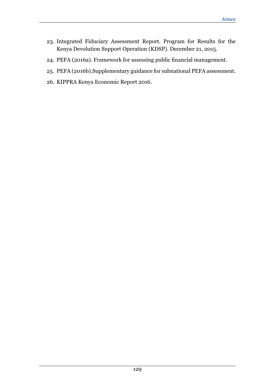- 23. Integrated Fiduciary Assessment Report. Program for Results for the Kenya Devolution Support Operation (KDSP). December 21, 2015.
- 24. PEFA (2016a). Framework for assessing public financial management.
- 25. PEFA (2016b).Supplementary guidance for subnational PEFA assessment.
- 26. KIPPRA Kenya Economic Report 2016.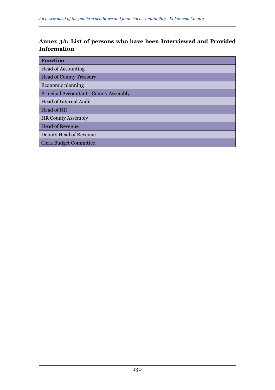#### **Annex 3A: List of persons who have been Interviewed and Provided Information**

| <b>Function</b>                        |
|----------------------------------------|
| Head of Accounting                     |
| <b>Head of County Treasury</b>         |
| Economic planning                      |
| Principal Accountant - County Assembly |
| Head of Internal Audit-                |
| Head of HR                             |
| <b>HR County Assembly</b>              |
| <b>Head of Revenue</b>                 |
| Deputy Head of Revenue                 |
| <b>Clerk Budget Committee</b>          |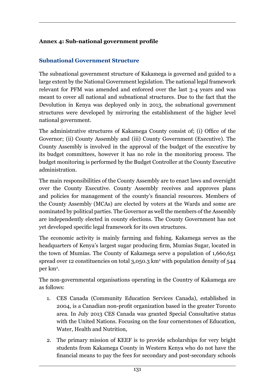#### **Annex 4: Sub-national government profile**

#### **Subnational Government Structure**

The subnational government structure of Kakamega is governed and guided to a large extent by the National Government legislation. The national legal framework relevant for PFM was amended and enforced over the last 3-4 years and was meant to cover all national and subnational structures. Due to the fact that the Devolution in Kenya was deployed only in 2013, the subnational government structures were developed by mirroring the establishment of the higher level national government.

The administrative structures of Kakamega County consist of; (i) Office of the Governor; (ii) County Assembly and (iii) County Government (Executive). The County Assembly is involved in the approval of the budget of the executive by its budget committees, however it has no role in the monitoring process. The budget monitoring is performed by the Budget Controller at the County Executive administration.

The main responsibilities of the County Assembly are to enact laws and oversight over the County Executive. County Assembly receives and approves plans and policies for management of the county's financial resources. Members of the County Assembly (MCAs) are elected by voters at the Wards and some are nominated by political parties. The Governor as well the members of the Assembly are independently elected in county elections. The County Government has not yet developed specific legal framework for its own structures.

The economic activity is mainly farming and fishing. Kakamega serves as the headquarters of Kenya's largest sugar producing firm, Mumias Sugar, located in the town of Mumias. The County of Kakamega serve a population of 1,660,651 spread over 12 constituencies on total 3,050.3 km² with population density of 544 per km2 .

The non-governmental organisations operating in the Country of Kakamega are as follows:

- 1. CES Canada (Community Education Services Canada), established in 2004, is a Canadian non-profit organization based in the greater Toronto area. In July 2013 CES Canada was granted Special Consultative status with the United Nations. Focusing on the four cornerstones of Education, Water, Health and Nutrition,
- 2. The primary mission of KEEF is to provide scholarships for very bright students from Kakamega County in Western Kenya who do not have the financial means to pay the fees for secondary and post-secondary schools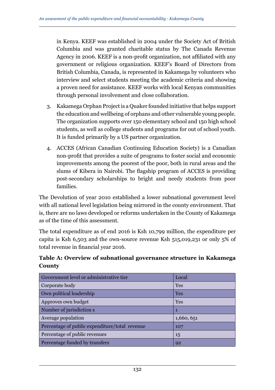in Kenya. KEEF was established in 2004 under the Society Act of British Columbia and was granted charitable status by The Canada Revenue Agency in 2006. KEEF is a non-profit organization, not affiliated with any government or religious organization. KEEF's Board of Directors from British Columbia, Canada, is represented in Kakamega by volunteers who interview and select students meeting the academic criteria and showing a proven need for assistance. KEEF works with local Kenyan communities through personal involvement and close collaboration.

- 3. Kakamega Orphan Project is a Quaker founded initiative that helps support the education and wellbeing of orphans and other vulnerable young people. The organization supports over 150 elementary school and 150 high school students, as well as college students and programs for out of school youth. It is funded primarily by a US partner organization.
- 4. ACCES (African Canadian Continuing Education Society) is a Canadian non-profit that provides a suite of programs to foster social and economic improvements among the poorest of the poor, both in rural areas and the slums of Kibera in Nairobi. The flagship program of ACCES is providing post-secondary scholarships to bright and needy students from poor families.

The Devolution of year 2010 established a lower subnational government level with all national level legislation being mirrored in the county environment. That is, there are no laws developed or reforms undertaken in the County of Kakamega as of the time of this assessment.

The total expenditure as of end 2016 is Ksh 10,799 million, the expenditure per capita is Ksh 6,503 and the own-source revenue Ksh 515,019,231 or only 5% of total revenue in financial year 2016.

**Table A: Overview of subnational governance structure in Kakamega County**

| Government level or administrative tier        | Local      |
|------------------------------------------------|------------|
| Corporate body                                 | Yes        |
| Own political leadership                       | Yes        |
| Approves own budget                            | Yes        |
| Number of jurisdiction s                       | 1          |
| Average population                             | 1,660, 651 |
| Percentage of public expenditure/total revenue | 107        |
| Percentage of public revenues                  | 15         |
| Percentage funded by transfers                 | 92         |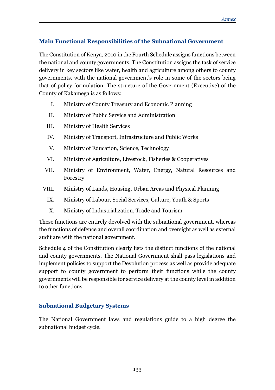#### **Main Functional Responsibilities of the Subnational Government**

The Constitution of Kenya, 2010 in the Fourth Schedule assigns functions between the national and county governments. The Constitution assigns the task of service delivery in key sectors like water, health and agriculture among others to county governments, with the national government's role in some of the sectors being that of policy formulation. The structure of the Government (Executive) of the County of Kakamega is as follows:

- I. Ministry of County Treasury and Economic Planning
- II. Ministry of Public Service and Administration
- III. Ministry of Health Services
- IV. Ministry of Transport, Infrastructure and Public Works
- V. Ministry of Education, Science, Technology
- VI. Ministry of Agriculture, Livestock, Fisheries & Cooperatives
- VII. Ministry of Environment, Water, Energy, Natural Resources and Forestry
- VIII. Ministry of Lands, Housing, Urban Areas and Physical Planning
	- IX. Ministry of Labour, Social Services, Culture, Youth & Sports
	- X. Ministry of Industrialization, Trade and Tourism

These functions are entirely devolved with the subnational government, whereas the functions of defence and overall coordination and oversight as well as external audit are with the national government.

Schedule 4 of the Constitution clearly lists the distinct functions of the national and county governments. The National Government shall pass legislations and implement policies to support the Devolution process as well as provide adequate support to county government to perform their functions while the county governments will be responsible for service delivery at the county level in addition to other functions.

#### **Subnational Budgetary Systems**

The National Government laws and regulations guide to a high degree the subnational budget cycle.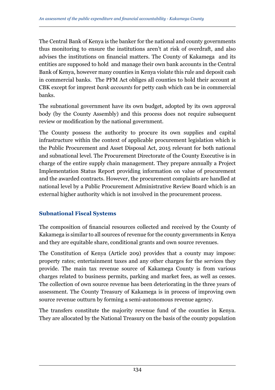The Central Bank of Kenya is the banker for the national and county governments thus monitoring to ensure the institutions aren't at risk of overdraft, and also advises the institutions on financial matters. The County of Kakamega and its entities are supposed to hold and manage their own bank accounts in the Central Bank of Kenya, however many counties in Kenya violate this rule and deposit cash in commercial banks. The PFM Act obliges all counties to hold their account at CBK except for imprest *bank accounts* for petty cash which can be in commercial banks.

The subnational government have its own budget, adopted by its own approval body (by the County Assembly) and this process does not require subsequent review or modification by the national government.

The County possess the authority to procure its own supplies and capital infrastructure within the context of applicable procurement legislation which is the Public Procurement and Asset Disposal Act, 2015 relevant for both national and subnational level. The Procurement Directorate of the County Executive is in charge of the entire supply chain management. They prepare annually a Project Implementation Status Report providing information on value of procurement and the awarded contracts. However, the procurement complaints are handled at national level by a Public Procurement Administrative Review Board which is an external higher authority which is not involved in the procurement process.

#### **Subnational Fiscal Systems**

The composition of financial resources collected and received by the County of Kakamega is similar to all sources of revenue for the county governments in Kenya and they are equitable share, conditional grants and own source revenues.

The Constitution of Kenya (Article 209) provides that a county may impose: property rates; entertainment taxes and any other charges for the services they provide. The main tax revenue source of Kakamega County is from various charges related to business permits, parking and market fees, as well as cesses. The collection of own source revenue has been deteriorating in the three years of assessment. The County Treasury of Kakamega is in process of improving own source revenue outturn by forming a semi-autonomous revenue agency.

The transfers constitute the majority revenue fund of the counties in Kenya. They are allocated by the National Treasury on the basis of the county population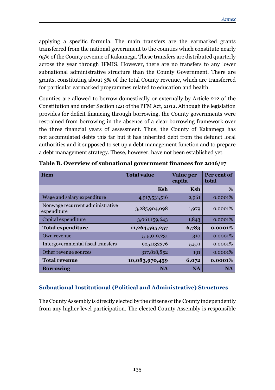applying a specific formula. The main transfers are the earmarked grants transferred from the national government to the counties which constitute nearly 95% of the County revenue of Kakamega. These transfers are distributed quarterly across the year through IFMIS. However, there are no transfers to any lower subnational administrative structure than the County Government. There are grants, constituting about 3% of the total County revenue, which are transferred for particular earmarked programmes related to education and health.

Counties are allowed to borrow domestically or externally by Article 212 of the Constitution and under Section 140 of the PFM Act, 2012. Although the legislation provides for deficit financing through borrowing, the County governments were restrained from borrowing in the absence of a clear borrowing framework over the three financial years of assessment. Thus, the County of Kakamega has not accumulated debts this far but it has inherited debt from the defunct local authorities and it supposed to set up a debt management function and to prepare a debt management strategy. These, however, have not been established yet.

| Item                                            | <b>Total value</b> | <b>Value</b> per<br>capita | Per cent of<br>total |
|-------------------------------------------------|--------------------|----------------------------|----------------------|
|                                                 | <b>Ksh</b>         | <b>Ksh</b>                 | %                    |
| Wage and salary expenditure                     | 4,917,531,516      | 2,961                      | 0.0001%              |
| Nonwage recurrent administrative<br>expenditure | 3,285,904,098      | 1,979                      | 0.0001%              |
| Capital expenditure                             | 3,061,159,643      | 1,843                      | 0.0001%              |
| <b>Total expenditure</b>                        | 11,264,595,257     | 6,783                      | 0.0001%              |
| Own revenue                                     | 515,019,231        | 310                        | 0.0001%              |
| Intergovernmental fiscal transfers              | 9251132376         | 5,571                      | 0.0001%              |
| Other revenue sources                           | 317,818,852        | 191                        | 0.0001%              |
| <b>Total revenue</b>                            | 10,083,970,459     | 6,072                      | 0.0001%              |
| <b>Borrowing</b>                                | <b>NA</b>          | NA                         | <b>NA</b>            |

**Table B. Overview of subnational government finances for 2016/17**

#### **Subnational Institutional (Political and Administrative) Structures**

The County Assembly is directly elected by the citizens of the County independently from any higher level participation. The elected County Assembly is responsible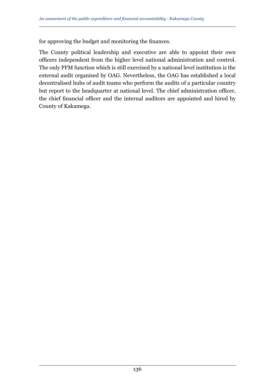for approving the budget and monitoring the finances.

The County political leadership and executive are able to appoint their own officers independent from the higher level national administration and control. The only PFM function which is still exercised by a national level institution is the external audit organised by OAG. Nevertheless, the OAG has established a local decentralised hubs of audit teams who perform the audits of a particular country but report to the headquarter at national level. The chief administration officer, the chief financial officer and the internal auditors are appointed and hired by County of Kakamega.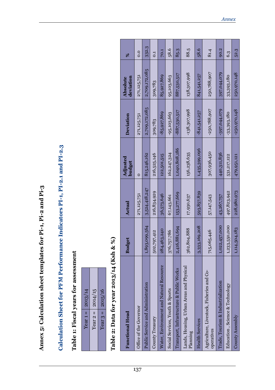| 013/14 (Ksh & %)<br>Table 2: Data for year 20           |               |               |                    |                |                              |                |
|---------------------------------------------------------|---------------|---------------|--------------------|----------------|------------------------------|----------------|
| <b>Functional Head</b>                                  | <b>Budget</b> | Actual        | Adjusted<br>budget | Deviation      | deviation<br><b>Absolute</b> | ೫              |
| Office of the Governor                                  |               | 271,125,751   | $\circ$            | 271,125,751    | 271,125,751                  | 0.0            |
| Public Service and Administration                       | 1,893,099,564 | 3,524,418,247 | 815,246,162        | 2,709,172,085  | 2,709,172,085                | 332.3          |
| County Treasury                                         | 502,797,412   | 216,834,929   | 216,525,146        | 309,783        | 309,783                      | $\overline{c}$ |
| Water, Environment and Natural Resource                 | 284,463,240   | 36,573,646    | 122,501,515        | $-85,927,869$  | 85,927,869                   | 70.1           |
| Social Services, Youth & Sports                         | 376,757,786   | 67,143,661    | 162,247,324        | $-95,103,663$  | 95,103,663                   | 58.6           |
| Transport, Infrastructure & Public Works                | 2,416,881,694 | 153,277,669   | 1,040,808,186      | $-887,530,517$ | 887,530,517                  | 85.3           |
| Physical<br>Lands, Housing, Urban Areas and<br>Planning | 362,804,888   | 17,930,637    | 156,238,635        | $-138,307,998$ | 138,307,998                  | 88.5           |
| <b>Health Services</b>                                  | 3,333,169,208 | 593,857,839   | 1,435,399,096      | $-841,541,257$ | 841,541,257                  | 58.6           |
| Agriculture, Livestock, Fisheries and Co-<br>operatives | 715,065,446   | 57,147,543    | 307,936,450        | $-250,788,907$ | 250,788,907                  | 81.4           |
| Trade, Tourism & Industrialization                      | 1,022,457,000 | 43,267,757    | 440,311,836        | $-397,044,079$ | 397,044,079                  | 90.2           |
| Education, Science & Technology                         | 1,233,550,000 | 497,823,942   | 531,217,122        | $-33,393,180$  | 33,393,180                   | 6.3            |
| County Assembly                                         | 1,114,504,183 | 228,980,973   | 479,951,121        | $-250,970,148$ | 250,970,148                  | 52.3           |

Annex 5: Calculation sheet templates for Pi-1, Pi-2 and Pi-3 **Annex 5: Calculation sheet templates for Pi-1, Pi-2 and Pi-3**

Calculation Sheet for PFM Performance Indicators PI-1, PI-2.1 and PI-2.3 **Calculation Sheet for PFM Performance Indicators PI-1, PI-2.1 and PI-2.3**

Table 1: Fiscal years for assessment **Table 1: Fiscal years for assessment**

Year  $1 = 2013/14$ Year  $2 = 2014/15$ Year  $3 = 2015/16$ 

Year  $1 = 2013/14$ Year  $2 = 2014/15$ Year 3 =  $\vert$  2015/16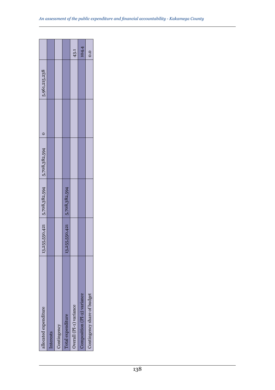| allocated expenditure       |                              | $13,255,550,421$ $5,708,382,594$ $5,708,382,594$ |  | 5,961,215,238 |       |
|-----------------------------|------------------------------|--------------------------------------------------|--|---------------|-------|
| Interests                   |                              |                                                  |  |               |       |
| Contingency                 |                              |                                                  |  |               |       |
| Total expenditure           | 13,255,550,421 5,708,382,594 |                                                  |  |               |       |
| Overall (PI-1) variance     |                              |                                                  |  |               | 43.1  |
| Composition (PI-2) variance |                              |                                                  |  |               | 104.4 |
| Contingency share of budget |                              |                                                  |  |               | 0.0   |
|                             |                              |                                                  |  |               |       |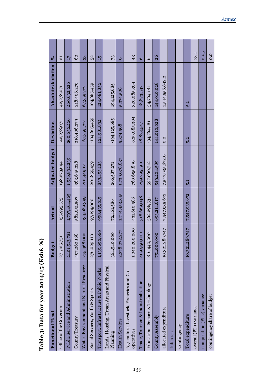| <b>Functional Head</b>                                     | <b>Budget</b>  | Actual        | Adjusted budget | Deviation        | Absolute deviation | $\%$                      |
|------------------------------------------------------------|----------------|---------------|-----------------|------------------|--------------------|---------------------------|
| Office of the Governor                                     | 271,125,751    | 155,995,573   | 198,273,644     | $-42,278,071$    | 42,278,071         | $\overline{\mathfrak{a}}$ |
| Public Service and Administration                          | 2,101,513,781  | 1,797,464,465 | 1,536,832,239   | 260,632,226      | 260,632,226        | 17                        |
| County Treasury                                            | 497,260,168    | 582,051,507   | 363,645,228     | 218,406,279      | 218,406,279        | 60                        |
| Water, Environment and Natural Resource                    | 275,468,000    | 134,089,399   | 201,449,121     | $-67,359,722$    | 67,359,722         | 33                        |
| Social Services, Youth & Sports                            | 276,029,110    | 97,194,000    | 201,859,459     | $-104,665,459$   | 104,665,459        | 52                        |
| Transport, Infrastructure & Public Works                   | 1,139,690,660  | 958,435,015   | 833,453,183     | 124,981,832      | 124,981,832        | 5t                        |
| Lands, Housing, Urban Areas and Physical<br>Planning       | 364,540,000    | 72,461,586    | 266,587,271     | $-194, 125, 685$ | 194,125,685        | $\mathbb{Z}^2$            |
| <b>Health Services</b>                                     | 2,378,072,277  | 1,744,453,345 | 1,739,078,837   | 5,374,508        | 5,374,508          | $\circ$                   |
| and Co-<br>Agriculture, Livestock, Fisheries<br>operatives | 1,040,200,000  | 431,610,586   | 760,695,890     | $-329,085,304$   | 329,085,304        | 43                        |
| Trade, Tourism & Industrialization                         | 409,950,000    | 318,669,048   | 299,795,501     | 18,873,547       | 18,873,547         | $\bullet$                 |
| Education, Science & Technology                            | 816,440,000    | 562,296,531   | 597,060,712     | $-34,764,181$    | 34,764,181         | $\circ$                   |
| County Assembly                                            | 751,000,000    | 693,214,617   | 549,204,589     | 144,010,028      | 144,010,028        | 26                        |
| allocated expenditure                                      | 10,321,289,747 | 7,547,935,672 | 7,547,935,672.0 | 0.0              | 1,544,556,842.2    |                           |
| Interests                                                  |                |               |                 |                  |                    |                           |
| Contingency                                                |                |               |                 |                  |                    |                           |
| Total expenditure                                          | 10,321,289,747 | 7,547,935,672 | 5.1             | 5.2              | 5.1                |                           |
| overall (PI-1) variance                                    |                |               |                 |                  |                    | 73.1                      |
| composition (PI-2) variance                                |                |               |                 |                  |                    | 20.5                      |
| contingency share of budget                                |                |               |                 |                  |                    | 0.0                       |

| $\epsilon$                                     |
|------------------------------------------------|
| $\overline{ }$<br>$\mathbf{v}$ ch $\mathbf{x}$ |
| l                                              |
| bata for year 2014.                            |
|                                                |
|                                                |
|                                                |
|                                                |
| Table                                          |
|                                                |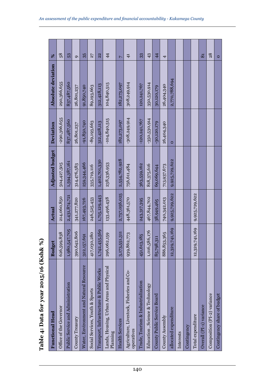| Table 4: Data for year 2015/16 (Ksh& %)                    |                |               |                 |                  |                    |                |
|------------------------------------------------------------|----------------|---------------|-----------------|------------------|--------------------|----------------|
| <b>Functional Head</b>                                     | <b>Budget</b>  | Actual        | Adjusted budget | Deviation        | Absolute deviation | $\%$           |
| Office of the Governor                                     | 626,599,838    | 214,060,850   | 504,427,505     | $-290,366,655$   | 290,366,655        | 58             |
| Public Service and Administration                          | 1,980,547,705  | 2,431,874,721 | 1,594,387,161   | 837,487,560      | 837,487,560        | 53             |
| County Treasury                                            | 390,642,806    | 341,277,820   | 314,476,583     | 26,801,237       | 26,801,237         | $\sigma$       |
| Water, Environment and Natural Resource                    | 322,157,691    | 167,493,726   | 259,344,466     | $-91,850,740$    | 91,850,740         | 35             |
| Social Services, Youth & Sports                            | 417,030,280    | 246,525,453   | 335,719,116     | $-89,193,663$    | 89,193,663         | 27             |
| Transport, Infrastructure & Public Works                   | 1,742,435,569  | 1,715,129,443 | 1,402,701,330   | 312,428,113      | 312,428,113        | 22             |
| Lands, Housing, Urban Areas and Physical<br>Planning       | 296,062,159    | 133,496,438   | 238,336,953     | $-104,840,515$   | 104,840,515        | $\overline{4}$ |
| <b>Health Services</b>                                     | 3,173,551,311  | 2,737,056,025 | 2,554,782,928   | 182,273,097      | 182,273,097        | $\overline{a}$ |
| and Co-<br>Agriculture, Livestock, Fisheries<br>operatives | 939,862,773    | 448,361,570   | 756,611,484     | $-308, 249, 914$ | 308,249,914        | $\overline{4}$ |
| Irade, Tourism & Industrialization                         | 451,613,185    | 243,317,395   | 363,559,162     | $-120,241,767$   | 120,241,767        | 33             |
| Education, Science & Technology                            | 1,016,586,176  | 467,844,702   | 818,375,616     | $-350,530,914$   | 350,530,914        | 43             |
| County Public Service Board                                | 85,798,311     | 38,949,465    | 69,069,644      | $-30,120,179$    | 30,120,179         | $\overline{4}$ |
| County Assembly                                            | 886, 853, 365  | 740,342,013   | 713,937,673     | 26,404,340       | 26,404,340         | 4              |
| allocated expenditure                                      | 12,329,741,169 | 9,925,729,622 | 9,925,729,622   | $\circ$          | 2,770,788,694      |                |
| Interests                                                  |                |               |                 |                  |                    |                |
| Contingency                                                |                |               |                 |                  |                    |                |
| Total expenditure                                          | 12,329,741,169 | 9,925,729,622 |                 |                  |                    |                |
| Overall (PI-1) variance                                    |                |               |                 |                  |                    | $\overline{8}$ |
| Composition (PI-2) variance                                |                |               |                 |                  |                    | 28             |
| Contingency share of budget                                |                |               |                 |                  |                    | $\circ$        |

Table 4: Data for year 2015/16 (Ksh& %)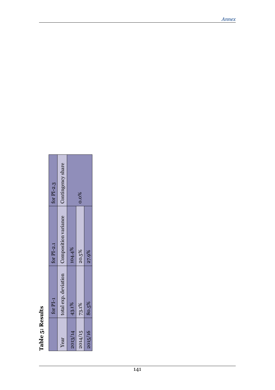# Table 5: Results **Table 5: Results**

| for $PI-2.3$ | Contingency share    |         | $0.0\%$ |         |
|--------------|----------------------|---------|---------|---------|
| for $PI-2.1$ | Composition variance | 104.4%  | 20.5%   | 27.9%   |
| for $PI-1$   | total exp. deviation | 43.1%   | 73.1%   | 80.5%   |
|              | Year                 | 2013/14 | 2014/15 | 2015/16 |

ä

п т. T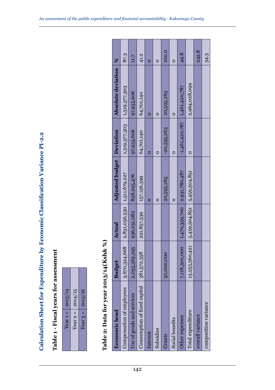| <b>THE OF</b>           |
|-------------------------|
| נ<br>י                  |
|                         |
|                         |
|                         |
|                         |
|                         |
|                         |
|                         |
| l                       |
|                         |
|                         |
|                         |
|                         |
|                         |
|                         |
|                         |
|                         |
|                         |
|                         |
|                         |
|                         |
|                         |
|                         |
|                         |
|                         |
| <b>The Second State</b> |
|                         |
|                         |
|                         |
| i<br>F<br>j             |
|                         |
|                         |
|                         |
|                         |
|                         |
|                         |
|                         |
|                         |
|                         |
| I                       |
| 14.3.11.12.15人称:        |
| I<br>ינוב בטובים.<br>י  |
|                         |
|                         |
|                         |
|                         |
|                         |
|                         |
|                         |
|                         |
|                         |
|                         |
|                         |
|                         |
|                         |
|                         |
|                         |
|                         |
|                         |

| 2013/14           | 2014/15    | 2015/16                 |
|-------------------|------------|-------------------------|
| Year <sub>1</sub> | Year $2 =$ | II<br>Year <sub>3</sub> |

| Calculation Sheet for Expenditure by Economic Classification Variance PI-2.2 |                |               |                        |                  |                    |               |
|------------------------------------------------------------------------------|----------------|---------------|------------------------|------------------|--------------------|---------------|
| Table 1 - Fiscal years for assessment                                        |                |               |                        |                  |                    |               |
| 2013/14<br>Year $1 =$                                                        |                |               |                        |                  |                    |               |
| 2014/15<br>Year $2 =$                                                        |                |               |                        |                  |                    |               |
| 2015/16<br>Year $3 =$                                                        |                |               |                        |                  |                    |               |
|                                                                              |                |               |                        |                  |                    |               |
| Table 2: Data for year                                                       | 2013/14(Ksh&%) |               |                        |                  |                    |               |
| <b>Economic</b> head                                                         | <b>Budget</b>  | Actual        | <b>Adjusted budget</b> | Deviation        | Absolute deviation | $\frac{8}{3}$ |
| Compensation of employees                                                    | 3,670,324,668  | 2,831,056,530 | 1,511,679,227          | 1,319,377,303    | 1,319,377,303      | 87.3          |
| Use of goods and services                                                    | 2,035,363,395  | 936,231,082   | 838,295,476            | 97,935,606       | 97,935,606         | 11.7          |
| Consumption of fixed capital                                                 | 381,572,358    | 221,857,539   | 157,156,399            | 64,701,140       | 64,701,140         | 41.2          |
| Interest                                                                     |                |               | $\circ$                | $\circ$          | $\circ$            | $\circ$       |
| Subsidies                                                                    |                |               | $\circ$                | $\circ$          | $\circ$            | $\circ$       |
| Grants                                                                       | 50,000,000     |               | 20,593,263             | $-20,593,263$    | 20,593,263         | 100.0         |
| Social benefits                                                              |                |               | $\circ$                | $\circ$          | $\circ$            | $\circ$       |
| Other expenses                                                               | 7,118,300,000  | 1,470,359,700 | 2,931,780,487          | $-1,461,420,787$ | 1,461,420,787      | 49.8          |
| Total expenditure                                                            | 13,255,560,421 | 5,459,504,851 | 5,459,504,851          | $\circ$          | 2,964,028,099      |               |
| overall variance                                                             |                |               |                        |                  |                    | 242.8         |
| composition variance                                                         |                |               |                        |                  |                    | 54.3          |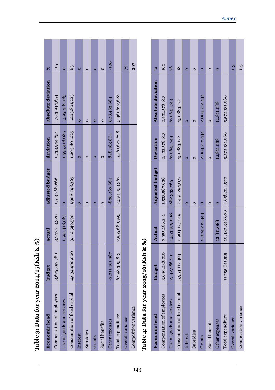| Table 3: Data for year 2     | 014/15(Ksh & %)  |                |                        |               |                    |                      |
|------------------------------|------------------|----------------|------------------------|---------------|--------------------|----------------------|
| <b>Economic</b> head         | budget           | actual         | adjusted budget        | deviation     | absolute deviation | %                    |
| Compensation of employees    | 3,675,397,780    | 3,247,713,320  | 1,513,768,666          | 1,733,944,654 | 1,733,944,654      | 115                  |
| Use of goods and services    |                  | 1,595,418,085  | $\circ$                | 1,595,418,085 | 1,595,418,085      | $\circ$              |
| Consumption of fixed capital | 4,634,400,000    | 3,112,549,590  | 1,908,748,365          | 1,203,801,225 | 1,203,801,225      | 63                   |
| Interest                     |                  |                | $\circ$                | $\circ$       | $\circ$            | $\circ$              |
| Subsidies                    |                  |                | $\circ$                | $\circ$       | $\circ$            | $\circ$              |
| Grants                       |                  |                | $\circ$                | $\circ$       | $\circ$            | $\circ$              |
| Social benefits              |                  |                | $\circ$                | $\circ$       | $\circ$            | $\circ$              |
| Other expenses               | $-2,011,491,967$ |                | $-828,463,664$         | 828,463,664   | 828,463,664        | $-100$               |
| Total expenditure            | 6,298,305,813    | 7,955,680,995  | 2,594,053,367          | 5,361,627,628 | 5,361,627,628      |                      |
| Overall variance             |                  |                |                        |               |                    | 79                   |
| Composition variance         |                  |                |                        |               |                    | 207                  |
| Table 4: Data for year 2     | 015/16(Ksh & %)  |                |                        |               |                    |                      |
| <b>Economic</b> head         | <b>Budget</b>    | Actual         | <b>Adjusted budget</b> | Deviation     | Absolute deviation | $\%$                 |
| Compensation of employees    | 3,699,238,010    | 3,955,166,241  | 1,523,587,628          | 2,431,578,613 | 2,431,578,613      | 160                  |
| Use of goods and services    | 2,142,286,201    | 1,553,979,008  | 882,333,265            | 671,645,743   | 671,645,743        | $\frac{2}{\sqrt{2}}$ |
| Consumption of fixed capital | 5,954,117,304    | 2,904,177,249  | 2,452,294,077          | 451,883,172   | 451,883,172        | 18                   |
| Interest                     |                  |                | $\circ$                | $\circ$       | $\circ$            | $\circ$              |
| Subsidies                    |                  |                | $\circ$                | $\circ$       | $\circ$            | $\circ$              |
| Grants                       |                  | 2,004,212,444  | $\circ$                | 2,004,212,444 | 2,004,212,444      | $\circ$              |
| Social benefits              |                  |                | $\circ$                | $\circ$       | $\circ$            | $\circ$              |
| Other expenses               |                  | 12,811,088     | $\circ$                | 12,811,088    | 12,811,088         | $\circ$              |
| Total expenditure            | 11,795,641,515   | 10,430,346,030 | 4,858,214,970          | 5,572,131,060 | 5,572,131,060      |                      |

*Annex*

 $115$  $\frac{113}{2}$ 

over 113 = 123 = 123 = 123 = 123 = 123 = 123 = 123 = 123 = 123 = 123 = 123 = 123 = 123 = 123 = 123 = 123 = 123  $\frac{1}{15}$   $\frac{1}{15}$   $\frac{1}{15}$   $\frac{1}{15}$   $\frac{1}{15}$   $\frac{1}{15}$   $\frac{1}{15}$   $\frac{1}{15}$   $\frac{1}{15}$   $\frac{1}{15}$   $\frac{1}{15}$   $\frac{1}{15}$   $\frac{1}{15}$   $\frac{1}{15}$   $\frac{1}{15}$   $\frac{1}{15}$   $\frac{1}{15}$   $\frac{1}{15}$   $\frac{1}{15}$   $\frac{1}{15}$ 

Composition variance

Overall variance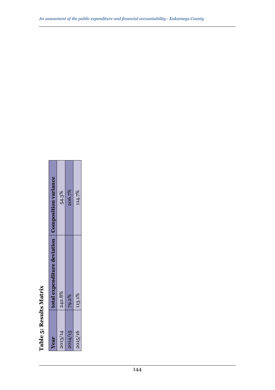| Table 5: Results Matrix |                                                    |        |
|-------------------------|----------------------------------------------------|--------|
| Year                    | total expenditure deviation   Composition variance |        |
| 2013/14                 | 242.8%                                             | 54.3%  |
| 2014/15                 | 79.2%                                              | 206.7% |
| 2015/16                 | 113.1%                                             | 114.7% |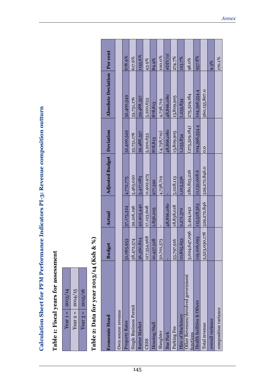| ֧ׅ֧֚֚֚֚֚֚֚֚֚֚֚֚֚֚֚֚֚֚֚֚֚֚֚֚֚֚֚֚֡֝֡֡             |
|-------------------------------------------------|
| C CONTRACTOR CONTRACTOR                         |
|                                                 |
|                                                 |
| J<br>i                                          |
|                                                 |
|                                                 |
|                                                 |
|                                                 |
|                                                 |
|                                                 |
|                                                 |
|                                                 |
| $\begin{array}{c} 0 \\ 0 \\ 0 \\ 0 \end{array}$ |
|                                                 |
|                                                 |
|                                                 |
| ļ                                               |
|                                                 |

Table 1: Fiscal years for assessment **Table 1: Fiscal years for assessment**

| 2013/14                | 2014/15    | 2015/16    |
|------------------------|------------|------------|
| $\mathbf{u}$<br>Year 1 | Year $2 =$ | Year $3 =$ |

## Table 2: Data for year 2013/14 (Ksh & %) **Table 2: Data for year 2013/14 (Ksh & %)**

| <b>Economic Head</b>                            | <b>Budget</b>             | Actual      | Adjusted Budget Deviation |                 | Absolute Deviation   Per cent |         |
|-------------------------------------------------|---------------------------|-------------|---------------------------|-----------------|-------------------------------|---------|
| Own source revenue                              |                           |             |                           |                 |                               |         |
| Property Rates                                  | 51,065,953                | 37,173,324  | 4,772,775                 | 32,400,549      | 32,400,549                    | 678.9%  |
| Single Business Permit                          | 58,472,574                | 39,216,196  | 5,465,020                 | 33,751,176      | 33,751,176                    | 617.6%  |
| <b>Barter Market</b>                            | 36,560,824                | 42,905,440  | 3,417,083                 | 39,488,357      | 39,488,357                    | 1155.6% |
| <b>CESS</b>                                     | 127,354,968               | 17,123,608  | 11,902,973                | 5,220,635       | 5,220,635                     | 43.9%   |
| Housing/Stall                                   | 10,457,528                | 1,856,205   | 977,392                   | 878,813         | 878,813                       | 89.9%   |
| Slaughter                                       | 50,701,573                |             | 4,738,719                 | (4,738,719)     | 4,738,719                     | 100.0%  |
| <b>Bus Park</b>                                 |                           | 48,866,080  |                           | 48,866,080      | 48,866,080                    | #DIV/0  |
| Parking Fee                                     | 53,797,916                | 18,838,018  | 5,028,113                 | 13,809,905      | 13,809,905                    | 274.7%  |
| Hire of Machinery                               | 10,865,653                | 2,271,370   | 1,015,536                 | 1,255,834       | 1,255,834                     | 123.7%  |
| Other Revenues/devolved government<br>iunctions | 3,004,647,096 5,494,042   |             | 280,823,226               | (275, 329, 184) | 275,329,184                   | 98.0%   |
| Health facilities & Others                      | 119,106,093               | 115,528,563 | 11,132,008.6              | 104,396,554.4   | 104,396,554.4                 | 937.8%  |
| Total revenue                                   | 3,523,030,178 329,272,846 |             | 329,272,846.0             | 0.0             | 560,135,807.0                 |         |
| overall variance                                |                           |             |                           |                 |                               | 9.3%    |
| composition variance                            |                           |             |                           |                 |                               | 170.1%  |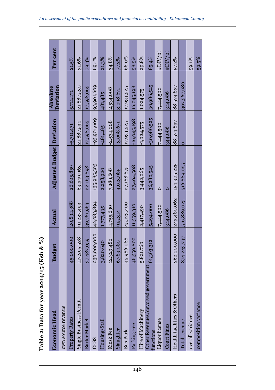| Table 2: Data for year 2               | 2014/15 (Ksh & %)                       |             |                           |               |                                     |           |
|----------------------------------------|-----------------------------------------|-------------|---------------------------|---------------|-------------------------------------|-----------|
| <b>Economic Head</b>                   | <b>Budget</b>                           | Actual      | Adjusted Budget Deviation |               | <b>Deviation</b><br><b>Absolute</b> | Per cent  |
| own source revenue                     |                                         |             |                           |               |                                     |           |
| Property Rates                         | 45,000,000                              | 20,894,388  | 26,605,859                | $-5,711,471$  | 5,711,471                           | $ 21.5\%$ |
| Single Business Permit                 | 117,295,528                             | 91,237,493  | 69,349,963                | 21,887,530    | 21,887,530                          | 31.6%     |
| <b>Barter Market</b>                   | 37,487,059                              | 39,761,963  | 22,163,898                | 17,598,065    | 17,598,065                          | 79.4%     |
| <b>CESS</b>                            | 230,000,000                             | 42,083,894  | 135,985,503               | $-93,901,609$ | 93,901,609                          | 69.1%     |
| Housing/Stall                          | 3,820,640                               | 1,777,435   | 2,258,920                 | $-481,485$    | 481,485                             | 21.3%     |
| Kiosk Fee                              | 12,329,480                              | 4,755,690   | 7,289,698                 | $-2,534,008$  | 2,534,008                           | 34.8%     |
| Slaughter                              | 6,789,080                               | 915,314     | 4,013,985                 | $-3.098.671$  | 3,098,671                           | 77.2%     |
| <b>Bus Park</b>                        | 45,986,088                              | 45,123,400  | 27,188,875                | 17,934,525    | 17,934,525                          | 66.0%     |
| Parking Fee                            | 46,350,800                              | 11,359,310  | 27,404,508                | $-16,045,198$ | 16,045,198                          | 58.5%     |
| Hire of Machinery                      | 5,821,760                               | 2,417,490   | 3,442,065                 | $-1,024,575$  | 1,024,575                           | 29.8%     |
| Other Revenues/devolved go<br>imetions | $\overline{\rm{overmunit}}[61,363,312]$ | 5,294,000   | 36,280,525                | 30,986,525    | 30,986,525                          | 85.4%     |
| Liquor license                         |                                         | 7,444,500   | $\circ$                   | 7,444,500     | 7,444,500                           | #DIV/0!   |
| <b>Court Fines</b>                     |                                         | 344,086     | Ō                         | 344,086       | 344,086                             | #DIV/0!   |
| Health facilities & Others             | 262,000,000                             | 243,480,062 | 154,905,225               | 88,574,837    | 88,574,837                          | 57.2%     |
| Total revenue                          | 874,243,747                             | 516,889,025 | 516,889,025               | 0             | 307,567,086                         |           |
| overall variance                       |                                         |             |                           |               |                                     | 59.1%     |
| composition variance                   |                                         |             |                           |               |                                     | 59.5%     |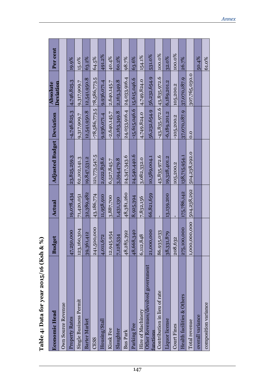| <b>Economic Head</b>                           | <b>Budget</b> | Actual      | <b>Adjusted Budget Deviation</b> |                              | Deviation<br><b>Absolute</b> | Per cent |
|------------------------------------------------|---------------|-------------|----------------------------------|------------------------------|------------------------------|----------|
| Own Source Revenue                             |               |             |                                  |                              |                              |          |
| Property Rates                                 | 47,250,000    | 19,078,434  | 23,825,259.3                     | $-4,746,825.3$               | 4,746,825.3                  | 19.9%    |
| Single Business Permit                         | 123,160,304   | 71,420,051  | 62,102,141.3                     | 9,317,909.7                  | 9,317,909.7                  | 15.0%    |
| <b>Barter Market</b>                           | 39,361,412    | 32,389,482  | 19,847,531.2                     | 12,541,950.8                 | 12,541,950.8                 | 63.2%    |
| <b>CESS</b>                                    | 241,500,000   | 43,186,774  | 121,773,547.5                    | $-78,586,773.5$ 78,586,773.5 |                              | 64.5%    |
| Housing/Stall                                  | 4,011,672     | 11,958,910  | 2,022,838.6                      | 9,936,071.4                  | 9,936,071.4                  | 491.2%   |
| Kiosk Fee                                      | 12,945,954    | 3,887,700   | 6,527,845.7                      | $-2,640,145.7$               | 2,640,145.7                  | 40.4%    |
| Slaughter                                      | 7,128,534     | 1,431,130   | 3,594,479.8                      | $-2,163,349.8$               | 2,163,349.8                  | 60.2%    |
| <b>Bus Park</b>                                | 48,285,392    | 48,381,260  | 24,347,343.6                     | 24,033,916.4 24,033,916.4    |                              | 98.7%    |
| Parking Fee                                    | 48,668,340    | 8,925,394   | 24,540,440.6                     | $-15,615,046.6$ 15,615,046.6 |                              | 63.6%    |
| Hire of Machinery                              | 6,112,848     | 7,832,156   | 3,082,332.0                      | 4,749,824.0                  | 4,749,824.0                  | 154.1%   |
| Other Revenues/devolved government<br>unctions | 21,000,000    | 66,821,659  | 10,589,004.1                     | 56,232,654.9 56,232,654.9    |                              | 531.0%   |
| Contribution in lieu of rate                   | 86,935,033    |             | 43,835,972.6                     | $-43,835,972.6$ 43,835,972.6 |                              | 100.0%   |
| <b>Liquor</b> license                          | 38,331,879    | 13,139,200  | 19,328,401.2                     | $-6,189,201.2$               | 6,189,201.2                  | 32.0%    |
| Court Fines                                    | 208,632       |             | 105,200.2                        | $-105,200.2$                 | 105,200.2                    | 100.0%   |
| Health facilities & Others                     | 275,100,000   | 175,786,142 | 138,715,954.1                    | 37,070,187.9                 | 37,070,187.9                 | 26.7%    |
| Total revenue                                  | 1,000,000,000 | 504,238,292 | 504,238,292.0                    | 0.0                          | 307,765,030.0                |          |
| overall variance                               |               |             |                                  |                              |                              | 50.4%    |
| composition variance                           |               |             |                                  |                              |                              | 61.0%    |

Table 4: Data for year 2015/16 (Ksh & %) **Table 4: Data for year 2015/16 (Ksh & %)**